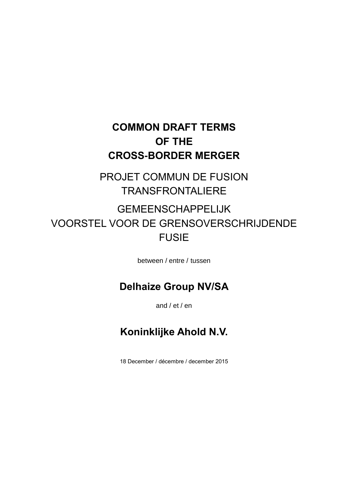## **COMMON DRAFT TERMS OF THE CROSS-BORDER MERGER**

PROJET COMMUN DE FUSION TRANSFRONTALIERE

# GEMEENSCHAPPELIJK VOORSTEL VOOR DE GRENSOVERSCHRIJDENDE FUSIE

between / entre / tussen

## **Delhaize Group NV/SA**

and / et / en

## **Koninklijke Ahold N.V.**

18 December / décembre / december 2015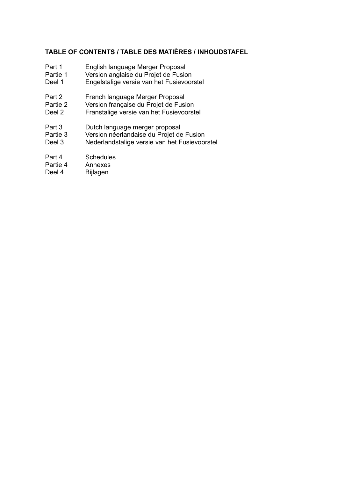## **TABLE OF CONTENTS / TABLE DES MATIÈRES / INHOUDSTAFEL**

- Part 1 English language Merger Proposal
- Partie 1 Version anglaise du Projet de Fusion
- Deel 1 Engelstalige versie van het Fusievoorstel
- Part 2 French language Merger Proposal<br>Partie 2 Version francaise du Proiet de Fus
- Version française du Projet de Fusion
- Deel 2 Franstalige versie van het Fusievoorstel
- Part 3 Dutch language merger proposal<br>Partie 3 Version néerlandaise du Proiet de
- Version néerlandaise du Projet de Fusion
- Deel 3 Nederlandstalige versie van het Fusievoorstel
- Part 4 Schedules
- Partie 4 Annexes
- Deel 4 Bijlagen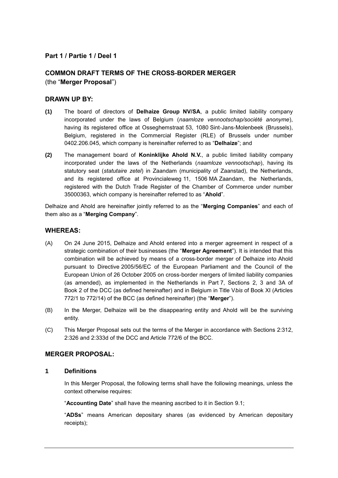### **Part 1 / Partie 1 / Deel 1**

## **COMMON DRAFT TERMS OF THE CROSS-BORDER MERGER** (the "**Merger Proposal**")

#### **DRAWN UP BY:**

- **(1)** The board of directors of **Delhaize Group NV/SA**, a public limited liability company incorporated under the laws of Belgium (*naamloze vennootschap/société anonyme*), having its registered office at Osseghemstraat 53, 1080 Sint-Jans-Molenbeek (Brussels), Belgium, registered in the Commercial Register (RLE) of Brussels under number 0402.206.045, which company is hereinafter referred to as "**Delhaize**"; and
- **(2)** The management board of **Koninklijke Ahold N.V.**, a public limited liability company incorporated under the laws of the Netherlands (*naamloze vennootschap*), having its statutory seat (*statutaire zetel*) in Zaandam (municipality of Zaanstad), the Netherlands, and its registered office at Provincialeweg 11, 1506 MA Zaandam, the Netherlands, registered with the Dutch Trade Register of the Chamber of Commerce under number 35000363, which company is hereinafter referred to as "**Ahold**".

Delhaize and Ahold are hereinafter jointly referred to as the "**Merging Companies**" and each of them also as a "**Merging Company**".

#### **WHEREAS:**

- <span id="page-2-0"></span>(A) On 24 June 2015, Delhaize and Ahold entered into a merger agreement in respect of a strategic combination of their businesses (the "**Merger Agreement**"). It is intended that this combination will be achieved by means of a cross-border merger of Delhaize into Ahold pursuant to Directive 2005/56/EC of the European Parliament and the Council of the European Union of 26 October 2005 on cross-border mergers of limited liability companies (as amended), as implemented in the Netherlands in Part 7, Sections 2, 3 and 3A of Book 2 of the DCC (as defined hereinafter) and in Belgium in Title V*bis* of Book XI (Articles 772/1 to 772/14) of the BCC (as defined hereinafter) (the "**Merger**").
- (B) In the Merger, Delhaize will be the disappearing entity and Ahold will be the surviving entity.
- (C) This Merger Proposal sets out the terms of the Merger in accordance with Sections 2:312, 2:326 and 2:333d of the DCC and Article 772/6 of the BCC.

#### **MERGER PROPOSAL:**

#### **1 Definitions**

In this Merger Proposal, the following terms shall have the following meanings, unless the context otherwise requires:

"**Accounting Date**" shall have the meaning ascribed to it in Section [9.1;](#page-16-0)

"**ADSs**" means American depositary shares (as evidenced by American depositary receipts);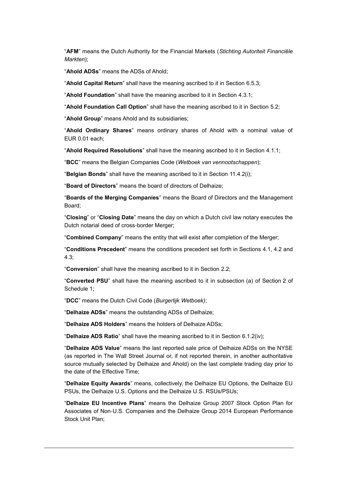"**AFM**" means the Dutch Authority for the Financial Markets (*Stichting Autoriteit Financiële Markten*);

"**Ahold ADSs**" means the ADSs of Ahold;

"**Ahold Capital Return**" shall have the meaning ascribed to it in Section [6.5.3;](#page-15-0)

"**Ahold Foundation**" shall have the meaning ascribed to it in Section [4.3.1;](#page-11-0)

"**Ahold Foundation Call Option**" shall have the meaning ascribed to it in Section [5.2;](#page-12-0)

"**Ahold Group**" means Ahold and its subsidiaries;

"**Ahold Ordinary Shares**" means ordinary shares of Ahold with a nominal value of EUR 0.01 each;

"**Ahold Required Resolutions**" shall have the meaning ascribed to it in Section [4.1.1;](#page-9-0)

"**BCC**" means the Belgian Companies Code (*Wetboek van vennootschappen*);

"**Belgian Bonds**" shall have the meaning ascribed to it in Section [11.4.2\(i\);](#page-25-0)

"**Board of Directors**" means the board of directors of Delhaize;

"**Boards of the Merging Companies**" means the Board of Directors and the Management Board;

"**Closing**" or "**Closing Date**" means the day on which a Dutch civil law notary executes the Dutch notarial deed of cross-border Merger;

"**Combined Company**" means the entity that will exist after completion of the Merger;

"**Conditions Precedent**" means the conditions precedent set forth in Sections [4.1,](#page-9-1) [4.2](#page-10-0) and [4.3;](#page-11-1)

"**Conversion**" shall have the meaning ascribed to it in Section [2.2;](#page-7-0)

"**Converted PSU**" shall have the meaning ascribed to it in subsection (a) of Section 2 of Schedule 1;

"**DCC**" means the Dutch Civil Code (*Burgerlijk Wetboek)*;

"**Delhaize ADSs**" means the outstanding ADSs of Delhaize;

"**Delhaize ADS Holders**" means the holders of Delhaize ADSs;

"**Delhaize ADS Ratio**" shall have the meaning ascribed to it in Section [6.1.2\(iv\);](#page-13-0)

"**Delhaize ADS Value**" means the last reported sale price of Delhaize ADSs on the NYSE (as reported in The Wall Street Journal or, if not reported therein, in another authoritative source mutually selected by Delhaize and Ahold) on the last complete trading day prior to the date of the Effective Time;

"**Delhaize Equity Awards**" means, collectively, the Delhaize EU Options, the Delhaize EU PSUs, the Delhaize U.S. Options and the Delhaize U.S. RSUs/PSUs;

"**Delhaize EU Incentive Plans**" means the Delhaize Group 2007 Stock Option Plan for Associates of Non-U.S. Companies and the Delhaize Group 2014 European Performance Stock Unit Plan;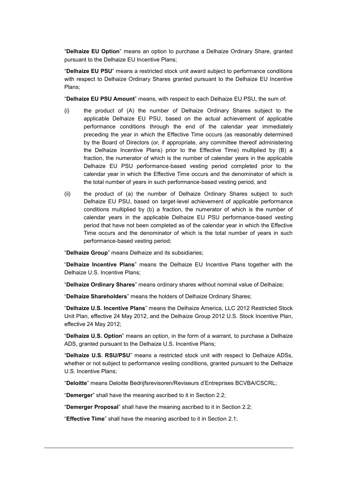"**Delhaize EU Option**" means an option to purchase a Delhaize Ordinary Share, granted pursuant to the Delhaize EU Incentive Plans;

"**Delhaize EU PSU**" means a restricted stock unit award subject to performance conditions with respect to Delhaize Ordinary Shares granted pursuant to the Delhaize EU Incentive Plans;

"**Delhaize EU PSU Amount**" means, with respect to each Delhaize EU PSU, the sum of:

- (i) the product of (A) the number of Delhaize Ordinary Shares subject to the applicable Delhaize EU PSU, based on the actual achievement of applicable performance conditions through the end of the calendar year immediately preceding the year in which the Effective Time occurs (as reasonably determined by the Board of Directors (or, if appropriate, any committee thereof administering the Delhaize Incentive Plans) prior to the Effective Time) multiplied by (B) a fraction, the numerator of which is the number of calendar years in the applicable Delhaize EU PSU performance-based vesting period completed prior to the calendar year in which the Effective Time occurs and the denominator of which is the total number of years in such performance-based vesting period, and
- (ii) the product of (a) the number of Delhaize Ordinary Shares subject to such Delhaize EU PSU, based on target-level achievement of applicable performance conditions multiplied by (b) a fraction, the numerator of which is the number of calendar years in the applicable Delhaize EU PSU performance-based vesting period that have not been completed as of the calendar year in which the Effective Time occurs and the denominator of which is the total number of years in such performance-based vesting period;

"**Delhaize Group**" means Delhaize and its subsidiaries;

"**Delhaize Incentive Plans**" means the Delhaize EU Incentive Plans together with the Delhaize U.S. Incentive Plans;

"**Delhaize Ordinary Shares**" means ordinary shares without nominal value of Delhaize;

"**Delhaize Shareholders**" means the holders of Delhaize Ordinary Shares;

"**Delhaize U.S. Incentive Plans**" means the Delhaize America, LLC 2012 Restricted Stock Unit Plan, effective 24 May 2012, and the Delhaize Group 2012 U.S. Stock Incentive Plan, effective 24 May 2012;

"**Delhaize U.S. Option**" means an option, in the form of a warrant, to purchase a Delhaize ADS, granted pursuant to the Delhaize U.S. Incentive Plans;

"**Delhaize U.S. RSU/PSU**" means a restricted stock unit with respect to Delhaize ADSs, whether or not subject to performance vesting conditions, granted pursuant to the Delhaize U.S. Incentive Plans;

"**Deloitte**" means Deloitte Bedrijfsrevisoren/Reviseurs d'Entreprises BCVBA/CSCRL;

"**Demerger**" shall have the meaning ascribed to it in Section [2.2;](#page-7-0)

"**Demerger Proposal**" shall have the meaning ascribed to it in Section [2.2;](#page-7-0)

"**Effective Time**" shall have the meaning ascribed to it in Section [2.1;](#page-7-1)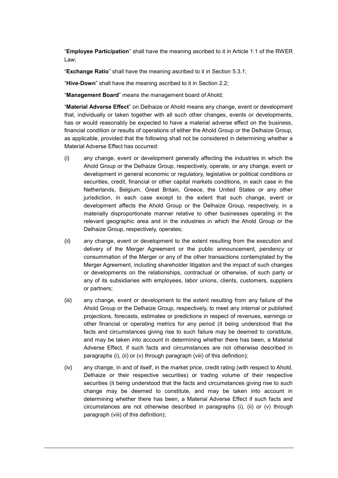"**Employee Participation**" shall have the meaning ascribed to it in Article 1:1 of the RWER Law;

"**Exchange Ratio**" shall have the meaning ascribed to it in Section [5.3.1;](#page-12-1)

"**Hive-Down**" shall have the meaning ascribed to it in Section [2.2;](#page-7-0)

"**Management Board**" means the management board of Ahold;

"**Material Adverse Effect**" on Delhaize or Ahold means any change, event or development that, individually or taken together with all such other changes, events or developments, has or would reasonably be expected to have a material adverse effect on the business, financial condition or results of operations of either the Ahold Group or the Delhaize Group, as applicable, provided that the following shall not be considered in determining whether a Material Adverse Effect has occurred:

- <span id="page-5-0"></span>(i) any change, event or development generally affecting the industries in which the Ahold Group or the Delhaize Group, respectively, operate, or any change, event or development in general economic or regulatory, legislative or political conditions or securities, credit, financial or other capital markets conditions, in each case in the Netherlands, Belgium, Great Britain, Greece, the United States or any other jurisdiction, in each case except to the extent that such change, event or development affects the Ahold Group or the Delhaize Group, respectively, in a materially disproportionate manner relative to other businesses operating in the relevant geographic area and in the industries in which the Ahold Group or the Delhaize Group, respectively, operates;
- <span id="page-5-1"></span>(ii) any change, event or development to the extent resulting from the execution and delivery of the Merger Agreement or the public announcement, pendency or consummation of the Merger or any of the other transactions contemplated by the Merger Agreement, including shareholder litigation and the impact of such changes or developments on the relationships, contractual or otherwise, of such party or any of its subsidiaries with employees, labor unions, clients, customers, suppliers or partners;
- (iii) any change, event or development to the extent resulting from any failure of the Ahold Group or the Delhaize Group, respectively, to meet any internal or published projections, forecasts, estimates or predictions in respect of revenues, earnings or other financial or operating metrics for any period (it being understood that the facts and circumstances giving rise to such failure may be deemed to constitute, and may be taken into account in determining whether there has been, a Material Adverse Effect, if such facts and circumstances are not otherwise described in paragraphs [\(i\),](#page-5-0) [\(ii\)](#page-5-1) or [\(v\)](#page-6-0) through paragraph [\(viii\)](#page-6-1) of this definition);
- (iv) any change, in and of itself, in the market price, credit rating (with respect to Ahold, Delhaize or their respective securities) or trading volume of their respective securities (it being understood that the facts and circumstances giving rise to such change may be deemed to constitute, and may be taken into account in determining whether there has been, a Material Adverse Effect if such facts and circumstances are not otherwise described in paragraphs [\(i\),](#page-5-0) [\(ii\)](#page-5-1) or [\(v\)](#page-6-0) through paragraph [\(viii\)](#page-6-1) of this definition);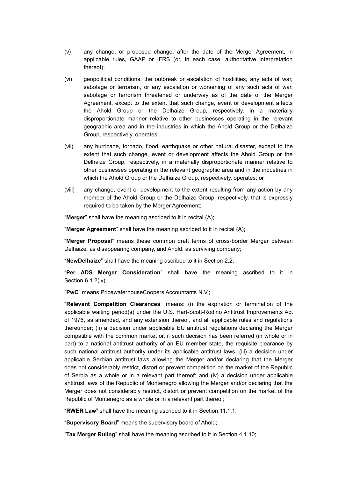- <span id="page-6-0"></span>(v) any change, or proposed change, after the date of the Merger Agreement, in applicable rules, GAAP or IFRS (or, in each case, authoritative interpretation thereof);
- (vi) geopolitical conditions, the outbreak or escalation of hostilities, any acts of war, sabotage or terrorism, or any escalation or worsening of any such acts of war, sabotage or terrorism threatened or underway as of the date of the Merger Agreement, except to the extent that such change, event or development affects the Ahold Group or the Delhaize Group, respectively, in a materially disproportionate manner relative to other businesses operating in the relevant geographic area and in the industries in which the Ahold Group or the Delhaize Group, respectively, operates;
- (vii) any hurricane, tornado, flood, earthquake or other natural disaster, except to the extent that such change, event or development affects the Ahold Group or the Delhaize Group, respectively, in a materially disproportionate manner relative to other businesses operating in the relevant geographic area and in the industries in which the Ahold Group or the Delhaize Group, respectively, operates; or
- <span id="page-6-1"></span>(viii) any change, event or development to the extent resulting from any action by any member of the Ahold Group or the Delhaize Group, respectively, that is expressly required to be taken by the Merger Agreement;

"**Merger**" shall have the meaning ascribed to it in recital [\(A\);](#page-2-0)

"**Merger Agreement**" shall have the meaning ascribed to it in recital [\(A\);](#page-2-0)

"**Merger Proposal**" means these common draft terms of cross-border Merger between Delhaize, as disappearing company, and Ahold, as surviving company;

"**NewDelhaize**" shall have the meaning ascribed to it in Section [2.2;](#page-7-0)

"**Per ADS Merger Consideration**" shall have the meaning ascribed to it in Section [6.1.2\(iv\);](#page-13-0)

"**PwC**" means PricewaterhouseCoopers Accountants N.V.;

"**Relevant Competition Clearances**" means: (i) the expiration or termination of the applicable waiting period(s) under the U.S. Hart-Scott-Rodino Antitrust Improvements Act of 1976, as amended, and any extension thereof, and all applicable rules and regulations thereunder; (ii) a decision under applicable EU antitrust regulations declaring the Merger compatible with the common market or, if such decision has been referred (in whole or in part) to a national antitrust authority of an EU member state, the requisite clearance by such national antitrust authority under its applicable antitrust laws; (iii) a decision under applicable Serbian antitrust laws allowing the Merger and/or declaring that the Merger does not considerably restrict, distort or prevent competition on the market of the Republic of Serbia as a whole or in a relevant part thereof; and (iv) a decision under applicable antitrust laws of the Republic of Montenegro allowing the Merger and/or declaring that the Merger does not considerably restrict, distort or prevent competition on the market of the Republic of Montenegro as a whole or in a relevant part thereof;

"**RWER Law**" shall have the meaning ascribed to it in Section [11.1.1;](#page-23-0)

"**Supervisory Board**" means the supervisory board of Ahold;

"**Tax Merger Ruling**" shall have the meaning ascribed to it in Section [4.1.10;](#page-10-1)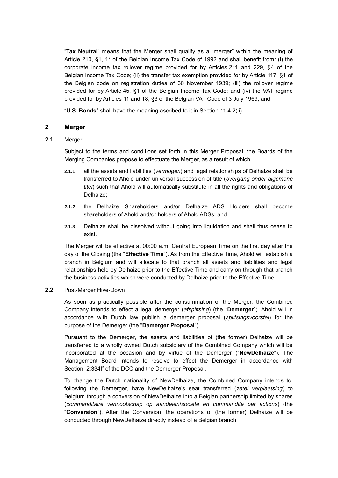"**Tax Neutral**" means that the Merger shall qualify as a "merger" within the meaning of Article 210, §1, 1° of the Belgian Income Tax Code of 1992 and shall benefit from: (i) the corporate income tax rollover regime provided for by Articles 211 and 229, §4 of the Belgian Income Tax Code; (ii) the transfer tax exemption provided for by Article 117, §1 of the Belgian code on registration duties of 30 November 1939; (iii) the rollover regime provided for by Article 45, §1 of the Belgian Income Tax Code; and (iv) the VAT regime provided for by Articles 11 and 18, §3 of the Belgian VAT Code of 3 July 1969; and

"**U.S. Bonds**" shall have the meaning ascribed to it in Section [11.4.2\(ii\).](#page-25-1)

#### **2 Merger**

#### <span id="page-7-1"></span>**2.1** Merger

Subject to the terms and conditions set forth in this Merger Proposal, the Boards of the Merging Companies propose to effectuate the Merger, as a result of which:

- **2.1.1** all the assets and liabilities (*vermogen*) and legal relationships of Delhaize shall be transferred to Ahold under universal succession of title (*overgang onder algemene titel*) such that Ahold will automatically substitute in all the rights and obligations of Delhaize;
- **2.1.2** the Delhaize Shareholders and/or Delhaize ADS Holders shall become shareholders of Ahold and/or holders of Ahold ADSs; and
- **2.1.3** Delhaize shall be dissolved without going into liquidation and shall thus cease to exist.

The Merger will be effective at 00:00 a.m. Central European Time on the first day after the day of the Closing (the "**Effective Time**"). As from the Effective Time, Ahold will establish a branch in Belgium and will allocate to that branch all assets and liabilities and legal relationships held by Delhaize prior to the Effective Time and carry on through that branch the business activities which were conducted by Delhaize prior to the Effective Time.

#### <span id="page-7-0"></span>**2.2** Post-Merger Hive-Down

As soon as practically possible after the consummation of the Merger, the Combined Company intends to effect a legal demerger (*afsplitsing*) (the "**Demerger**"). Ahold will in accordance with Dutch law publish a demerger proposal (*splitsingsvoorstel*) for the purpose of the Demerger (the "**Demerger Proposal**").

Pursuant to the Demerger, the assets and liabilities of (the former) Delhaize will be transferred to a wholly owned Dutch subsidiary of the Combined Company which will be incorporated at the occasion and by virtue of the Demerger ("**NewDelhaize**"). The Management Board intends to resolve to effect the Demerger in accordance with Section 2:334ff of the DCC and the Demerger Proposal.

To change the Dutch nationality of NewDelhaize, the Combined Company intends to, following the Demerger, have NewDelhaize's seat transferred (*zetel verplaatsing*) to Belgium through a conversion of NewDelhaize into a Belgian partnership limited by shares (*commanditaire vennootschap op aandelen*/*société en commandite par actions*) (the "**Conversion**"). After the Conversion, the operations of (the former) Delhaize will be conducted through NewDelhaize directly instead of a Belgian branch.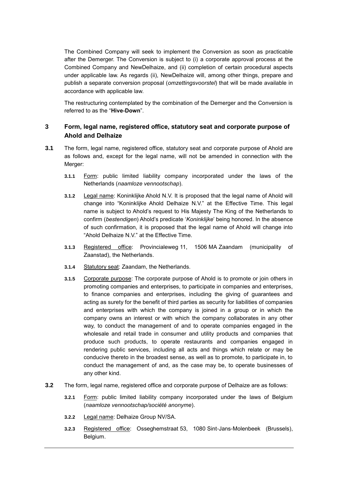The Combined Company will seek to implement the Conversion as soon as practicable after the Demerger. The Conversion is subject to (i) a corporate approval process at the Combined Company and NewDelhaize, and (ii) completion of certain procedural aspects under applicable law. As regards (ii), NewDelhaize will, among other things, prepare and publish a separate conversion proposal (*omzettingsvoorstel*) that will be made available in accordance with applicable law.

The restructuring contemplated by the combination of the Demerger and the Conversion is referred to as the "**Hive-Down**".

### **3 Form, legal name, registered office, statutory seat and corporate purpose of Ahold and Delhaize**

- **3.1** The form, legal name, registered office, statutory seat and corporate purpose of Ahold are as follows and, except for the legal name, will not be amended in connection with the Merger:
	- **3.1.1** Form: public limited liability company incorporated under the laws of the Netherlands (*naamloze vennootschap*).
	- **3.1.2** Legal name: Koninklijke Ahold N.V. It is proposed that the legal name of Ahold will change into "Koninklijke Ahold Delhaize N.V." at the Effective Time. This legal name is subject to Ahold's request to His Majesty The King of the Netherlands to confirm (*bestendigen*) Ahold's predicate '*Koninklijke*' being honored. In the absence of such confirmation, it is proposed that the legal name of Ahold will change into "Ahold Delhaize N.V." at the Effective Time.
	- **3.1.3** Registered office: Provincialeweg 11, 1506 MA Zaandam (municipality of Zaanstad), the Netherlands.
	- **3.1.4** Statutory seat: Zaandam, the Netherlands.
	- **3.1.5** Corporate purpose: The corporate purpose of Ahold is to promote or join others in promoting companies and enterprises, to participate in companies and enterprises, to finance companies and enterprises, including the giving of guarantees and acting as surety for the benefit of third parties as security for liabilities of companies and enterprises with which the company is joined in a group or in which the company owns an interest or with which the company collaborates in any other way, to conduct the management of and to operate companies engaged in the wholesale and retail trade in consumer and utility products and companies that produce such products, to operate restaurants and companies engaged in rendering public services, including all acts and things which relate or may be conducive thereto in the broadest sense, as well as to promote, to participate in, to conduct the management of and, as the case may be, to operate businesses of any other kind.
- **3.2** The form, legal name, registered office and corporate purpose of Delhaize are as follows:
	- **3.2.1** Form: public limited liability company incorporated under the laws of Belgium (*naamloze vennootschap/société anonyme*).
	- **3.2.2** Legal name: Delhaize Group NV/SA.
	- **3.2.3** Registered office: Osseghemstraat 53, 1080 Sint-Jans-Molenbeek (Brussels), Belgium.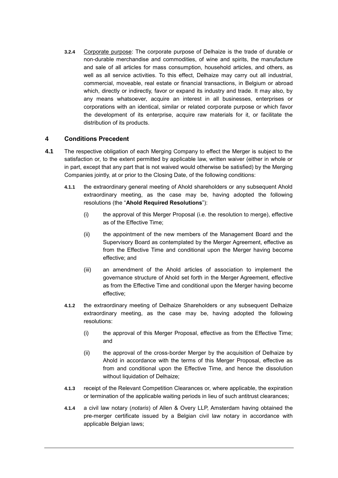**3.2.4** Corporate purpose: The corporate purpose of Delhaize is the trade of durable or non-durable merchandise and commodities, of wine and spirits, the manufacture and sale of all articles for mass consumption, household articles, and others, as well as all service activities. To this effect, Delhaize may carry out all industrial, commercial, moveable, real estate or financial transactions, in Belgium or abroad which, directly or indirectly, favor or expand its industry and trade. It may also, by any means whatsoever, acquire an interest in all businesses, enterprises or corporations with an identical, similar or related corporate purpose or which favor the development of its enterprise, acquire raw materials for it, or facilitate the distribution of its products.

#### **4 Conditions Precedent**

- <span id="page-9-1"></span><span id="page-9-0"></span>**4.1** The respective obligation of each Merging Company to effect the Merger is subject to the satisfaction or, to the extent permitted by applicable law, written waiver (either in whole or in part, except that any part that is not waived would otherwise be satisfied) by the Merging Companies jointly, at or prior to the Closing Date, of the following conditions:
	- **4.1.1** the extraordinary general meeting of Ahold shareholders or any subsequent Ahold extraordinary meeting, as the case may be, having adopted the following resolutions (the "**Ahold Required Resolutions**"):
		- (i) the approval of this Merger Proposal (i.e. the resolution to merge), effective as of the Effective Time;
		- (ii) the appointment of the new members of the Management Board and the Supervisory Board as contemplated by the Merger Agreement, effective as from the Effective Time and conditional upon the Merger having become effective; and
		- (iii) an amendment of the Ahold articles of association to implement the governance structure of Ahold set forth in the Merger Agreement, effective as from the Effective Time and conditional upon the Merger having become effective;
	- **4.1.2** the extraordinary meeting of Delhaize Shareholders or any subsequent Delhaize extraordinary meeting, as the case may be, having adopted the following resolutions:
		- (i) the approval of this Merger Proposal, effective as from the Effective Time; and
		- (ii) the approval of the cross-border Merger by the acquisition of Delhaize by Ahold in accordance with the terms of this Merger Proposal, effective as from and conditional upon the Effective Time, and hence the dissolution without liquidation of Delhaize:
	- **4.1.3** receipt of the Relevant Competition Clearances or, where applicable, the expiration or termination of the applicable waiting periods in lieu of such antitrust clearances;
	- **4.1.4** a civil law notary (*notaris*) of Allen & Overy LLP, Amsterdam having obtained the pre-merger certificate issued by a Belgian civil law notary in accordance with applicable Belgian laws;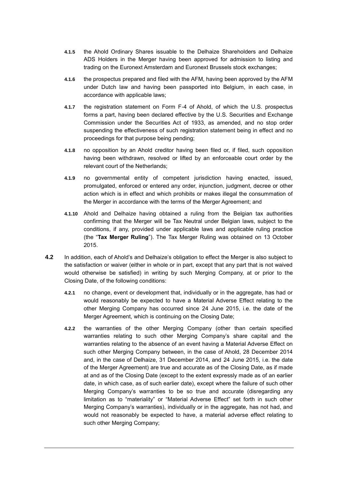- **4.1.5** the Ahold Ordinary Shares issuable to the Delhaize Shareholders and Delhaize ADS Holders in the Merger having been approved for admission to listing and trading on the Euronext Amsterdam and Euronext Brussels stock exchanges;
- **4.1.6** the prospectus prepared and filed with the AFM, having been approved by the AFM under Dutch law and having been passported into Belgium, in each case, in accordance with applicable laws;
- **4.1.7** the registration statement on Form F-4 of Ahold, of which the U.S. prospectus forms a part, having been declared effective by the U.S. Securities and Exchange Commission under the Securities Act of 1933, as amended, and no stop order suspending the effectiveness of such registration statement being in effect and no proceedings for that purpose being pending;
- **4.1.8** no opposition by an Ahold creditor having been filed or, if filed, such opposition having been withdrawn, resolved or lifted by an enforceable court order by the relevant court of the Netherlands;
- **4.1.9** no governmental entity of competent jurisdiction having enacted, issued, promulgated, enforced or entered any order, injunction, judgment, decree or other action which is in effect and which prohibits or makes illegal the consummation of the Merger in accordance with the terms of the Merger Agreement; and
- <span id="page-10-1"></span>**4.1.10** Ahold and Delhaize having obtained a ruling from the Belgian tax authorities confirming that the Merger will be Tax Neutral under Belgian laws, subject to the conditions, if any, provided under applicable laws and applicable ruling practice (the "**Tax Merger Ruling**"). The Tax Merger Ruling was obtained on 13 October 2015.
- <span id="page-10-0"></span>**4.2** In addition, each of Ahold's and Delhaize's obligation to effect the Merger is also subject to the satisfaction or waiver (either in whole or in part, except that any part that is not waived would otherwise be satisfied) in writing by such Merging Company, at or prior to the Closing Date, of the following conditions:
	- **4.2.1** no change, event or development that, individually or in the aggregate, has had or would reasonably be expected to have a Material Adverse Effect relating to the other Merging Company has occurred since 24 June 2015, i.e. the date of the Merger Agreement, which is continuing on the Closing Date;
	- **4.2.2** the warranties of the other Merging Company (other than certain specified warranties relating to such other Merging Company's share capital and the warranties relating to the absence of an event having a Material Adverse Effect on such other Merging Company between, in the case of Ahold, 28 December 2014 and, in the case of Delhaize, 31 December 2014, and 24 June 2015, i.e. the date of the Merger Agreement) are true and accurate as of the Closing Date, as if made at and as of the Closing Date (except to the extent expressly made as of an earlier date, in which case, as of such earlier date), except where the failure of such other Merging Company's warranties to be so true and accurate (disregarding any limitation as to "materiality" or "Material Adverse Effect" set forth in such other Merging Company's warranties), individually or in the aggregate, has not had, and would not reasonably be expected to have, a material adverse effect relating to such other Merging Company;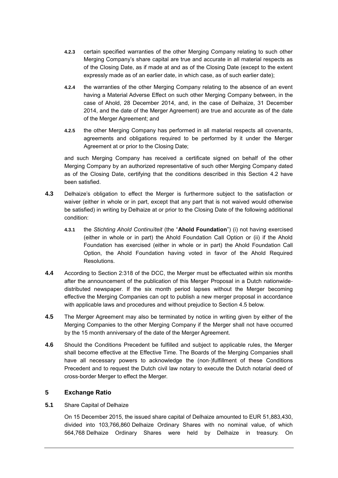- **4.2.3** certain specified warranties of the other Merging Company relating to such other Merging Company's share capital are true and accurate in all material respects as of the Closing Date, as if made at and as of the Closing Date (except to the extent expressly made as of an earlier date, in which case, as of such earlier date);
- **4.2.4** the warranties of the other Merging Company relating to the absence of an event having a Material Adverse Effect on such other Merging Company between, in the case of Ahold, 28 December 2014, and, in the case of Delhaize, 31 December 2014, and the date of the Merger Agreement) are true and accurate as of the date of the Merger Agreement; and
- **4.2.5** the other Merging Company has performed in all material respects all covenants, agreements and obligations required to be performed by it under the Merger Agreement at or prior to the Closing Date;

and such Merging Company has received a certificate signed on behalf of the other Merging Company by an authorized representative of such other Merging Company dated as of the Closing Date, certifying that the conditions described in this Section [4.2](#page-10-0) have been satisfied.

- <span id="page-11-1"></span><span id="page-11-0"></span>**4.3** Delhaize's obligation to effect the Merger is furthermore subject to the satisfaction or waiver (either in whole or in part, except that any part that is not waived would otherwise be satisfied) in writing by Delhaize at or prior to the Closing Date of the following additional condition:
	- **4.3.1** the *Stichting Ahold Continuïteit* (the "**Ahold Foundation**") (i) not having exercised (either in whole or in part) the Ahold Foundation Call Option or (ii) if the Ahold Foundation has exercised (either in whole or in part) the Ahold Foundation Call Option, the Ahold Foundation having voted in favor of the Ahold Required Resolutions.
- **4.4** According to Section 2:318 of the DCC, the Merger must be effectuated within six months after the announcement of the publication of this Merger Proposal in a Dutch nationwidedistributed newspaper. If the six month period lapses without the Merger becoming effective the Merging Companies can opt to publish a new merger proposal in accordance with applicable laws and procedures and without prejudice to Section [4.5](#page-11-2) below.
- <span id="page-11-2"></span>**4.5** The Merger Agreement may also be terminated by notice in writing given by either of the Merging Companies to the other Merging Company if the Merger shall not have occurred by the 15 month anniversary of the date of the Merger Agreement.
- **4.6** Should the Conditions Precedent be fulfilled and subject to applicable rules, the Merger shall become effective at the Effective Time. The Boards of the Merging Companies shall have all necessary powers to acknowledge the (non-)fulfillment of these Conditions Precedent and to request the Dutch civil law notary to execute the Dutch notarial deed of cross-border Merger to effect the Merger.

#### **5 Exchange Ratio**

#### <span id="page-11-3"></span>**5.1** Share Capital of Delhaize

On 15 December 2015, the issued share capital of Delhaize amounted to EUR 51,883,430, divided into 103,766,860 Delhaize Ordinary Shares with no nominal value, of which 564,768 Delhaize Ordinary Shares were held by Delhaize in treasury. On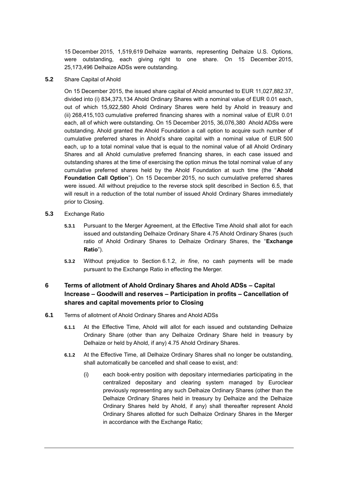15 December 2015, 1,519,619 Delhaize warrants, representing Delhaize U.S. Options, were outstanding, each giving right to one share. On 15 December 2015, 25,173,496 Delhaize ADSs were outstanding.

<span id="page-12-0"></span>**5.2** Share Capital of Ahold

On 15 December 2015, the issued share capital of Ahold amounted to EUR 11,027,882.37, divided into (i) 834,373,134 Ahold Ordinary Shares with a nominal value of EUR 0.01 each, out of which 15,922,580 Ahold Ordinary Shares were held by Ahold in treasury and (ii) 268,415,103 cumulative preferred financing shares with a nominal value of EUR 0.01 each, all of which were outstanding. On 15 December 2015, 36,076,380 Ahold ADSs were outstanding. Ahold granted the Ahold Foundation a call option to acquire such number of cumulative preferred shares in Ahold's share capital with a nominal value of EUR 500 each, up to a total nominal value that is equal to the nominal value of all Ahold Ordinary Shares and all Ahold cumulative preferred financing shares, in each case issued and outstanding shares at the time of exercising the option minus the total nominal value of any cumulative preferred shares held by the Ahold Foundation at such time (the "**Ahold Foundation Call Option**"). On 15 December 2015, no such cumulative preferred shares were issued. All without prejudice to the reverse stock split described in Section [6.5,](#page-15-1) that will result in a reduction of the total number of issued Ahold Ordinary Shares immediately prior to Closing.

- <span id="page-12-1"></span>**5.3** Exchange Ratio
	- **5.3.1** Pursuant to the Merger Agreement, at the Effective Time Ahold shall allot for each issued and outstanding Delhaize Ordinary Share 4.75 Ahold Ordinary Shares (such ratio of Ahold Ordinary Shares to Delhaize Ordinary Shares, the "**Exchange Ratio**").
	- **5.3.2** Without prejudice to Section [6.1.2,](#page-12-2) *in fine*, no cash payments will be made pursuant to the Exchange Ratio in effecting the Merger.

### <span id="page-12-3"></span>**6 Terms of allotment of Ahold Ordinary Shares and Ahold ADSs – Capital Increase – Goodwill and reserves – Participation in profits – Cancellation of shares and capital movements prior to Closing**

- <span id="page-12-2"></span>**6.1** Terms of allotment of Ahold Ordinary Shares and Ahold ADSs
	- **6.1.1** At the Effective Time, Ahold will allot for each issued and outstanding Delhaize Ordinary Share (other than any Delhaize Ordinary Share held in treasury by Delhaize or held by Ahold, if any) 4.75 Ahold Ordinary Shares.
	- **6.1.2** At the Effective Time, all Delhaize Ordinary Shares shall no longer be outstanding, shall automatically be cancelled and shall cease to exist, and:
		- (i) each book-entry position with depositary intermediaries participating in the centralized depositary and clearing system managed by Euroclear previously representing any such Delhaize Ordinary Shares (other than the Delhaize Ordinary Shares held in treasury by Delhaize and the Delhaize Ordinary Shares held by Ahold, if any) shall thereafter represent Ahold Ordinary Shares allotted for such Delhaize Ordinary Shares in the Merger in accordance with the Exchange Ratio;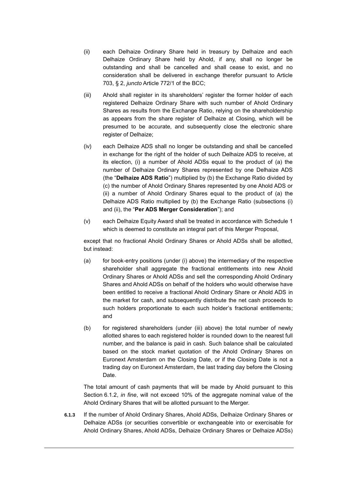- (ii) each Delhaize Ordinary Share held in treasury by Delhaize and each Delhaize Ordinary Share held by Ahold, if any, shall no longer be outstanding and shall be cancelled and shall cease to exist, and no consideration shall be delivered in exchange therefor pursuant to Article 703, § 2, *juncto* Article 772/1 of the BCC;
- (iii) Ahold shall register in its shareholders' register the former holder of each registered Delhaize Ordinary Share with such number of Ahold Ordinary Shares as results from the Exchange Ratio, relying on the shareholdership as appears from the share register of Delhaize at Closing, which will be presumed to be accurate, and subsequently close the electronic share register of Delhaize;
- <span id="page-13-0"></span>(iv) each Delhaize ADS shall no longer be outstanding and shall be cancelled in exchange for the right of the holder of such Delhaize ADS to receive, at its election, (i) a number of Ahold ADSs equal to the product of (a) the number of Delhaize Ordinary Shares represented by one Delhaize ADS (the "**Delhaize ADS Ratio**") multiplied by (b) the Exchange Ratio divided by (c) the number of Ahold Ordinary Shares represented by one Ahold ADS or (ii) a number of Ahold Ordinary Shares equal to the product of (a) the Delhaize ADS Ratio multiplied by (b) the Exchange Ratio (subsections (i) and (ii), the "**Per ADS Merger Consideration**"); and
- (v) each Delhaize Equity Award shall be treated in accordance with Schedule 1 which is deemed to constitute an integral part of this Merger Proposal,

except that no fractional Ahold Ordinary Shares or Ahold ADSs shall be allotted, but instead:

- (a) for book-entry positions (under (i) above) the intermediary of the respective shareholder shall aggregate the fractional entitlements into new Ahold Ordinary Shares or Ahold ADSs and sell the corresponding Ahold Ordinary Shares and Ahold ADSs on behalf of the holders who would otherwise have been entitled to receive a fractional Ahold Ordinary Share or Ahold ADS in the market for cash, and subsequently distribute the net cash proceeds to such holders proportionate to each such holder's fractional entitlements; and
- (b) for registered shareholders (under (iii) above) the total number of newly allotted shares to each registered holder is rounded down to the nearest full number, and the balance is paid in cash. Such balance shall be calculated based on the stock market quotation of the Ahold Ordinary Shares on Euronext Amsterdam on the Closing Date, or if the Closing Date is not a trading day on Euronext Amsterdam, the last trading day before the Closing Date.

The total amount of cash payments that will be made by Ahold pursuant to this Section [6.1.2,](#page-12-2) *in fine*, will not exceed 10% of the aggregate nominal value of the Ahold Ordinary Shares that will be allotted pursuant to the Merger.

**6.1.3** If the number of Ahold Ordinary Shares, Ahold ADSs, Delhaize Ordinary Shares or Delhaize ADSs (or securities convertible or exchangeable into or exercisable for Ahold Ordinary Shares, Ahold ADSs, Delhaize Ordinary Shares or Delhaize ADSs)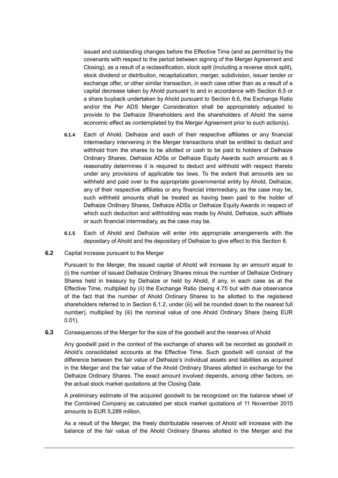issued and outstanding changes before the Effective Time (and as permitted by the covenants with respect to the period between signing of the Merger Agreement and Closing), as a result of a reclassification, stock split (including a reverse stock split), stock dividend or distribution, recapitalization, merger, subdivision, issuer tender or exchange offer, or other similar transaction, in each case other than as a result of a capital decrease taken by Ahold pursuant to and in accordance with Section [6.5](#page-15-1) or a share buyback undertaken by Ahold pursuant to Section 6.6, the Exchange Ratio and/or the Per ADS Merger Consideration shall be appropriately adjusted to provide to the Delhaize Shareholders and the shareholders of Ahold the same economic effect as contemplated by the Merger Agreement prior to such action(s).

- **6.1.4** Each of Ahold, Delhaize and each of their respective affiliates or any financial intermediary intervening in the Merger transactions shall be entitled to deduct and withhold from the shares to be allotted or cash to be paid to holders of Delhaize Ordinary Shares, Delhaize ADSs or Delhaize Equity Awards such amounts as it reasonably determines it is required to deduct and withhold with respect thereto under any provisions of applicable tax laws. To the extent that amounts are so withheld and paid over to the appropriate governmental entity by Ahold, Delhaize, any of their respective affiliates or any financial intermediary, as the case may be, such withheld amounts shall be treated as having been paid to the holder of Delhaize Ordinary Shares, Delhaize ADSs or Delhaize Equity Awards in respect of which such deduction and withholding was made by Ahold, Delhaize, such affiliate or such financial intermediary, as the case may be.
- **6.1.5** Each of Ahold and Delhaize will enter into appropriate arrangements with the depositary of Ahold and the depositary of Delhaize to give effect to this Section [6.](#page-12-3)
- **6.2** Capital increase pursuant to the Merger

Pursuant to the Merger, the issued capital of Ahold will increase by an amount equal to (i) the number of issued Delhaize Ordinary Shares minus the number of Delhaize Ordinary Shares held in treasury by Delhaize or held by Ahold, if any, in each case as at the Effective Time, multiplied by (ii) the Exchange Ratio (being 4.75 but with due observance of the fact that the number of Ahold Ordinary Shares to be allotted to the registered shareholders referred to in Section [6.1.2,](#page-12-2) under (iii) will be rounded down to the nearest full number), multiplied by (iii) the nominal value of one Ahold Ordinary Share (being EUR 0.01).

**6.3** Consequences of the Merger for the size of the goodwill and the reserves of Ahold

Any goodwill paid in the context of the exchange of shares will be recorded as goodwill in Ahold's consolidated accounts at the Effective Time. Such goodwill will consist of the difference between the fair value of Delhaize's individual assets and liabilities as acquired in the Merger and the fair value of the Ahold Ordinary Shares allotted in exchange for the Delhaize Ordinary Shares. The exact amount involved depends, among other factors, on the actual stock market quotations at the Closing Date.

A preliminary estimate of the acquired goodwill to be recognized on the balance sheet of the Combined Company as calculated per stock market quotations of 11 November 2015 amounts to EUR 5,289 million.

As a result of the Merger, the freely distributable reserves of Ahold will increase with the balance of the fair value of the Ahold Ordinary Shares allotted in the Merger and the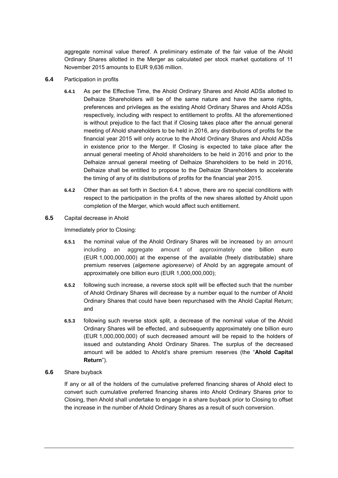aggregate nominal value thereof. A preliminary estimate of the fair value of the Ahold Ordinary Shares allotted in the Merger as calculated per stock market quotations of 11 November 2015 amounts to EUR 9,636 million.

- <span id="page-15-2"></span>**6.4** Participation in profits
	- **6.4.1** As per the Effective Time, the Ahold Ordinary Shares and Ahold ADSs allotted to Delhaize Shareholders will be of the same nature and have the same rights, preferences and privileges as the existing Ahold Ordinary Shares and Ahold ADSs respectively, including with respect to entitlement to profits. All the aforementioned is without prejudice to the fact that if Closing takes place after the annual general meeting of Ahold shareholders to be held in 2016, any distributions of profits for the financial year 2015 will only accrue to the Ahold Ordinary Shares and Ahold ADSs in existence prior to the Merger. If Closing is expected to take place after the annual general meeting of Ahold shareholders to be held in 2016 and prior to the Delhaize annual general meeting of Delhaize Shareholders to be held in 2016, Delhaize shall be entitled to propose to the Delhaize Shareholders to accelerate the timing of any of its distributions of profits for the financial year 2015.
	- **6.4.2** Other than as set forth in Section [6.4.1](#page-15-2) above, there are no special conditions with respect to the participation in the profits of the new shares allotted by Ahold upon completion of the Merger, which would affect such entitlement.
- <span id="page-15-1"></span>**6.5** Capital decrease in Ahold

Immediately prior to Closing:

- **6.5.1** the nominal value of the Ahold Ordinary Shares will be increased by an amount including an aggregate amount of approximately one billion euro (EUR 1,000,000,000) at the expense of the available (freely distributable) share premium reserves (*algemene agioreserve*) of Ahold by an aggregate amount of approximately one billion euro (EUR 1,000,000,000);
- **6.5.2** following such increase, a reverse stock split will be effected such that the number of Ahold Ordinary Shares will decrease by a number equal to the number of Ahold Ordinary Shares that could have been repurchased with the Ahold Capital Return; and
- <span id="page-15-0"></span>**6.5.3** following such reverse stock split, a decrease of the nominal value of the Ahold Ordinary Shares will be effected, and subsequently approximately one billion euro (EUR 1,000,000,000) of such decreased amount will be repaid to the holders of issued and outstanding Ahold Ordinary Shares. The surplus of the decreased amount will be added to Ahold's share premium reserves (the "**Ahold Capital Return**").
- **6.6** Share buyback

If any or all of the holders of the cumulative preferred financing shares of Ahold elect to convert such cumulative preferred financing shares into Ahold Ordinary Shares prior to Closing, then Ahold shall undertake to engage in a share buyback prior to Closing to offset the increase in the number of Ahold Ordinary Shares as a result of such conversion.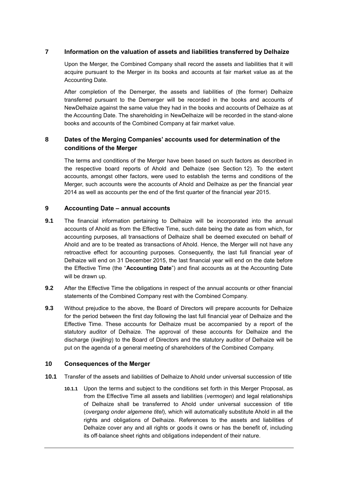#### **7 Information on the valuation of assets and liabilities transferred by Delhaize**

Upon the Merger, the Combined Company shall record the assets and liabilities that it will acquire pursuant to the Merger in its books and accounts at fair market value as at the Accounting Date.

After completion of the Demerger, the assets and liabilities of (the former) Delhaize transferred pursuant to the Demerger will be recorded in the books and accounts of NewDelhaize against the same value they had in the books and accounts of Delhaize as at the Accounting Date. The shareholding in NewDelhaize will be recorded in the stand-alone books and accounts of the Combined Company at fair market value.

### **8 Dates of the Merging Companies' accounts used for determination of the conditions of the Merger**

The terms and conditions of the Merger have been based on such factors as described in the respective board reports of Ahold and Delhaize (see Section [12\)](#page-26-0). To the extent accounts, amongst other factors, were used to establish the terms and conditions of the Merger, such accounts were the accounts of Ahold and Delhaize as per the financial year 2014 as well as accounts per the end of the first quarter of the financial year 2015.

#### **9 Accounting Date – annual accounts**

- <span id="page-16-0"></span>**9.1** The financial information pertaining to Delhaize will be incorporated into the annual accounts of Ahold as from the Effective Time, such date being the date as from which, for accounting purposes, all transactions of Delhaize shall be deemed executed on behalf of Ahold and are to be treated as transactions of Ahold. Hence, the Merger will not have any retroactive effect for accounting purposes. Consequently, the last full financial year of Delhaize will end on 31 December 2015, the last financial year will end on the date before the Effective Time (the "**Accounting Date**") and final accounts as at the Accounting Date will be drawn up.
- **9.2** After the Effective Time the obligations in respect of the annual accounts or other financial statements of the Combined Company rest with the Combined Company.
- **9.3** Without prejudice to the above, the Board of Directors will prepare accounts for Delhaize for the period between the first day following the last full financial year of Delhaize and the Effective Time. These accounts for Delhaize must be accompanied by a report of the statutory auditor of Delhaize. The approval of these accounts for Delhaize and the discharge (*kwijting*) to the Board of Directors and the statutory auditor of Delhaize will be put on the agenda of a general meeting of shareholders of the Combined Company.

#### **10 Consequences of the Merger**

- **10.1** Transfer of the assets and liabilities of Delhaize to Ahold under universal succession of title
	- **10.1.1** Upon the terms and subject to the conditions set forth in this Merger Proposal, as from the Effective Time all assets and liabilities (*vermogen*) and legal relationships of Delhaize shall be transferred to Ahold under universal succession of title (*overgang onder algemene titel*), which will automatically substitute Ahold in all the rights and obligations of Delhaize. References to the assets and liabilities of Delhaize cover any and all rights or goods it owns or has the benefit of, including its off-balance sheet rights and obligations independent of their nature.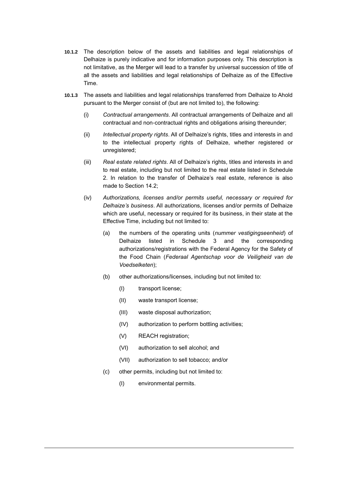- **10.1.2** The description below of the assets and liabilities and legal relationships of Delhaize is purely indicative and for information purposes only. This description is not limitative, as the Merger will lead to a transfer by universal succession of title of all the assets and liabilities and legal relationships of Delhaize as of the Effective Time.
- **10.1.3** The assets and liabilities and legal relationships transferred from Delhaize to Ahold pursuant to the Merger consist of (but are not limited to), the following:
	- (i) *Contractual arrangements*. All contractual arrangements of Delhaize and all contractual and non-contractual rights and obligations arising thereunder;
	- (ii) *Intellectual property rights*. All of Delhaize's rights, titles and interests in and to the intellectual property rights of Delhaize, whether registered or unregistered;
	- (iii) *Real estate related rights*. All of Delhaize's rights, titles and interests in and to real estate, including but not limited to the real estate listed in Schedule 2. In relation to the transfer of Delhaize's real estate, reference is also made to Section [14.2;](#page-26-1)
	- (iv) *Authorizations, licenses and/or permits useful, necessary or required for Delhaize's business*. All authorizations, licenses and/or permits of Delhaize which are useful, necessary or required for its business, in their state at the Effective Time, including but not limited to:
		- (a) the numbers of the operating units (*nummer vestigingseenheid*) of Delhaize listed in Schedule 3 and the corresponding authorizations/registrations with the Federal Agency for the Safety of the Food Chain (*Federaal Agentschap voor de Veiligheid van de Voedselketen*);
		- (b) other authorizations/licenses, including but not limited to:
			- (I) transport license;
			- (II) waste transport license;
			- (III) waste disposal authorization;
			- (IV) authorization to perform bottling activities;
			- (V) REACH registration;
			- (VI) authorization to sell alcohol; and
			- (VII) authorization to sell tobacco; and/or
		- (c) other permits, including but not limited to:
			- (I) environmental permits.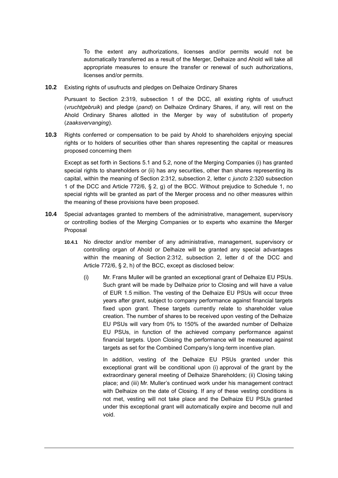To the extent any authorizations, licenses and/or permits would not be automatically transferred as a result of the Merger, Delhaize and Ahold will take all appropriate measures to ensure the transfer or renewal of such authorizations, licenses and/or permits.

**10.2** Existing rights of usufructs and pledges on Delhaize Ordinary Shares

Pursuant to Section 2:319, subsection 1 of the DCC, all existing rights of usufruct (*vruchtgebruik*) and pledge (*pand*) on Delhaize Ordinary Shares, if any, will rest on the Ahold Ordinary Shares allotted in the Merger by way of substitution of property (*zaaksvervanging*).

**10.3** Rights conferred or compensation to be paid by Ahold to shareholders enjoying special rights or to holders of securities other than shares representing the capital or measures proposed concerning them

Except as set forth in Sections [5.1](#page-11-3) and [5.2,](#page-12-0) none of the Merging Companies (i) has granted special rights to shareholders or (ii) has any securities, other than shares representing its capital, within the meaning of Section 2:312, subsection 2, letter c *juncto* 2:320 subsection 1 of the DCC and Article 772/6, § 2, g) of the BCC. Without prejudice to Schedule 1, no special rights will be granted as part of the Merger process and no other measures within the meaning of these provisions have been proposed.

- **10.4** Special advantages granted to members of the administrative, management, supervisory or controlling bodies of the Merging Companies or to experts who examine the Merger Proposal
	- **10.4.1** No director and/or member of any administrative, management, supervisory or controlling organ of Ahold or Delhaize will be granted any special advantages within the meaning of Section 2:312, subsection 2, letter d of the DCC and Article 772/6, § 2, h) of the BCC, except as disclosed below:
		- (i) Mr. Frans Muller will be granted an exceptional grant of Delhaize EU PSUs. Such grant will be made by Delhaize prior to Closing and will have a value of EUR 1.5 million. The vesting of the Delhaize EU PSUs will occur three years after grant, subject to company performance against financial targets fixed upon grant. These targets currently relate to shareholder value creation. The number of shares to be received upon vesting of the Delhaize EU PSUs will vary from 0% to 150% of the awarded number of Delhaize EU PSUs, in function of the achieved company performance against financial targets. Upon Closing the performance will be measured against targets as set for the Combined Company's long-term incentive plan.

In addition, vesting of the Delhaize EU PSUs granted under this exceptional grant will be conditional upon (i) approval of the grant by the extraordinary general meeting of Delhaize Shareholders; (ii) Closing taking place; and (iii) Mr. Muller's continued work under his management contract with Delhaize on the date of Closing. If any of these vesting conditions is not met, vesting will not take place and the Delhaize EU PSUs granted under this exceptional grant will automatically expire and become null and void.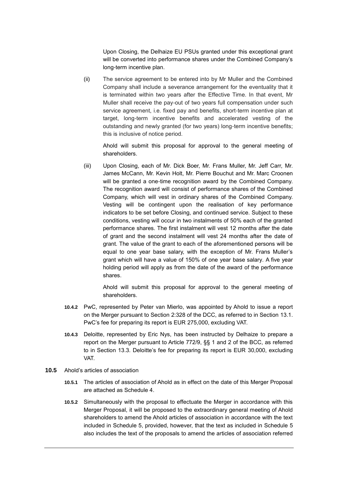Upon Closing, the Delhaize EU PSUs granted under this exceptional grant will be converted into performance shares under the Combined Company's long-term incentive plan.

(ii) The service agreement to be entered into by Mr Muller and the Combined Company shall include a severance arrangement for the eventuality that it is terminated within two years after the Effective Time. In that event, Mr Muller shall receive the pay-out of two years full compensation under such service agreement, i.e. fixed pay and benefits, short-term incentive plan at target, long-term incentive benefits and accelerated vesting of the outstanding and newly granted (for two years) long-term incentive benefits; this is inclusive of notice period.

Ahold will submit this proposal for approval to the general meeting of shareholders.

(iii) Upon Closing, each of Mr. Dick Boer, Mr. Frans Muller, Mr. Jeff Carr, Mr. James McCann, Mr. Kevin Holt, Mr. Pierre Bouchut and Mr. Marc Croonen will be granted a one-time recognition award by the Combined Company. The recognition award will consist of performance shares of the Combined Company, which will vest in ordinary shares of the Combined Company. Vesting will be contingent upon the realisation of key performance indicators to be set before Closing, and continued service. Subject to these conditions, vesting will occur in two instalments of 50% each of the granted performance shares. The first instalment will vest 12 months after the date of grant and the second instalment will vest 24 months after the date of grant. The value of the grant to each of the aforementioned persons will be equal to one year base salary, with the exception of Mr. Frans Muller's grant which will have a value of 150% of one year base salary. A five year holding period will apply as from the date of the award of the performance shares.

Ahold will submit this proposal for approval to the general meeting of shareholders.

- **10.4.2** PwC, represented by Peter van Mierlo, was appointed by Ahold to issue a report on the Merger pursuant to Section 2:328 of the DCC, as referred to in Section [13.1.](#page-26-2) PwC's fee for preparing its report is EUR 275,000, excluding VAT.
- **10.4.3** Deloitte, represented by Eric Nys, has been instructed by Delhaize to prepare a report on the Merger pursuant to Article 772/9, §§ 1 and 2 of the BCC, as referred to in Section [13.3.](#page-26-3) Deloitte's fee for preparing its report is EUR 30,000, excluding VAT.
- **10.5** Ahold's articles of association
	- **10.5.1** The articles of association of Ahold as in effect on the date of this Merger Proposal are attached as Schedule 4.
	- **10.5.2** Simultaneously with the proposal to effectuate the Merger in accordance with this Merger Proposal, it will be proposed to the extraordinary general meeting of Ahold shareholders to amend the Ahold articles of association in accordance with the text included in Schedule 5, provided, however, that the text as included in Schedule 5 also includes the text of the proposals to amend the articles of association referred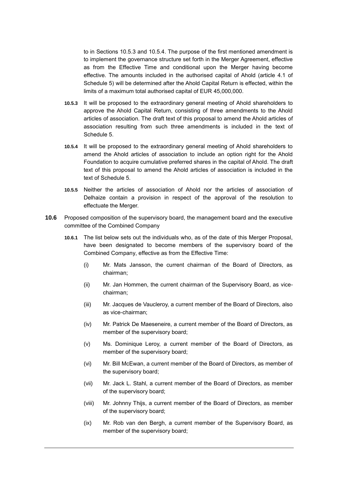to in Sections [10.5.3](#page-20-0) and [10.5.4.](#page-20-1) The purpose of the first mentioned amendment is to implement the governance structure set forth in the Merger Agreement, effective as from the Effective Time and conditional upon the Merger having become effective. The amounts included in the authorised capital of Ahold (article 4.1 of Schedule 5) will be determined after the Ahold Capital Return is effected, within the limits of a maximum total authorised capital of EUR 45,000,000.

- <span id="page-20-0"></span>**10.5.3** It will be proposed to the extraordinary general meeting of Ahold shareholders to approve the Ahold Capital Return, consisting of three amendments to the Ahold articles of association. The draft text of this proposal to amend the Ahold articles of association resulting from such three amendments is included in the text of Schedule 5.
- <span id="page-20-1"></span>**10.5.4** It will be proposed to the extraordinary general meeting of Ahold shareholders to amend the Ahold articles of association to include an option right for the Ahold Foundation to acquire cumulative preferred shares in the capital of Ahold. The draft text of this proposal to amend the Ahold articles of association is included in the text of Schedule 5.
- **10.5.5** Neither the articles of association of Ahold nor the articles of association of Delhaize contain a provision in respect of the approval of the resolution to effectuate the Merger.
- **10.6** Proposed composition of the supervisory board, the management board and the executive committee of the Combined Company
	- **10.6.1** The list below sets out the individuals who, as of the date of this Merger Proposal, have been designated to become members of the supervisory board of the Combined Company, effective as from the Effective Time:
		- (i) Mr. Mats Jansson, the current chairman of the Board of Directors, as chairman;
		- (ii) Mr. Jan Hommen, the current chairman of the Supervisory Board, as vicechairman;
		- (iii) Mr. Jacques de Vaucleroy, a current member of the Board of Directors, also as vice-chairman;
		- (iv) Mr. Patrick De Maeseneire, a current member of the Board of Directors, as member of the supervisory board;
		- (v) Ms. Dominique Leroy, a current member of the Board of Directors, as member of the supervisory board;
		- (vi) Mr. Bill McEwan, a current member of the Board of Directors, as member of the supervisory board;
		- (vii) Mr. Jack L. Stahl, a current member of the Board of Directors, as member of the supervisory board;
		- (viii) Mr. Johnny Thijs, a current member of the Board of Directors, as member of the supervisory board;
		- (ix) Mr. Rob van den Bergh, a current member of the Supervisory Board, as member of the supervisory board;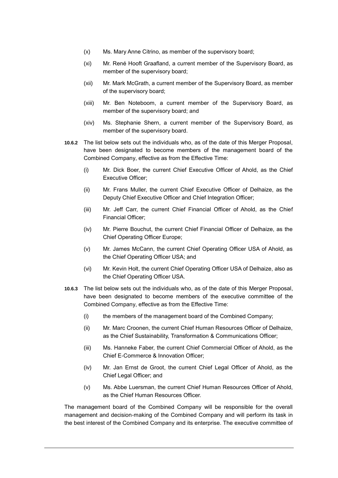- (x) Ms. Mary Anne Citrino, as member of the supervisory board;
- (xi) Mr. René Hooft Graafland, a current member of the Supervisory Board, as member of the supervisory board;
- (xii) Mr. Mark McGrath, a current member of the Supervisory Board, as member of the supervisory board;
- (xiii) Mr. Ben Noteboom, a current member of the Supervisory Board, as member of the supervisory board; and
- (xiv) Ms. Stephanie Shern, a current member of the Supervisory Board, as member of the supervisory board.
- **10.6.2** The list below sets out the individuals who, as of the date of this Merger Proposal, have been designated to become members of the management board of the Combined Company, effective as from the Effective Time:
	- (i) Mr. Dick Boer, the current Chief Executive Officer of Ahold, as the Chief Executive Officer;
	- (ii) Mr. Frans Muller, the current Chief Executive Officer of Delhaize, as the Deputy Chief Executive Officer and Chief Integration Officer;
	- (iii) Mr. Jeff Carr, the current Chief Financial Officer of Ahold, as the Chief Financial Officer;
	- (iv) Mr. Pierre Bouchut, the current Chief Financial Officer of Delhaize, as the Chief Operating Officer Europe;
	- (v) Mr. James McCann, the current Chief Operating Officer USA of Ahold, as the Chief Operating Officer USA; and
	- (vi) Mr. Kevin Holt, the current Chief Operating Officer USA of Delhaize, also as the Chief Operating Officer USA.
- **10.6.3** The list below sets out the individuals who, as of the date of this Merger Proposal, have been designated to become members of the executive committee of the Combined Company, effective as from the Effective Time:
	- (i) the members of the management board of the Combined Company;
	- (ii) Mr. Marc Croonen, the current Chief Human Resources Officer of Delhaize, as the Chief Sustainability, Transformation & Communications Officer;
	- (iii) Ms. Hanneke Faber, the current Chief Commercial Officer of Ahold, as the Chief E-Commerce & Innovation Officer;
	- (iv) Mr. Jan Ernst de Groot, the current Chief Legal Officer of Ahold, as the Chief Legal Officer; and
	- (v) Ms. Abbe Luersman, the current Chief Human Resources Officer of Ahold, as the Chief Human Resources Officer.

The management board of the Combined Company will be responsible for the overall management and decision-making of the Combined Company and will perform its task in the best interest of the Combined Company and its enterprise. The executive committee of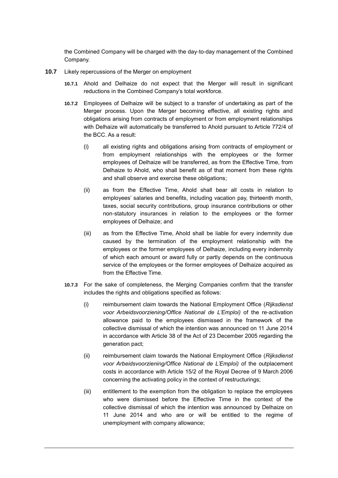the Combined Company will be charged with the day-to-day management of the Combined Company.

- **10.7** Likely repercussions of the Merger on employment
	- **10.7.1** Ahold and Delhaize do not expect that the Merger will result in significant reductions in the Combined Company's total workforce.
	- **10.7.2** Employees of Delhaize will be subject to a transfer of undertaking as part of the Merger process. Upon the Merger becoming effective, all existing rights and obligations arising from contracts of employment or from employment relationships with Delhaize will automatically be transferred to Ahold pursuant to Article 772/4 of the BCC. As a result:
		- (i) all existing rights and obligations arising from contracts of employment or from employment relationships with the employees or the former employees of Delhaize will be transferred, as from the Effective Time, from Delhaize to Ahold, who shall benefit as of that moment from these rights and shall observe and exercise these obligations;
		- (ii) as from the Effective Time, Ahold shall bear all costs in relation to employees' salaries and benefits, including vacation pay, thirteenth month, taxes, social security contributions, group insurance contributions or other non-statutory insurances in relation to the employees or the former employees of Delhaize; and
		- (iii) as from the Effective Time, Ahold shall be liable for every indemnity due caused by the termination of the employment relationship with the employees or the former employees of Delhaize, including every indemnity of which each amount or award fully or partly depends on the continuous service of the employees or the former employees of Delhaize acquired as from the Effective Time.
	- **10.7.3** For the sake of completeness, the Merging Companies confirm that the transfer includes the rights and obligations specified as follows:
		- (i) reimbursement claim towards the National Employment Office (*Rijksdienst voor Arbeidsvoorziening/Office National de L'Emploi)* of the re-activation allowance paid to the employees dismissed in the framework of the collective dismissal of which the intention was announced on 11 June 2014 in accordance with Article 38 of the Act of 23 December 2005 regarding the generation pact;
		- (ii) reimbursement claim towards the National Employment Office (*Rijksdienst voor Arbeidsvoorziening/Office National de L'Emploi)* of the outplacement costs in accordance with Article 15/2 of the Royal Decree of 9 March 2006 concerning the activating policy in the context of restructurings;
		- (iii) entitlement to the exemption from the obligation to replace the employees who were dismissed before the Effective Time in the context of the collective dismissal of which the intention was announced by Delhaize on 11 June 2014 and who are or will be entitled to the regime of unemployment with company allowance;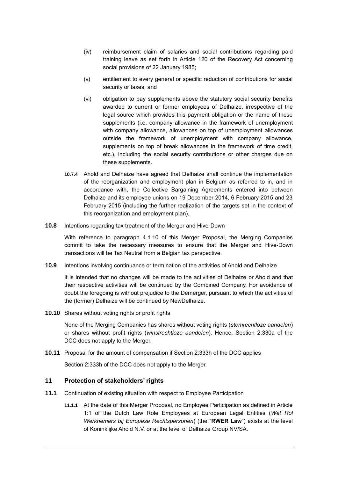- (iv) reimbursement claim of salaries and social contributions regarding paid training leave as set forth in Article 120 of the Recovery Act concerning social provisions of 22 January 1985;
- (v) entitlement to every general or specific reduction of contributions for social security or taxes; and
- (vi) obligation to pay supplements above the statutory social security benefits awarded to current or former employees of Delhaize, irrespective of the legal source which provides this payment obligation or the name of these supplements (i.e. company allowance in the framework of unemployment with company allowance, allowances on top of unemployment allowances outside the framework of unemployment with company allowance, supplements on top of break allowances in the framework of time credit, etc.), including the social security contributions or other charges due on these supplements.
- **10.7.4** Ahold and Delhaize have agreed that Delhaize shall continue the implementation of the reorganization and employment plan in Belgium as referred to in, and in accordance with, the Collective Bargaining Agreements entered into between Delhaize and its employee unions on 19 December 2014, 6 February 2015 and 23 February 2015 (including the further realization of the targets set in the context of this reorganization and employment plan).
- **10.8** Intentions regarding tax treatment of the Merger and Hive-Down

With reference to paragraph [4.1.10](#page-10-1) of this Merger Proposal, the Merging Companies commit to take the necessary measures to ensure that the Merger and Hive-Down transactions will be Tax Neutral from a Belgian tax perspective.

**10.9** Intentions involving continuance or termination of the activities of Ahold and Delhaize

It is intended that no changes will be made to the activities of Delhaize or Ahold and that their respective activities will be continued by the Combined Company. For avoidance of doubt the foregoing is without prejudice to the Demerger, pursuant to which the activities of the (former) Delhaize will be continued by NewDelhaize.

**10.10** Shares without voting rights or profit rights

None of the Merging Companies has shares without voting rights (*stemrechtloze aandelen*) or shares without profit rights (*winstrechtloze aandelen*). Hence, Section 2:330a of the DCC does not apply to the Merger.

**10.11** Proposal for the amount of compensation if Section 2:333h of the DCC applies

Section 2:333h of the DCC does not apply to the Merger.

#### **11 Protection of stakeholders' rights**

- <span id="page-23-0"></span>**11.1** Continuation of existing situation with respect to Employee Participation
	- **11.1.1** At the date of this Merger Proposal, no Employee Participation as defined in Article 1:1 of the Dutch Law Role Employees at European Legal Entities (*Wet Rol Werknemers bij Europese Rechtspersonen*) (the "**RWER Law**") exists at the level of Koninklijke Ahold N.V. or at the level of Delhaize Group NV/SA.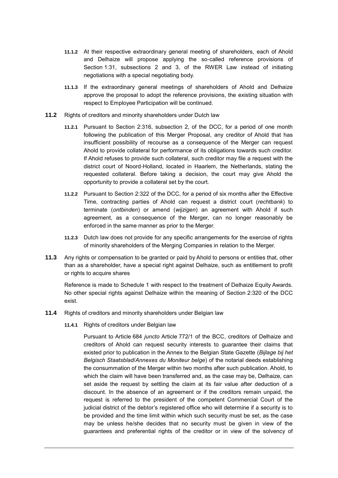- **11.1.2** At their respective extraordinary general meeting of shareholders, each of Ahold and Delhaize will propose applying the so-called reference provisions of Section 1:31, subsections 2 and 3, of the RWER Law instead of initiating negotiations with a special negotiating body.
- **11.1.3** If the extraordinary general meetings of shareholders of Ahold and Delhaize approve the proposal to adopt the reference provisions, the existing situation with respect to Employee Participation will be continued.
- **11.2** Rights of creditors and minority shareholders under Dutch law
	- **11.2.1** Pursuant to Section 2:316, subsection 2, of the DCC, for a period of one month following the publication of this Merger Proposal, any creditor of Ahold that has insufficient possibility of recourse as a consequence of the Merger can request Ahold to provide collateral for performance of its obligations towards such creditor. If Ahold refuses to provide such collateral, such creditor may file a request with the district court of Noord-Holland, located in Haarlem, the Netherlands, stating the requested collateral. Before taking a decision, the court may give Ahold the opportunity to provide a collateral set by the court.
	- **11.2.2** Pursuant to Section 2:322 of the DCC, for a period of six months after the Effective Time, contracting parties of Ahold can request a district court (*rechtbank*) to terminate (*ontbinden*) or amend (*wijzigen*) an agreement with Ahold if such agreement, as a consequence of the Merger, can no longer reasonably be enforced in the same manner as prior to the Merger.
	- **11.2.3** Dutch law does not provide for any specific arrangements for the exercise of rights of minority shareholders of the Merging Companies in relation to the Merger.
- **11.3** Any rights or compensation to be granted or paid by Ahold to persons or entities that, other than as a shareholder, have a special right against Delhaize, such as entitlement to profit or rights to acquire shares

Reference is made to Schedule 1 with respect to the treatment of Delhaize Equity Awards. No other special rights against Delhaize within the meaning of Section 2:320 of the DCC exist.

- **11.4** Rights of creditors and minority shareholders under Belgian law
	- **11.4.1** Rights of creditors under Belgian law

Pursuant to Article 684 *juncto* Article 772/1 of the BCC, creditors of Delhaize and creditors of Ahold can request security interests to guarantee their claims that existed prior to publication in the Annex to the Belgian State Gazette (*Bijlage bij het Belgisch Staatsblad*/*Annexes du Moniteur belge*) of the notarial deeds establishing the consummation of the Merger within two months after such publication. Ahold, to which the claim will have been transferred and, as the case may be, Delhaize, can set aside the request by settling the claim at its fair value after deduction of a discount. In the absence of an agreement or if the creditors remain unpaid, the request is referred to the president of the competent Commercial Court of the judicial district of the debtor's registered office who will determine if a security is to be provided and the time limit within which such security must be set, as the case may be unless he/she decides that no security must be given in view of the guarantees and preferential rights of the creditor or in view of the solvency of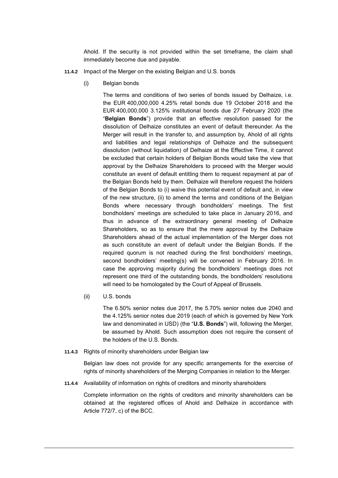Ahold. If the security is not provided within the set timeframe, the claim shall immediately become due and payable.

- <span id="page-25-0"></span>**11.4.2** Impact of the Merger on the existing Belgian and U.S. bonds
	- (i) Belgian bonds

The terms and conditions of two series of bonds issued by Delhaize, i.e. the EUR 400,000,000 4.25% retail bonds due 19 October 2018 and the EUR 400,000,000 3.125% institutional bonds due 27 February 2020 (the "**Belgian Bonds**") provide that an effective resolution passed for the dissolution of Delhaize constitutes an event of default thereunder. As the Merger will result in the transfer to, and assumption by, Ahold of all rights and liabilities and legal relationships of Delhaize and the subsequent dissolution (without liquidation) of Delhaize at the Effective Time, it cannot be excluded that certain holders of Belgian Bonds would take the view that approval by the Delhaize Shareholders to proceed with the Merger would constitute an event of default entitling them to request repayment at par of the Belgian Bonds held by them. Delhaize will therefore request the holders of the Belgian Bonds to (i) waive this potential event of default and, in view of the new structure, (ii) to amend the terms and conditions of the Belgian Bonds where necessary through bondholders' meetings. The first bondholders' meetings are scheduled to take place in January 2016, and thus in advance of the extraordinary general meeting of Delhaize Shareholders, so as to ensure that the mere approval by the Delhaize Shareholders ahead of the actual implementation of the Merger does not as such constitute an event of default under the Belgian Bonds. If the required quorum is not reached during the first bondholders' meetings, second bondholders' meeting(s) will be convened in February 2016. In case the approving majority during the bondholders' meetings does not represent one third of the outstanding bonds, the bondholders' resolutions will need to be homologated by the Court of Appeal of Brussels.

<span id="page-25-1"></span>(ii) U.S. bonds

The 6.50% senior notes due 2017, the 5.70% senior notes due 2040 and the 4.125% senior notes due 2019 (each of which is governed by New York law and denominated in USD) (the "**U.S. Bonds**") will, following the Merger, be assumed by Ahold. Such assumption does not require the consent of the holders of the U.S. Bonds.

**11.4.3** Rights of minority shareholders under Belgian law

Belgian law does not provide for any specific arrangements for the exercise of rights of minority shareholders of the Merging Companies in relation to the Merger.

**11.4.4** Availability of information on rights of creditors and minority shareholders

Complete information on the rights of creditors and minority shareholders can be obtained at the registered offices of Ahold and Delhaize in accordance with Article 772/7, c) of the BCC.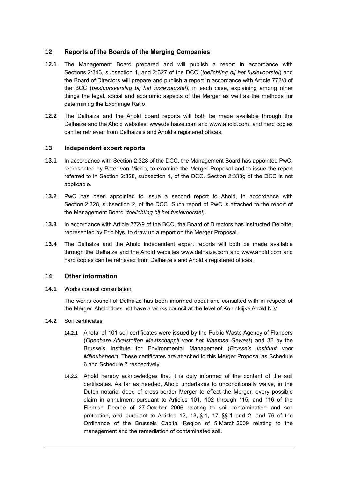#### <span id="page-26-0"></span>**12 Reports of the Boards of the Merging Companies**

- **12.1** The Management Board prepared and will publish a report in accordance with Sections 2:313, subsection 1, and 2:327 of the DCC (*toelichting bij het fusievoorstel*) and the Board of Directors will prepare and publish a report in accordance with Article 772/8 of the BCC (*bestuursverslag bij het fusievoorstel*), in each case, explaining among other things the legal, social and economic aspects of the Merger as well as the methods for determining the Exchange Ratio.
- **12.2** The Delhaize and the Ahold board reports will both be made available through the Delhaize and the Ahold websites, [www.delhaize.com](http://www.delhaize.com/) and [www.ahold.com,](http://www.ahold.com/) and hard copies can be retrieved from Delhaize's and Ahold's registered offices.

#### <span id="page-26-4"></span>**13 Independent expert reports**

- <span id="page-26-2"></span>**13.1** In accordance with Section 2:328 of the DCC, the Management Board has appointed PwC, represented by Peter van Mierlo, to examine the Merger Proposal and to issue the report referred to in Section 2:328, subsection 1, of the DCC. Section 2:333g of the DCC is not applicable.
- **13.2** PwC has been appointed to issue a second report to Ahold, in accordance with Section 2:328, subsection 2, of the DCC. Such report of PwC is attached to the report of the Management Board *(toelichting bij het fusievoorstel)*.
- <span id="page-26-3"></span>**13.3** In accordance with Article 772/9 of the BCC, the Board of Directors has instructed Deloitte, represented by Eric Nys, to draw up a report on the Merger Proposal.
- **13.4** The Delhaize and the Ahold independent expert reports will both be made available through the Delhaize and the Ahold websites [www.delhaize.com](http://www.delhaize.com/) and [www.ahold.com](http://www.ahold.com/) and hard copies can be retrieved from Delhaize's and Ahold's registered offices.

#### **14 Other information**

**14.1** Works council consultation

The works council of Delhaize has been informed about and consulted with in respect of the Merger. Ahold does not have a works council at the level of Koninklijke Ahold N.V.

- <span id="page-26-1"></span>**14.2** Soil certificates
	- **14.2.1** A total of 101 soil certificates were issued by the Public Waste Agency of Flanders (*Openbare Afvalstoffen Maatschappij voor het Vlaamse Gewest*) and 32 by the Brussels Institute for Environmental Management (*Brussels Instituut voor Milieubeheer*). These certificates are attached to this Merger Proposal as Schedule 6 and Schedule 7 respectively.
	- **14.2.2** Ahold hereby acknowledges that it is duly informed of the content of the soil certificates. As far as needed, Ahold undertakes to unconditionally waive, in the Dutch notarial deed of cross-border Merger to effect the Merger, every possible claim in annulment pursuant to Articles 101, 102 through 115, and 116 of the Flemish Decree of 27 October 2006 relating to soil contamination and soil protection, and pursuant to Articles 12, 13, § 1, 17, §§ 1 and 2, and 76 of the Ordinance of the Brussels Capital Region of 5 March 2009 relating to the management and the remediation of contaminated soil.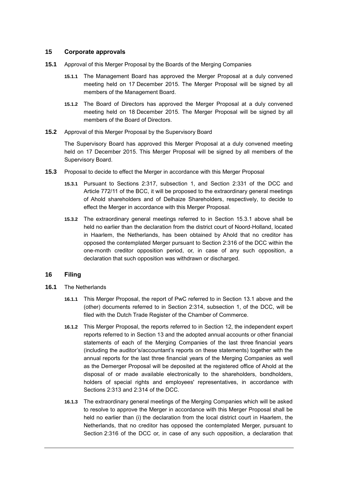#### **15 Corporate approvals**

- **15.1** Approval of this Merger Proposal by the Boards of the Merging Companies
	- **15.1.1** The Management Board has approved the Merger Proposal at a duly convened meeting held on 17 December 2015. The Merger Proposal will be signed by all members of the Management Board.
	- **15.1.2** The Board of Directors has approved the Merger Proposal at a duly convened meeting held on 18 December 2015. The Merger Proposal will be signed by all members of the Board of Directors.
- **15.2** Approval of this Merger Proposal by the Supervisory Board

The Supervisory Board has approved this Merger Proposal at a duly convened meeting held on 17 December 2015. This Merger Proposal will be signed by all members of the Supervisory Board.

- <span id="page-27-0"></span>**15.3** Proposal to decide to effect the Merger in accordance with this Merger Proposal
	- **15.3.1** Pursuant to Sections 2:317, subsection 1, and Section 2:331 of the DCC and Article 772/11 of the BCC, it will be proposed to the extraordinary general meetings of Ahold shareholders and of Delhaize Shareholders, respectively, to decide to effect the Merger in accordance with this Merger Proposal.
	- **15.3.2** The extraordinary general meetings referred to in Section [15.3.1](#page-27-0) above shall be held no earlier than the declaration from the district court of Noord-Holland, located in Haarlem, the Netherlands, has been obtained by Ahold that no creditor has opposed the contemplated Merger pursuant to Section 2:316 of the DCC within the one-month creditor opposition period, or, in case of any such opposition, a declaration that such opposition was withdrawn or discharged.

#### **16 Filing**

- <span id="page-27-1"></span>**16.1** The Netherlands
	- **16.1.1** This Merger Proposal, the report of PwC referred to in Section 13.1 above and the (other) documents referred to in Section 2:314, subsection 1, of the DCC, will be filed with the Dutch Trade Register of the Chamber of Commerce.
	- **16.1.2** This Merger Proposal, the reports referred to in Section [12,](#page-26-0) the independent expert reports referred to in Section [13](#page-26-4) and the adopted annual accounts or other financial statements of each of the Merging Companies of the last three financial years (including the auditor's/accountant's reports on these statements) together with the annual reports for the last three financial years of the Merging Companies as well as the Demerger Proposal will be deposited at the registered office of Ahold at the disposal of or made available electronically to the shareholders, bondholders, holders of special rights and employees' representatives, in accordance with Sections 2:313 and 2:314 of the DCC.
	- **16.1.3** The extraordinary general meetings of the Merging Companies which will be asked to resolve to approve the Merger in accordance with this Merger Proposal shall be held no earlier than (i) the declaration from the local district court in Haarlem, the Netherlands, that no creditor has opposed the contemplated Merger, pursuant to Section 2:316 of the DCC or, in case of any such opposition, a declaration that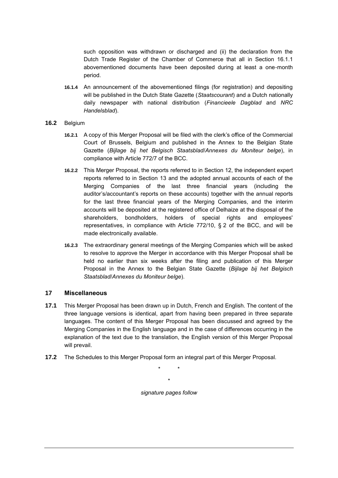such opposition was withdrawn or discharged and (ii) the declaration from the Dutch Trade Register of the Chamber of Commerce that all in Section [16.1.1](#page-27-1) abovementioned documents have been deposited during at least a one-month period.

- **16.1.4** An announcement of the abovementioned filings (for registration) and depositing will be published in the Dutch State Gazette (*Staatscourant*) and a Dutch nationally daily newspaper with national distribution (*Financieele Dagblad* and *NRC Handelsblad*).
- **16.2** Belgium
	- **16.2.1** A copy of this Merger Proposal will be filed with the clerk's office of the Commercial Court of Brussels, Belgium and published in the Annex to the Belgian State Gazette (*Bijlage bij het Belgisch Staatsblad*/*Annexes du Moniteur belge*), in compliance with Article 772/7 of the BCC.
	- **16.2.2** This Merger Proposal, the reports referred to in Section [12,](#page-26-0) the independent expert reports referred to in Section [13](#page-26-4) and the adopted annual accounts of each of the Merging Companies of the last three financial years (including the auditor's/accountant's reports on these accounts) together with the annual reports for the last three financial years of the Merging Companies, and the interim accounts will be deposited at the registered office of Delhaize at the disposal of the shareholders, bondholders, holders of special rights and employees' representatives, in compliance with Article 772/10, § 2 of the BCC, and will be made electronically available.
	- **16.2.3** The extraordinary general meetings of the Merging Companies which will be asked to resolve to approve the Merger in accordance with this Merger Proposal shall be held no earlier than six weeks after the filing and publication of this Merger Proposal in the Annex to the Belgian State Gazette (*Bijlage bij het Belgisch Staatsblad*/*Annexes du Moniteur belge*).

#### **17 Miscellaneous**

- **17.1** This Merger Proposal has been drawn up in Dutch, French and English. The content of the three language versions is identical, apart from having been prepared in three separate languages. The content of this Merger Proposal has been discussed and agreed by the Merging Companies in the English language and in the case of differences occurring in the explanation of the text due to the translation, the English version of this Merger Proposal will prevail.
- **17.2** The Schedules to this Merger Proposal form an integral part of this Merger Proposal.

\* \* \* *signature pages follow*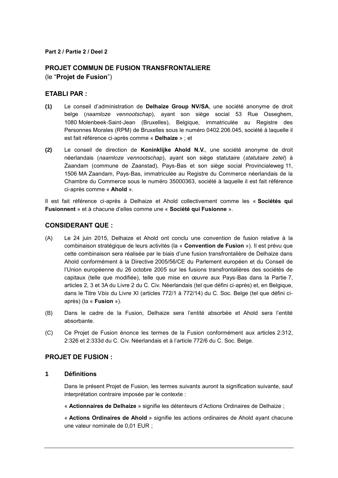#### **Part 2 / Partie 2 / Deel 2**

## **PROJET COMMUN DE FUSION TRANSFRONTALIERE**

(le "**Projet de Fusion**")

#### **ETABLI PAR :**

- **(1)** Le conseil d'administration de **Delhaize Group NV/SA**, une société anonyme de droit belge (*naamloze vennootschap*), ayant son siège social 53 Rue Osseghem, 1080 Molenbeek-Saint-Jean (Bruxelles), Belgique, immatriculée au Registre des Personnes Morales (RPM) de Bruxelles sous le numéro 0402.206.045, société à laquelle il est fait référence ci-après comme « **Delhaize** » ; et
- **(2)** Le conseil de direction de **Koninklijke Ahold N.V.**, une société anonyme de droit néerlandais (*naamloze vennootschap*), ayant son siège statutaire (*statutaire zetel*) à Zaandam (commune de Zaanstad), Pays-Bas et son siège social Provincialeweg 11, 1506 MA Zaandam, Pays-Bas, immatriculée au Registre du Commerce néerlandais de la Chambre du Commerce sous le numéro 35000363, société à laquelle il est fait référence ci-après comme « **Ahold** ».

Il est fait référence ci-après à Delhaize et Ahold collectivement comme les « **Sociétés qui Fusionnent** » et à chacune d'elles comme une « **Société qui Fusionne** ».

#### **CONSIDERANT QUE :**

- (A) Le 24 juin 2015, Delhaize et Ahold ont conclu une convention de fusion relative à la combinaison stratégique de leurs activités (la « **Convention de Fusion** »). Il est prévu que cette combinaison sera réalisée par le biais d'une fusion transfrontalière de Delhaize dans Ahold conformément à la Directive 2005/56/CE du Parlement européen et du Conseil de l'Union européenne du 26 octobre 2005 sur les fusions transfrontalières des sociétés de capitaux (telle que modifiée), telle que mise en œuvre aux Pays-Bas dans la Partie 7, articles 2, 3 et 3A du Livre 2 du C. Civ. Néerlandais (tel que défini ci-après) et, en Belgique, dans le Titre V*bis* du Livre XI (articles 772/1 à 772/14) du C. Soc. Belge (tel que défini ciaprès) (la « **Fusion** »).
- (B) Dans le cadre de la Fusion, Delhaize sera l'entité absorbée et Ahold sera l'entité absorbante.
- (C) Ce Projet de Fusion énonce les termes de la Fusion conformément aux articles 2:312, 2:326 et 2:333d du C. Civ. Néerlandais et à l'article 772/6 du C. Soc. Belge.

#### **PROJET DE FUSION :**

#### **1 Définitions**

Dans le présent Projet de Fusion, les termes suivants auront la signification suivante, sauf interprétation contraire imposée par le contexte :

« **Actionnaires de Delhaize** » signifie les détenteurs d'Actions Ordinaires de Delhaize ;

« **Actions Ordinaires de Ahold** » signifie les actions ordinaires de Ahold ayant chacune une valeur nominale de 0,01 EUR ;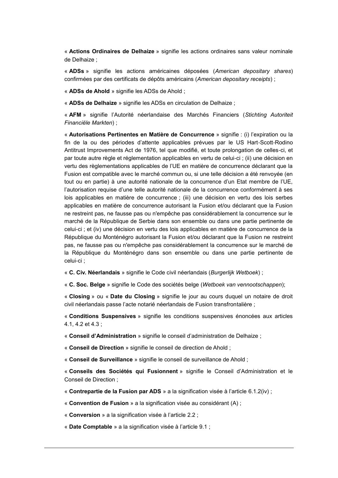« **Actions Ordinaires de Delhaize** » signifie les actions ordinaires sans valeur nominale de Delhaize ;

« **ADSs** » signifie les actions américaines déposées (*American depositary shares*) confirmées par des certificats de dépôts américains (*American depositary receipts*) ;

« **ADSs de Ahold** » signifie les ADSs de Ahold ;

« **ADSs de Delhaize** » signifie les ADSs en circulation de Delhaize ;

« **AFM** » signifie l'Autorité néerlandaise des Marchés Financiers (*Stichting Autoriteit Financiële Markten*) ;

« **Autorisations Pertinentes en Matière de Concurrence** » signifie : (i) l'expiration ou la fin de la ou des périodes d'attente applicables prévues par le US Hart-Scott-Rodino Antitrust Improvements Act de 1976, tel que modifié, et toute prolongation de celles-ci, et par toute autre règle et réglementation applicables en vertu de celui-ci ; (ii) une décision en vertu des règlementations applicables de l'UE en matière de concurrence déclarant que la Fusion est compatible avec le marché commun ou, si une telle décision a été renvoyée (en tout ou en partie) à une autorité nationale de la concurrence d'un Etat membre de l'UE, l'autorisation requise d'une telle autorité nationale de la concurrence conformément à ses lois applicables en matière de concurrence ; (iii) une décision en vertu des lois serbes applicables en matière de concurrence autorisant la Fusion et/ou déclarant que la Fusion ne restreint pas, ne fausse pas ou n'empêche pas considérablement la concurrence sur le marché de la République de Serbie dans son ensemble ou dans une partie pertinente de celui-ci ; et (iv) une décision en vertu des lois applicables en matière de concurrence de la République du Monténégro autorisant la Fusion et/ou déclarant que la Fusion ne restreint pas, ne fausse pas ou n'empêche pas considérablement la concurrence sur le marché de la République du Monténégro dans son ensemble ou dans une partie pertinente de celui-ci ;

« **C. Civ. Néerlandais** » signifie le Code civil néerlandais (*Burgerlijk Wetboek*) ;

« **C. Soc. Belge** » signifie le Code des sociétés belge (*Wetboek van vennootschappen*);

« **Closing** » ou « **Date du Closing** » signifie le jour au cours duquel un notaire de droit civil néerlandais passe l'acte notarié néerlandais de Fusion transfrontalière ;

« **Conditions Suspensives** » signifie les conditions suspensives énoncées aux articles [4.1,](#page-9-1) [4.2](#page-10-0) et [4.3](#page-11-1) ;

« **Conseil d'Administration** » signifie le conseil d'administration de Delhaize ;

« **Conseil de Direction** » signifie le conseil de direction de Ahold ;

« **Conseil de Surveillance** » signifie le conseil de surveillance de Ahold ;

« **Conseils des Sociétés qui Fusionnent** » signifie le Conseil d'Administration et le Conseil de Direction ;

« **Contrepartie de la Fusion par ADS** » a la signification visée à l'article [6.1.2\(iv\)](#page-41-0) ;

« **Convention de Fusion** » a la signification visée au considérant [\(A\)](#page-2-0) ;

« **Conversion** » a la signification visée à l'article [2.2](#page-35-0) ;

« **Date Comptable** » a la signification visée à l'article [9.1](#page-44-0) ;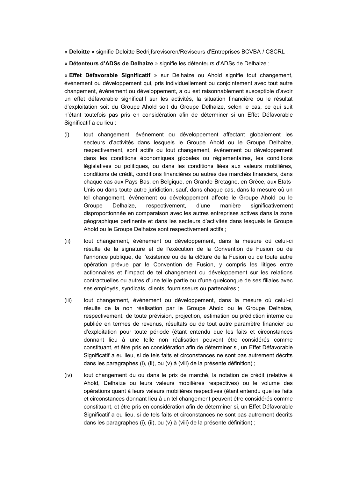« **Deloitte** » signifie Deloitte Bedrijfsrevisoren/Reviseurs d'Entreprises BCVBA / CSCRL ;

« **Détenteurs d'ADSs de Delhaize** » signifie les détenteurs d'ADSs de Delhaize ;

« **Effet Défavorable Significatif** » sur Delhaize ou Ahold signifie tout changement, événement ou développement qui, pris individuellement ou conjointement avec tout autre changement, événement ou développement, a ou est raisonnablement susceptible d'avoir un effet défavorable significatif sur les activités, la situation financière ou le résultat d'exploitation soit du Groupe Ahold soit du Groupe Delhaize, selon le cas, ce qui suit n'étant toutefois pas pris en considération afin de déterminer si un Effet Défavorable Significatif a eu lieu :

- <span id="page-31-0"></span>(i) tout changement, événement ou développement affectant globalement les secteurs d'activités dans lesquels le Groupe Ahold ou le Groupe Delhaize, respectivement, sont actifs ou tout changement, événement ou développement dans les conditions économiques globales ou réglementaires, les conditions législatives ou politiques, ou dans les conditions liées aux valeurs mobilières, conditions de crédit, conditions financières ou autres des marchés financiers, dans chaque cas aux Pays-Bas, en Belgique, en Grande-Bretagne, en Grèce, aux Etats-Unis ou dans toute autre juridiction, sauf, dans chaque cas, dans la mesure où un tel changement, événement ou développement affecte le Groupe Ahold ou le Groupe Delhaize, respectivement, d'une manière significativement disproportionnée en comparaison avec les autres entreprises actives dans la zone géographique pertinente et dans les secteurs d'activités dans lesquels le Groupe Ahold ou le Groupe Delhaize sont respectivement actifs ;
- <span id="page-31-1"></span>(ii) tout changement, événement ou développement, dans la mesure où celui-ci résulte de la signature et de l'exécution de la Convention de Fusion ou de l'annonce publique, de l'existence ou de la clôture de la Fusion ou de toute autre opération prévue par le Convention de Fusion, y compris les litiges entre actionnaires et l'impact de tel changement ou développement sur les relations contractuelles ou autres d'une telle partie ou d'une quelconque de ses filiales avec ses employés, syndicats, clients, fournisseurs ou partenaires ;
- (iii) tout changement, événement ou développement, dans la mesure où celui-ci résulte de la non réalisation par le Groupe Ahold ou le Groupe Delhaize, respectivement, de toute prévision, projection, estimation ou prédiction interne ou publiée en termes de revenus, résultats ou de tout autre paramètre financier ou d'exploitation pour toute période (étant entendu que les faits et circonstances donnant lieu à une telle non réalisation peuvent être considérés comme constituant, et être pris en considération afin de déterminer si, un Effet Défavorable Significatif a eu lieu, si de tels faits et circonstances ne sont pas autrement décrits dans les paragraphes [\(i\),](#page-31-0) [\(ii\),](#page-31-1) ou [\(v\)](#page-32-0) à [\(viii\)](#page-32-1) de la présente définition) ;
- (iv) tout changement du ou dans le prix de marché, la notation de crédit (relative à Ahold, Delhaize ou leurs valeurs mobilières respectives) ou le volume des opérations quant à leurs valeurs mobilières respectives (étant entendu que les faits et circonstances donnant lieu à un tel changement peuvent être considérés comme constituant, et être pris en considération afin de déterminer si, un Effet Défavorable Significatif a eu lieu, si de tels faits et circonstances ne sont pas autrement décrits dans les paragraphes [\(i\),](#page-31-0) [\(ii\),](#page-31-1) ou [\(v\)](#page-32-0) à [\(viii\)](#page-32-1) de la présente définition) ;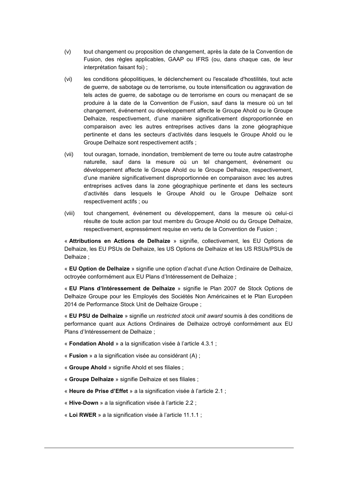- <span id="page-32-0"></span>(v) tout changement ou proposition de changement, après la date de la Convention de Fusion, des règles applicables, GAAP ou IFRS (ou, dans chaque cas, de leur interprétation faisant foi) ;
- (vi) les conditions géopolitiques, le déclenchement ou l'escalade d'hostilités, tout acte de guerre, de sabotage ou de terrorisme, ou toute intensification ou aggravation de tels actes de guerre, de sabotage ou de terrorisme en cours ou menaçant de se produire à la date de la Convention de Fusion, sauf dans la mesure où un tel changement, événement ou développement affecte le Groupe Ahold ou le Groupe Delhaize, respectivement, d'une manière significativement disproportionnée en comparaison avec les autres entreprises actives dans la zone géographique pertinente et dans les secteurs d'activités dans lesquels le Groupe Ahold ou le Groupe Delhaize sont respectivement actifs ;
- (vii) tout ouragan, tornade, inondation, tremblement de terre ou toute autre catastrophe naturelle, sauf dans la mesure où un tel changement, événement ou développement affecte le Groupe Ahold ou le Groupe Delhaize, respectivement, d'une manière significativement disproportionnée en comparaison avec les autres entreprises actives dans la zone géographique pertinente et dans les secteurs d'activités dans lesquels le Groupe Ahold ou le Groupe Delhaize sont respectivement actifs ; ou
- <span id="page-32-1"></span>(viii) tout changement, événement ou développement, dans la mesure où celui-ci résulte de toute action par tout membre du Groupe Ahold ou du Groupe Delhaize, respectivement, expressément requise en vertu de la Convention de Fusion ;

« **Attributions en Actions de Delhaize** » signifie, collectivement, les EU Options de Delhaize, les EU PSUs de Delhaize, les US Options de Delhaize et les US RSUs/PSUs de Delhaize ;

« **EU Option de Delhaize** » signifie une option d'achat d'une Action Ordinaire de Delhaize, octroyée conformément aux EU Plans d'Intéressement de Delhaize ;

« **EU Plans d'Intéressement de Delhaize** » signifie le Plan 2007 de Stock Options de Delhaize Groupe pour les Employés des Sociétés Non Américaines et le Plan Européen 2014 de Performance Stock Unit de Delhaize Groupe ;

« **EU PSU de Delhaize** » signifie un *restricted stock unit award* soumis à des conditions de performance quant aux Actions Ordinaires de Delhaize octroyé conformément aux EU Plans d'Intéressement de Delhaize ;

- « **Fondation Ahold** » a la signification visée à l'article [4.3.1](#page-11-0) ;
- « **Fusion** » a la signification visée au considérant [\(A\)](#page-2-0) ;
- « **Groupe Ahold** » signifie Ahold et ses filiales ;
- « **Groupe Delhaize** » signifie Delhaize et ses filiales ;
- « **Heure de Prise d'Effet** » a la signification visée à l'article [2.1](#page-34-0) ;
- « **Hive-Down** » a la signification visée à l'article [2.2](#page-7-0) ;
- « **Loi RWER** » a la signification visée à l'article [11.1.1](#page-23-0) ;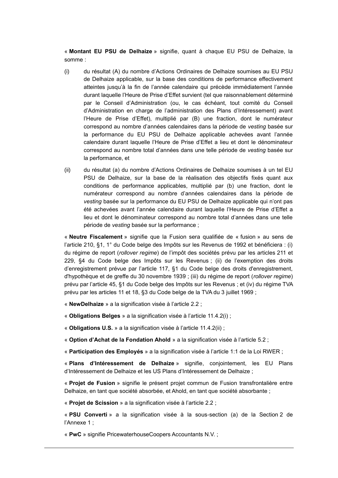« **Montant EU PSU de Delhaize** » signifie, quant à chaque EU PSU de Delhaize, la somme :

- (i) du résultat (A) du nombre d'Actions Ordinaires de Delhaize soumises au EU PSU de Delhaize applicable, sur la base des conditions de performance effectivement atteintes jusqu'à la fin de l'année calendaire qui précède immédiatement l'année durant laquelle l'Heure de Prise d'Effet survient (tel que raisonnablement déterminé par le Conseil d'Administration (ou, le cas échéant, tout comité du Conseil d'Administration en charge de l'administration des Plans d'Intéressement) avant l'Heure de Prise d'Effet), multiplié par (B) une fraction, dont le numérateur correspond au nombre d'années calendaires dans la période de *vesting* basée sur la performance du EU PSU de Delhaize applicable achevées avant l'année calendaire durant laquelle l'Heure de Prise d'Effet a lieu et dont le dénominateur correspond au nombre total d'années dans une telle période de *vesting* basée sur la performance, et
- (ii) du résultat (a) du nombre d'Actions Ordinaires de Delhaize soumises à un tel EU PSU de Delhaize, sur la base de la réalisation des objectifs fixés quant aux conditions de performance applicables, multiplié par (b) une fraction, dont le numérateur correspond au nombre d'années calendaires dans la période de *vesting* basée sur la performance du EU PSU de Delhaize applicable qui n'ont pas été achevées avant l'année calendaire durant laquelle l'Heure de Prise d'Effet a lieu et dont le dénominateur correspond au nombre total d'années dans une telle période de *vesting* basée sur la performance ;

« **Neutre Fiscalement** » signifie que la Fusion sera qualifiée de « fusion » au sens de l'article 210, §1, 1° du Code belge des Impôts sur les Revenus de 1992 et bénéficiera : (i) du régime de report (*rollover regime*) de l'impôt des sociétés prévu par les articles 211 et 229, §4 du Code belge des Impôts sur les Revenus ; (ii) de l'exemption des droits d'enregistrement prévue par l'article 117, §1 du Code belge des droits d'enregistrement, d'hypothèque et de greffe du 30 novembre 1939 ; (iii) du régime de report (*rollover regime*) prévu par l'article 45, §1 du Code belge des Impôts sur les Revenus ; et (iv) du régime TVA prévu par les articles 11 et 18, §3 du Code belge de la TVA du 3 juillet 1969 ;

« **NewDelhaize** » a la signification visée à l'article [2.2](#page-35-0) ;

« **Obligations Belges** » a la signification visée à l'article [11.4.2\(i\)](#page-25-0) ;

« **Obligations U.S.** » a la signification visée à l'article [11.4.2\(ii\)](#page-25-1) ;

« **Option d'Achat de la Fondation Ahold** » a la signification visée à l'article [5.2](#page-39-0) ;

« **Participation des Employés** » a la signification visée à l'article 1:1 de la Loi RWER ;

« **Plans d'Intéressement de Delhaize** » signifie, conjointement, les EU Plans d'Intéressement de Delhaize et les US Plans d'Intéressement de Delhaize ;

« **Projet de Fusion** » signifie le présent projet commun de Fusion transfrontalière entre Delhaize, en tant que société absorbée, et Ahold, en tant que société absorbante ;

« **Projet de Scission** » a la signification visée à l'article [2.2](#page-35-0) ;

« **PSU Converti** » a la signification visée à la sous-section (a) de la Section 2 de l'Annexe 1 ;

« **PwC** » signifie PricewaterhouseCoopers Accountants N.V. ;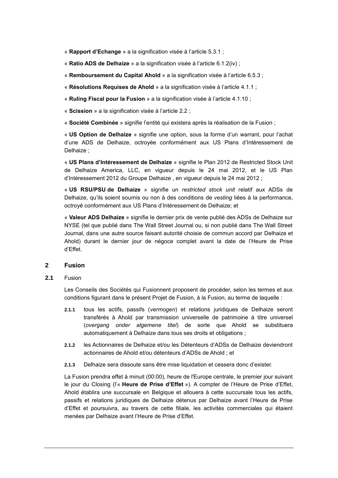- « **Rapport d'Echange** » a la signification visée à l'article [5.3.1](#page-40-0) ;
- « **Ratio ADS de Delhaize** » a la signification visée à l'article [6.1.2\(iv\)](#page-41-0) ;
- « **Remboursement du Capital Ahold** » a la signification visée à l'article [6.5.3](#page-43-0) ;
- « **Résolutions Requises de Ahold** » a la signification visée à l'article [4.1.1](#page-9-0) ;
- « **Ruling Fiscal pour la Fusion** » a la signification visée à l'article [4.1.10](#page-10-1) ;
- « **Scission** » a la signification visée à l'article [2.2](#page-35-0) ;

« **Société Combinée** » signifie l'entité qui existera après la réalisation de la Fusion ;

« **US Option de Delhaize** » signifie une option, sous la forme d'un warrant, pour l'achat d'une ADS de Delhaize, octroyée conformément aux US Plans d'Intéressement de Delhaize ;

« **US Plans d'Intéressement de Delhaize** » signifie le Plan 2012 de Restricted Stock Unit de Delhaize America, LLC, en vigueur depuis le 24 mai 2012, et le US Plan d'Intéressement 2012 du Groupe Delhaize , en vigueur depuis le 24 mai 2012 ;

« **US RSU/PSU de Delhaize** » signifie un *restricted stock unit* relatif aux ADSs de Delhaize, qu'ils soient soumis ou non à des conditions de *vesting* liées à la performance, octroyé conformément aux US Plans d'Intéressement de Delhaize; et

« **Valeur ADS Delhaize** » signifie le dernier prix de vente publié des ADSs de Delhaize sur NYSE (tel que publié dans The Wall Street Journal ou, si non publié dans The Wall Street Journal, dans une autre source faisant autorité choisie de commun accord par Delhaize et Ahold) durant le dernier jour de négoce complet avant la date de l'Heure de Prise d'Effet.

#### **2 Fusion**

<span id="page-34-0"></span>**2.1** Fusion

Les Conseils des Sociétés qui Fusionnent proposent de procéder, selon les termes et aux conditions figurant dans le présent Projet de Fusion, à la Fusion, au terme de laquelle :

- **2.1.1** tous les actifs, passifs (*vermogen*) et relations juridiques de Delhaize seront transférés à Ahold par transmission universelle de patrimoine à titre universel (*overgang onder algemene titel*) de sorte que Ahold se substituera automatiquement à Delhaize dans tous ses droits et obligations ;
- **2.1.2** les Actionnaires de Delhaize et/ou les Détenteurs d'ADSs de Delhaize deviendront actionnaires de Ahold et/ou détenteurs d'ADSs de Ahold ; et
- **2.1.3** Delhaize sera dissoute sans être mise liquidation et cessera donc d'exister.

La Fusion prendra effet à minuit (00:00), heure de l'Europe centrale, le premier jour suivant le jour du Closing (l'« **Heure de Prise d'Effet** »). A compter de l'Heure de Prise d'Effet, Ahold établira une succursale en Belgique et allouera à cette succursale tous les actifs, passifs et relations juridiques de Delhaize détenus par Delhaize avant l'Heure de Prise d'Effet et poursuivra, au travers de cette filiale, les activités commerciales qui étaient menées par Delhaize avant l'Heure de Prise d'Effet.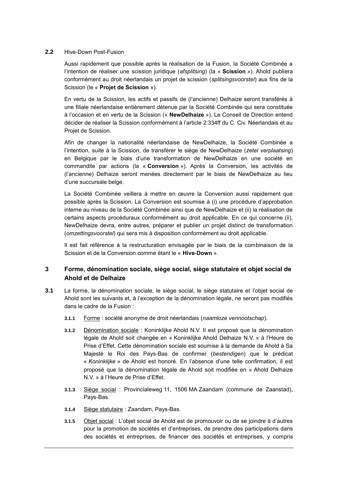#### <span id="page-35-0"></span>**2.2** Hive-Down Post-Fusion

Aussi rapidement que possible après la réalisation de la Fusion, la Société Combinée a l'intention de réaliser une scission juridique (*afsplitsing*) (la « **Scission** »). Ahold publiera conformément au droit néerlandais un projet de scission (*splitsingsvoorstel*) aux fins de la Scission (le « **Projet de Scission** »).

En vertu de la Scission, les actifs et passifs de (l'ancienne) Delhaize seront transférés à une filiale néerlandaise entièrement détenue par la Société Combinée qui sera constituée à l'occasion et en vertu de la Scission (« **NewDelhaize** »). Le Conseil de Direction entend décider de réaliser la Scission conformément à l'article 2:334ff du C. Civ. Néerlandais et au Projet de Scission.

Afin de changer la nationalité néerlandaise de NewDelhaize, la Société Combinée a l'intention, suite à la Scission, de transférer le siège de NewDelhaize (*zetel verplaatsing*) en Belgique par le biais d'une transformation de NewDelhaize en une société en commandite par actions (la « **Conversion** »). Après la Conversion, les activités de (l'ancienne) Delhaize seront menées directement par le biais de NewDelhaize au lieu d'une succursale belge.

La Société Combinée veillera à mettre en œuvre la Conversion aussi rapidement que possible après la Scission. La Conversion est soumise à (i) une procédure d'approbation interne au niveau de la Société Combinée ainsi que de NewDelhaize et (ii) la réalisation de certains aspects procéduraux conformément au droit applicable. En ce qui concerne (ii), NewDelhaize devra, entre autres, préparer et publier un projet distinct de transformation (*omzettingsvoorstel*) qui sera mis à disposition conformément au droit applicable.

Il est fait référence à la restructuration envisagée par le biais de la combinaison de la Scission et de la Conversion comme étant le « **Hive-Down** ».

#### **3 Forme, dénomination sociale, siège social, siège statutaire et objet social de Ahold et de Delhaize**

- **3.1** La forme, la dénomination sociale, le siège social, le siège statutaire et l'objet social de Ahold sont les suivants et, à l'exception de la dénomination légale, ne seront pas modifiés dans le cadre de la Fusion :
	- **3.1.1** Forme : société anonyme de droit néerlandais (*naamloze vennootschap*).
	- **3.1.2** Dénomination sociale : Koninklijke Ahold N.V. Il est proposé que la dénomination légale de Ahold soit changée en « Koninklijke Ahold Delhaize N.V. » à l'Heure de Prise d'Effet. Cette dénomination sociale est soumise à la demande de Ahold à Sa Majesté le Roi des Pays-Bas de confirmer (*bestendigen*) que le prédicat « *Koninklijke* » de Ahold est honoré. En l'absence d'une telle confirmation, il est proposé que la dénomination légale de Ahold soit modifiée en « Ahold Delhaize N.V. » à l'Heure de Prise d'Effet.
	- **3.1.3** Siège social : Provincialeweg 11, 1506 MA Zaandam (commune de Zaanstad), Pays-Bas.
	- **3.1.4** Siège statutaire : Zaandam, Pays-Bas.
	- **3.1.5** Objet social : L'objet social de Ahold est de promouvoir ou de se joindre à d'autres pour la promotion de sociétés et d'entreprises, de prendre des participations dans des sociétés et entreprises, de financer des sociétés et entreprises, y compris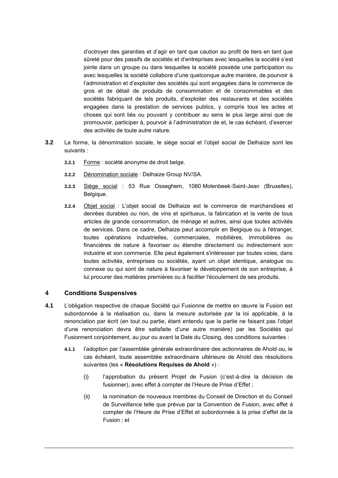d'octroyer des garanties et d'agir en tant que caution au profit de tiers en tant que sûreté pour des passifs de sociétés et d'entreprises avec lesquelles la société s'est jointe dans un groupe ou dans lesquelles la société possède une participation ou avec lesquelles la société collabore d'une quelconque autre manière, de pourvoir à l'administration et d'exploiter des sociétés qui sont engagées dans le commerce de gros et de détail de produits de consommation et de consommables et des sociétés fabriquant de tels produits, d'exploiter des restaurants et des sociétés engagées dans la prestation de services publics, y compris tous les actes et choses qui sont liés ou pouvant y contribuer au sens le plus large ainsi que de promouvoir, participer à, pourvoir à l'administration de et, le cas échéant, d'exercer des activités de toute autre nature.

- **3.2** La forme, la dénomination sociale, le siège social et l'objet social de Delhaize sont les suivants :
	- **3.2.1** Forme : société anonyme de droit belge.
	- **3.2.2** Dénomination sociale : Delhaize Group NV/SA.
	- **3.2.3** Siège social : 53 Rue Osseghem, 1080 Molenbeek-Saint-Jean (Bruxelles), Belgique.
	- **3.2.4** Objet social : L'objet social de Delhaize est le commerce de marchandises et denrées durables ou non, de vins et spiritueux, la fabrication et la vente de tous articles de grande consommation, de ménage et autres, ainsi que toutes activités de services. Dans ce cadre, Delhaize peut accomplir en Belgique ou à l'étranger, toutes opérations industrielles, commerciales, mobilières, immobilières ou financières de nature à favoriser ou étendre directement ou indirectement son industrie et son commerce. Elle peut également s'intéresser par toutes voies, dans toutes activités, entreprises ou sociétés, ayant un objet identique, analogue ou connexe ou qui sont de nature à favoriser le développement de son entreprise, à lui procurer des matières premières ou à faciliter l'écoulement de ses produits.

#### **4 Conditions Suspensives**

- **4.1** L'obligation respective de chaque Société qui Fusionne de mettre en œuvre la Fusion est subordonnée à la réalisation ou, dans la mesure autorisée par la loi applicable, à la renonciation par écrit (en tout ou partie, étant entendu que la partie ne faisant pas l'objet d'une renonciation devra être satisfaite d'une autre manière) par les Sociétés qui Fusionnent conjointement, au jour ou avant la Date du Closing, des conditions suivantes :
	- **4.1.1** l'adoption par l'assemblée générale extraordinaire des actionnaires de Ahold ou, le cas échéant, toute assemblée extraordinaire ultérieure de Ahold des résolutions suivantes (les « **Résolutions Requises de Ahold** ») :
		- (i) l'approbation du présent Projet de Fusion (c'est-à-dire la décision de fusionner), avec effet à compter de l'Heure de Prise d'Effet ;
		- (ii) la nomination de nouveaux membres du Conseil de Direction et du Conseil de Surveillance telle que prévue par la Convention de Fusion, avec effet à compter de l'Heure de Prise d'Effet et subordonnée à la prise d'effet de la Fusion ; et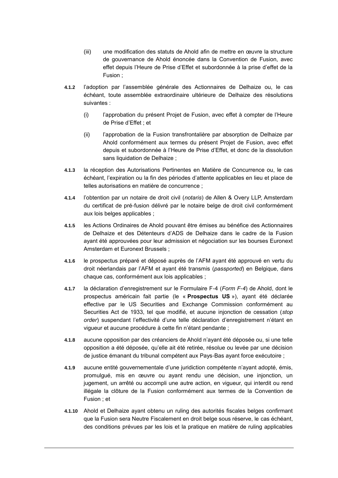- (iii) une modification des statuts de Ahold afin de mettre en œuvre la structure de gouvernance de Ahold énoncée dans la Convention de Fusion, avec effet depuis l'Heure de Prise d'Effet et subordonnée à la prise d'effet de la Fusion ;
- **4.1.2** l'adoption par l'assemblée générale des Actionnaires de Delhaize ou, le cas échéant, toute assemblée extraordinaire ultérieure de Delhaize des résolutions suivantes :
	- (i) l'approbation du présent Projet de Fusion, avec effet à compter de l'Heure de Prise d'Effet ; et
	- (ii) l'approbation de la Fusion transfrontalière par absorption de Delhaize par Ahold conformément aux termes du présent Projet de Fusion, avec effet depuis et subordonnée à l'Heure de Prise d'Effet, et donc de la dissolution sans liquidation de Delhaize ;
- **4.1.3** la réception des Autorisations Pertinentes en Matière de Concurrence ou, le cas échéant, l'expiration ou la fin des périodes d'attente applicables en lieu et place de telles autorisations en matière de concurrence ;
- **4.1.4** l'obtention par un notaire de droit civil (*notaris*) de Allen & Overy LLP, Amsterdam du certificat de pré-fusion délivré par le notaire belge de droit civil conformément aux lois belges applicables ;
- **4.1.5** les Actions Ordinaires de Ahold pouvant être émises au bénéfice des Actionnaires de Delhaize et des Détenteurs d'ADS de Delhaize dans le cadre de la Fusion ayant été approuvées pour leur admission et négociation sur les bourses Euronext Amsterdam et Euronext Brussels ;
- **4.1.6** le prospectus préparé et déposé auprès de l'AFM ayant été approuvé en vertu du droit néerlandais par l'AFM et ayant été transmis (*passported*) en Belgique, dans chaque cas, conformément aux lois applicables ;
- **4.1.7** la déclaration d'enregistrement sur le Formulaire F-4 (*Form F-4*) de Ahold, dont le prospectus américain fait partie (le « **Prospectus US** »), ayant été déclarée effective par le US Securities and Exchange Commission conformément au Securities Act de 1933, tel que modifié, et aucune injonction de cessation (*stop order*) suspendant l'effectivité d'une telle déclaration d'enregistrement n'étant en vigueur et aucune procédure à cette fin n'étant pendante ;
- **4.1.8** aucune opposition par des créanciers de Ahold n'ayant été déposée ou, si une telle opposition a été déposée, qu'elle ait été retirée, résolue ou levée par une décision de justice émanant du tribunal compétent aux Pays-Bas ayant force exécutoire ;
- **4.1.9** aucune entité gouvernementale d'une juridiction compétente n'ayant adopté, émis, promulgué, mis en œuvre ou ayant rendu une décision, une injonction, un jugement, un arrêté ou accompli une autre action, en vigueur, qui interdit ou rend illégale la clôture de la Fusion conformément aux termes de la Convention de Fusion ; et
- **4.1.10** Ahold et Delhaize ayant obtenu un ruling des autorités fiscales belges confirmant que la Fusion sera Neutre Fiscalement en droit belge sous réserve, le cas échéant, des conditions prévues par les lois et la pratique en matière de ruling applicables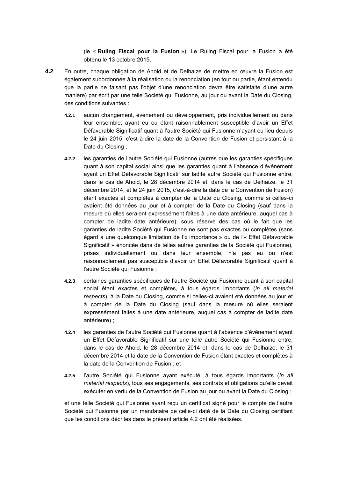(le « **Ruling Fiscal pour la Fusion** »). Le Ruling Fiscal pour la Fusion a été obtenu le 13 octobre 2015.

- **4.2** En outre, chaque obligation de Ahold et de Delhaize de mettre en œuvre la Fusion est également subordonnée à la réalisation ou la renonciation (en tout ou partie, étant entendu que la partie ne faisant pas l'objet d'une renonciation devra être satisfaite d'une autre manière) par écrit par une telle Société qui Fusionne, au jour ou avant la Date du Closing, des conditions suivantes :
	- **4.2.1** aucun changement, événement ou développement, pris individuellement ou dans leur ensemble, ayant eu ou étant raisonnablement susceptible d'avoir un Effet Défavorable Significatif quant à l'autre Société qui Fusionne n'ayant eu lieu depuis le 24 juin 2015, c'est-à-dire la date de la Convention de Fusion et persistant à la Date du Closing ;
	- **4.2.2** les garanties de l'autre Société qui Fusionne (autres que les garanties spécifiques quant à son capital social ainsi que les garanties quant à l'absence d'événement ayant un Effet Défavorable Significatif sur ladite autre Société qui Fusionne entre, dans le cas de Ahold, le 28 décembre 2014 et, dans le cas de Delhaize, le 31 décembre 2014, et le 24 juin 2015, c'est-à-dire la date de la Convention de Fusion) étant exactes et complètes à compter de la Date du Closing, comme si celles-ci avaient été données au jour et à compter de la Date du Closing (sauf dans la mesure où elles seraient expressément faites à une date antérieure, auquel cas à compter de ladite date antérieure), sous réserve des cas où le fait que les garanties de ladite Société qui Fusionne ne sont pas exactes ou complètes (sans égard à une quelconque limitation de l'« importance » ou de l'« Effet Défavorable Significatif » énoncée dans de telles autres garanties de la Société qui Fusionne), prises individuellement ou dans leur ensemble, n'a pas eu ou n'est raisonnablement pas susceptible d'avoir un Effet Défavorable Significatif quant à l'autre Société qui Fusionne ;
	- **4.2.3** certaines garanties spécifiques de l'autre Société qui Fusionne quant à son capital social étant exactes et complètes, à tous égards importants (*in all material respects*), à la Date du Closing, comme si celles-ci avaient été données au jour et à compter de la Date du Closing (sauf dans la mesure où elles seraient expressément faites à une date antérieure, auquel cas à compter de ladite date antérieure) ;
	- **4.2.4** les garanties de l'autre Société qui Fusionne quant à l'absence d'événement ayant un Effet Défavorable Significatif sur une telle autre Société qui Fusionne entre, dans le cas de Ahold, le 28 décembre 2014 et, dans le cas de Delhaize, le 31 décembre 2014 et la date de la Convention de Fusion étant exactes et complètes à la date de la Convention de Fusion ; et
	- **4.2.5** l'autre Société qui Fusionne ayant exécuté, à tous égards importants (*in all material respects*), tous ses engagements, ses contrats et obligations qu'elle devait exécuter en vertu de la Convention de Fusion au jour ou avant la Date du Closing ;

et une telle Société qui Fusionne ayant reçu un certificat signé pour le compte de l'autre Société qui Fusionne par un mandataire de celle-ci daté de la Date du Closing certifiant que les conditions décrites dans le présent article [4.2](#page-10-0) ont été réalisées.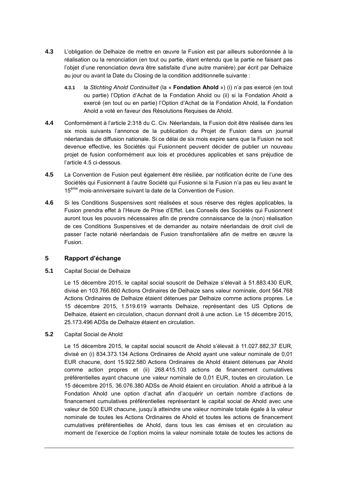- **4.3** L'obligation de Delhaize de mettre en œuvre la Fusion est par ailleurs subordonnée à la réalisation ou la renonciation (en tout ou partie, étant entendu que la partie ne faisant pas l'objet d'une renonciation devra être satisfaite d'une autre manière) par écrit par Delhaize au jour ou avant la Date du Closing de la condition additionnelle suivante :
	- **4.3.1** la *Stichting Ahold Continuïteit* (la « **Fondation Ahold** ») (i) n'a pas exercé (en tout ou partie) l'Option d'Achat de la Fondation Ahold ou (ii) si la Fondation Ahold a exercé (en tout ou en partie) l'Option d'Achat de la Fondation Ahold, la Fondation Ahold a voté en faveur des Résolutions Requises de Ahold.
- **4.4** Conformément à l'article 2:318 du C. Civ. Néerlandais, la Fusion doit être réalisée dans les six mois suivants l'annonce de la publication du Projet de Fusion dans un journal néerlandais de diffusion nationale. Si ce délai de six mois expire sans que la Fusion ne soit devenue effective, les Sociétés qui Fusionnent peuvent décider de publier un nouveau projet de fusion conformément aux lois et procédures applicables et sans préjudice de l'article [4.5](#page-39-0) ci-dessous.
- <span id="page-39-0"></span>**4.5** La Convention de Fusion peut également être résiliée, par notification écrite de l'une des Sociétés qui Fusionnent à l'autre Société qui Fusionne si la Fusion n'a pas eu lieu avant le 15<sup>ème</sup> mois-anniversaire suivant la date de la Convention de Fusion.
- **4.6** Si les Conditions Suspensives sont réalisées et sous réserve des règles applicables, la Fusion prendra effet à l'Heure de Prise d'Effet. Les Conseils des Sociétés qui Fusionnent auront tous les pouvoirs nécessaires afin de prendre connaissance de la (non) réalisation de ces Conditions Suspensives et de demander au notaire néerlandais de droit civil de passer l'acte notarié néerlandais de Fusion transfrontalière afin de mettre en œuvre la Fusion.

#### **5 Rapport d'échange**

<span id="page-39-1"></span>**5.1** Capital Social de Delhaize

Le 15 décembre 2015, le capital social souscrit de Delhaize s'élevait à 51.883.430 EUR, divisé en 103.766.860 Actions Ordinaires de Delhaize sans valeur nominale, dont 564.768 Actions Ordinaires de Delhaize étaient détenues par Delhaize comme actions propres. Le 15 décembre 2015, 1.519.619 warrants Delhaize, représentant des US Options de Delhaize, étaient en circulation, chacun donnant droit à une action. Le 15 décembre 2015, 25.173.496 ADSs de Delhaize étaient en circulation.

<span id="page-39-2"></span>**5.2** Capital Social de Ahold

Le 15 décembre 2015, le capital social souscrit de Ahold s'élevait à 11.027.882,37 EUR, divisé en (i) 834.373.134 Actions Ordinaires de Ahold ayant une valeur nominale de 0,01 EUR chacune, dont 15.922.580 Actions Ordinaires de Ahold étaient détenues par Ahold comme action propres et (ii) 268.415.103 actions de financement cumulatives préférentielles ayant chacune une valeur nominale de 0,01 EUR, toutes en circulation. Le 15 décembre 2015, 36.076.380 ADSs de Ahold étaient en circulation. Ahold a attribué à la Fondation Ahold une option d'achat afin d'acquérir un certain nombre d'actions de financement cumulatives préférentielles représentant le capital social de Ahold avec une valeur de 500 EUR chacune, jusqu'à atteindre une valeur nominale totale égale à la valeur nominale de toutes les Actions Ordinaires de Ahold et toutes les actions de financement cumulatives préférentielles de Ahold, dans tous les cas émises et en circulation au moment de l'exercice de l'option moins la valeur nominale totale de toutes les actions de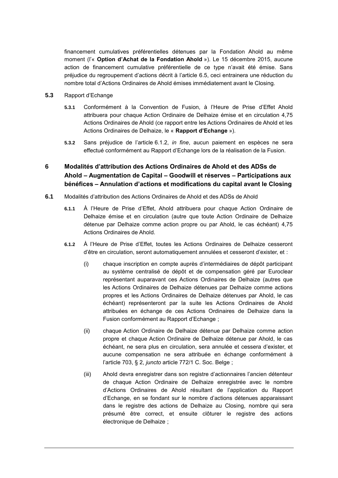financement cumulatives préférentielles détenues par la Fondation Ahold au même moment (l'« **Option d'Achat de la Fondation Ahold** »). Le 15 décembre 2015, aucune action de financement cumulative préférentielle de ce type n'avait été émise. Sans préjudice du regroupement d'actions décrit à l'article [6.5,](#page-43-0) ceci entrainera une réduction du nombre total d'Actions Ordinaires de Ahold émises immédiatement avant le Closing.

- **5.3** Rapport d'Echange
	- **5.3.1** Conformément à la Convention de Fusion, à l'Heure de Prise d'Effet Ahold attribuera pour chaque Action Ordinaire de Delhaize émise et en circulation 4,75 Actions Ordinaires de Ahold (ce rapport entre les Actions Ordinaires de Ahold et les Actions Ordinaires de Delhaize, le « **Rapport d'Echange** »).
	- **5.3.2** Sans préjudice de l'article [6.1.2,](#page-40-0) *in fine*, aucun paiement en espèces ne sera effectué conformément au Rapport d'Echange lors de la réalisation de la Fusion.

# **6 Modalités d'attribution des Actions Ordinaires de Ahold et des ADSs de Ahold – Augmentation de Capital – Goodwill et réserves – Participations aux bénéfices – Annulation d'actions et modifications du capital avant le Closing**

- <span id="page-40-0"></span>**6.1** Modalités d'attribution des Actions Ordinaires de Ahold et des ADSs de Ahold
	- **6.1.1** À l'Heure de Prise d'Effet, Ahold attribuera pour chaque Action Ordinaire de Delhaize émise et en circulation (autre que toute Action Ordinaire de Delhaize détenue par Delhaize comme action propre ou par Ahold, le cas échéant) 4,75 Actions Ordinaires de Ahold.
	- **6.1.2** À l'Heure de Prise d'Effet, toutes les Actions Ordinaires de Delhaize cesseront d'être en circulation, seront automatiquement annulées et cesseront d'exister, et :
		- (i) chaque inscription en compte auprès d'intermédiaires de dépôt participant au système centralisé de dépôt et de compensation géré par Euroclear représentant auparavant ces Actions Ordinaires de Delhaize (autres que les Actions Ordinaires de Delhaize détenues par Delhaize comme actions propres et les Actions Ordinaires de Delhaize détenues par Ahold, le cas échéant) représenteront par la suite les Actions Ordinaires de Ahold attribuées en échange de ces Actions Ordinaires de Delhaize dans la Fusion conformément au Rapport d'Echange ;
		- (ii) chaque Action Ordinaire de Delhaize détenue par Delhaize comme action propre et chaque Action Ordinaire de Delhaize détenue par Ahold, le cas échéant, ne sera plus en circulation, sera annulée et cessera d'exister, et aucune compensation ne sera attribuée en échange conformément à l'article 703, § 2, *juncto* article 772/1 C. Soc. Belge ;
		- (iii) Ahold devra enregistrer dans son registre d'actionnaires l'ancien détenteur de chaque Action Ordinaire de Delhaize enregistrée avec le nombre d'Actions Ordinaires de Ahold résultant de l'application du Rapport d'Echange, en se fondant sur le nombre d'actions détenues apparaissant dans le registre des actions de Delhaize au Closing, nombre qui sera présumé être correct, et ensuite clôturer le registre des actions électronique de Delhaize ;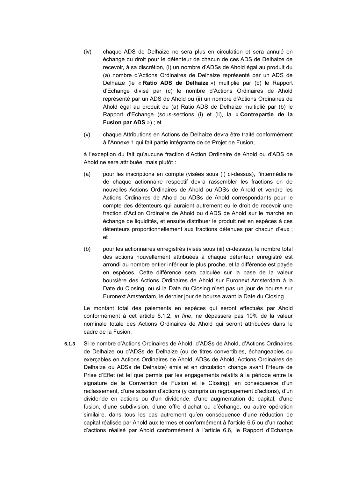- (iv) chaque ADS de Delhaize ne sera plus en circulation et sera annulé en échange du droit pour le détenteur de chacun de ces ADS de Delhaize de recevoir, à sa discrétion, (i) un nombre d'ADSs de Ahold égal au produit du (a) nombre d'Actions Ordinaires de Delhaize représenté par un ADS de Delhaize (le « **Ratio ADS de Delhaize** ») multiplié par (b) le Rapport d'Echange divisé par (c) le nombre d'Actions Ordinaires de Ahold représenté par un ADS de Ahold ou (ii) un nombre d'Actions Ordinaires de Ahold égal au produit du (a) Ratio ADS de Delhaize multiplié par (b) le Rapport d'Echange (sous-sections (i) et (ii), la « **Contrepartie de la Fusion par ADS** ») ; et
- (v) chaque Attributions en Actions de Delhaize devra être traité conformément à l'Annexe 1 qui fait partie intégrante de ce Projet de Fusion,

à l'exception du fait qu'aucune fraction d'Action Ordinaire de Ahold ou d'ADS de Ahold ne sera attribuée, mais plutôt :

- (a) pour les inscriptions en compte (visées sous (i) ci-dessus), l'intermédiaire de chaque actionnaire respectif devra rassembler les fractions en de nouvelles Actions Ordinaires de Ahold ou ADSs de Ahold et vendre les Actions Ordinaires de Ahold ou ADSs de Ahold correspondants pour le compte des détenteurs qui auraient autrement eu le droit de recevoir une fraction d'Action Ordinaire de Ahold ou d'ADS de Ahold sur le marché en échange de liquidités, et ensuite distribuer le produit net en espèces à ces détenteurs proportionnellement aux fractions détenues par chacun d'eux ; et
- (b) pour les actionnaires enregistrés (visés sous (iii) ci-dessus), le nombre total des actions nouvellement attribuées à chaque détenteur enregistré est arrondi au nombre entier inférieur le plus proche, et la différence est payée en espèces. Cette différence sera calculée sur la base de la valeur boursière des Actions Ordinaires de Ahold sur Euronext Amsterdam à la Date du Closing, ou si la Date du Closing n'est pas un jour de bourse sur Euronext Amsterdam, le dernier jour de bourse avant la Date du Closing.

Le montant total des paiements en espèces qui seront effectués par Ahold conformément à cet article [6.1.2,](#page-40-0) *in fine*, ne dépassera pas 10% de la valeur nominale totale des Actions Ordinaires de Ahold qui seront attribuées dans le cadre de la Fusion.

**6.1.3** Si le nombre d'Actions Ordinaires de Ahold, d'ADSs de Ahold, d'Actions Ordinaires de Delhaize ou d'ADSs de Delhaize (ou de titres convertibles, échangeables ou exerçables en Actions Ordinaires de Ahold, ADSs de Ahold, Actions Ordinaires de Delhaize ou ADSs de Delhaize) émis et en circulation change avant l'Heure de Prise d'Effet (et tel que permis par les engagements relatifs à la période entre la signature de la Convention de Fusion et le Closing), en conséquence d'un reclassement, d'une scission d'actions (y compris un regroupement d'actions), d'un dividende en actions ou d'un dividende, d'une augmentation de capital, d'une fusion, d'une subdivision, d'une offre d'achat ou d'échange, ou autre opération similaire, dans tous les cas autrement qu'en conséquence d'une réduction de capital réalisée par Ahold aux termes et conformément à l'article [6.5](#page-43-0) ou d'un rachat d'actions réalisé par Ahold conformément à l'article [6.6,](#page-43-1) le Rapport d'Echange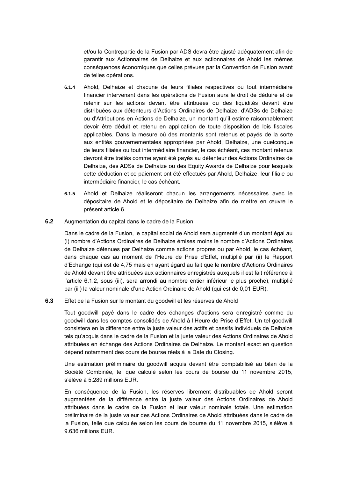et/ou la Contrepartie de la Fusion par ADS devra être ajusté adéquatement afin de garantir aux Actionnaires de Delhaize et aux actionnaires de Ahold les mêmes conséquences économiques que celles prévues par la Convention de Fusion avant de telles opérations.

- **6.1.4** Ahold, Delhaize et chacune de leurs filiales respectives ou tout intermédiaire financier intervenant dans les opérations de Fusion aura le droit de déduire et de retenir sur les actions devant être attribuées ou des liquidités devant être distribuées aux détenteurs d'Actions Ordinaires de Delhaize, d'ADSs de Delhaize ou d'Attributions en Actions de Delhaize, un montant qu'il estime raisonnablement devoir être déduit et retenu en application de toute disposition de lois fiscales applicables. Dans la mesure où des montants sont retenus et payés de la sorte aux entités gouvernementales appropriées par Ahold, Delhaize, une quelconque de leurs filiales ou tout intermédiaire financier, le cas échéant, ces montant retenus devront être traités comme ayant été payés au détenteur des Actions Ordinaires de Delhaize, des ADSs de Delhaize ou des Equity Awards de Delhaize pour lesquels cette déduction et ce paiement ont été effectués par Ahold, Delhaize, leur filiale ou intermédiaire financier, le cas échéant.
- **6.1.5** Ahold et Delhaize réaliseront chacun les arrangements nécessaires avec le dépositaire de Ahold et le dépositaire de Delhaize afin de mettre en œuvre le présent article 6.
- **6.2** Augmentation du capital dans le cadre de la Fusion

Dans le cadre de la Fusion, le capital social de Ahold sera augmenté d'un montant égal au (i) nombre d'Actions Ordinaires de Delhaize émises moins le nombre d'Actions Ordinaires de Delhaize détenues par Delhaize comme actions propres ou par Ahold, le cas échéant, dans chaque cas au moment de l'Heure de Prise d'Effet, multiplié par (ii) le Rapport d'Echange (qui est de 4,75 mais en ayant égard au fait que le nombre d'Actions Ordinaires de Ahold devant être attribuées aux actionnaires enregistrés auxquels il est fait référence à l'article [6.1.2,](#page-40-0) sous (iii), sera arrondi au nombre entier inférieur le plus proche), multiplié par (iii) la valeur nominale d'une Action Ordinaire de Ahold (qui est de 0,01 EUR).

#### **6.3** Effet de la Fusion sur le montant du goodwill et les réserves de Ahold

Tout goodwill payé dans le cadre des échanges d'actions sera enregistré comme du goodwill dans les comptes consolidés de Ahold à l'Heure de Prise d'Effet. Un tel goodwill consistera en la différence entre la juste valeur des actifs et passifs individuels de Delhaize tels qu'acquis dans le cadre de la Fusion et la juste valeur des Actions Ordinaires de Ahold attribuées en échange des Actions Ordinaires de Delhaize. Le montant exact en question dépend notamment des cours de bourse réels à la Date du Closing.

Une estimation préliminaire du goodwill acquis devant être comptabilisé au bilan de la Société Combinée, tel que calculé selon les cours de bourse du 11 novembre 2015, s'élève à 5.289 millions EUR.

En conséquence de la Fusion, les réserves librement distribuables de Ahold seront augmentées de la différence entre la juste valeur des Actions Ordinaires de Ahold attribuées dans le cadre de la Fusion et leur valeur nominale totale. Une estimation préliminaire de la juste valeur des Actions Ordinaires de Ahold attribuées dans le cadre de la Fusion, telle que calculée selon les cours de bourse du 11 novembre 2015, s'élève à 9.636 millions EUR.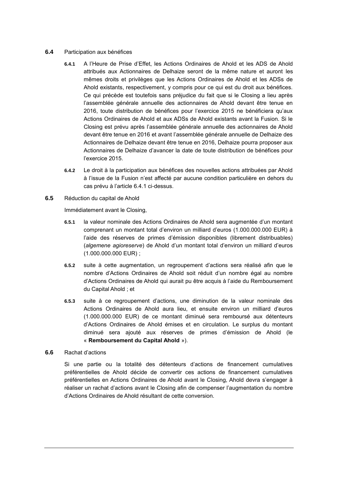#### <span id="page-43-2"></span>**6.4** Participation aux bénéfices

- **6.4.1** A l'Heure de Prise d'Effet, les Actions Ordinaires de Ahold et les ADS de Ahold attribués aux Actionnaires de Delhaize seront de la même nature et auront les mêmes droits et privilèges que les Actions Ordinaires de Ahold et les ADSs de Ahold existants, respectivement, y compris pour ce qui est du droit aux bénéfices. Ce qui précède est toutefois sans préjudice du fait que si le Closing a lieu après l'assemblée générale annuelle des actionnaires de Ahold devant être tenue en 2016, toute distribution de bénéfices pour l'exercice 2015 ne bénéficiera qu'aux Actions Ordinaires de Ahold et aux ADSs de Ahold existants avant la Fusion. Si le Closing est prévu après l'assemblée générale annuelle des actionnaires de Ahold devant être tenue en 2016 et avant l'assemblée générale annuelle de Delhaize des Actionnaires de Delhaize devant être tenue en 2016, Delhaize pourra proposer aux Actionnaires de Delhaize d'avancer la date de toute distribution de bénéfices pour l'exercice 2015.
- **6.4.2** Le droit à la participation aux bénéfices des nouvelles actions attribuées par Ahold à l'issue de la Fusion n'est affecté par aucune condition particulière en dehors du cas prévu à l'article [6.4.1](#page-43-2) ci-dessus.
- <span id="page-43-0"></span>**6.5** Réduction du capital de Ahold

Immédiatement avant le Closing,

- **6.5.1** la valeur nominale des Actions Ordinaires de Ahold sera augmentée d'un montant comprenant un montant total d'environ un milliard d'euros (1.000.000.000 EUR) à l'aide des réserves de primes d'émission disponibles (librement distribuables) (*algemene agioreserve*) de Ahold d'un montant total d'environ un milliard d'euros (1.000.000.000 EUR) ;
- **6.5.2** suite à cette augmentation, un regroupement d'actions sera réalisé afin que le nombre d'Actions Ordinaires de Ahold soit réduit d'un nombre égal au nombre d'Actions Ordinaires de Ahold qui aurait pu être acquis à l'aide du Remboursement du Capital Ahold ; et
- **6.5.3** suite à ce regroupement d'actions, une diminution de la valeur nominale des Actions Ordinaires de Ahold aura lieu, et ensuite environ un milliard d'euros (1.000.000.000 EUR) de ce montant diminué sera remboursé aux détenteurs d'Actions Ordinaires de Ahold émises et en circulation. Le surplus du montant diminué sera ajouté aux réserves de primes d'émission de Ahold (le « **Remboursement du Capital Ahold** »).
- <span id="page-43-1"></span>**6.6** Rachat d'actions

Si une partie ou la totalité des détenteurs d'actions de financement cumulatives préférentielles de Ahold décide de convertir ces actions de financement cumulatives préférentielles en Actions Ordinaires de Ahold avant le Closing, Ahold devra s'engager à réaliser un rachat d'actions avant le Closing afin de compenser l'augmentation du nombre d'Actions Ordinaires de Ahold résultant de cette conversion.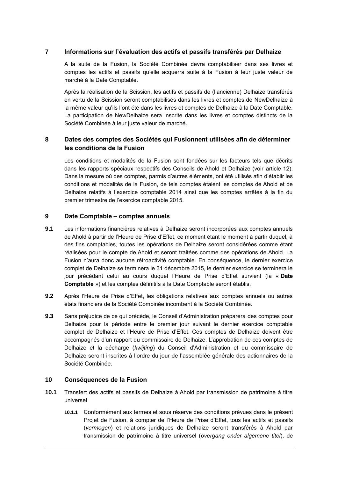### **7 Informations sur l'évaluation des actifs et passifs transférés par Delhaize**

A la suite de la Fusion, la Société Combinée devra comptabiliser dans ses livres et comptes les actifs et passifs qu'elle acquerra suite à la Fusion à leur juste valeur de marché à la Date Comptable.

Après la réalisation de la Scission, les actifs et passifs de (l'ancienne) Delhaize transférés en vertu de la Scission seront comptabilisés dans les livres et comptes de NewDelhaize à la même valeur qu'ils l'ont été dans les livres et comptes de Delhaize à la Date Comptable. La participation de NewDelhaize sera inscrite dans les livres et comptes distincts de la Société Combinée à leur juste valeur de marché.

# **8 Dates des comptes des Sociétés qui Fusionnent utilisées afin de déterminer les conditions de la Fusion**

Les conditions et modalités de la Fusion sont fondées sur les facteurs tels que décrits dans les rapports spéciaux respectifs des Conseils de Ahold et Delhaize (voir article [12\)](#page-54-0). Dans la mesure où des comptes, parmis d'autres éléments, ont été utilisés afin d'établir les conditions et modalités de la Fusion, de tels comptes étaient les comptes de Ahold et de Delhaize relatifs à l'exercice comptable 2014 ainsi que les comptes arrêtés à la fin du premier trimestre de l'exercice comptable 2015.

### **9 Date Comptable – comptes annuels**

- **9.1** Les informations financières relatives à Delhaize seront incorporées aux comptes annuels de Ahold à partir de l'Heure de Prise d'Effet, ce moment étant le moment à partir duquel, à des fins comptables, toutes les opérations de Delhaize seront considérées comme étant réalisées pour le compte de Ahold et seront traitées comme des opérations de Ahold. La Fusion n'aura donc aucune rétroactivité comptable. En conséquence, le dernier exercice complet de Delhaize se terminera le 31 décembre 2015, le dernier exercice se terminera le jour précédant celui au cours duquel l'Heure de Prise d'Effet survient (la « **Date Comptable** ») et les comptes définitifs à la Date Comptable seront établis.
- **9.2** Après l'Heure de Prise d'Effet, les obligations relatives aux comptes annuels ou autres états financiers de la Société Combinée incombent à la Société Combinée.
- **9.3** Sans préjudice de ce qui précède, le Conseil d'Administration préparera des comptes pour Delhaize pour la période entre le premier jour suivant le dernier exercice comptable complet de Delhaize et l'Heure de Prise d'Effet. Ces comptes de Delhaize doivent être accompagnés d'un rapport du commissaire de Delhaize. L'approbation de ces comptes de Delhaize et la décharge (*kwijting*) du Conseil d'Administration et du commissaire de Delhaize seront inscrites à l'ordre du jour de l'assemblée générale des actionnaires de la Société Combinée.

### **10 Conséquences de la Fusion**

- **10.1** Transfert des actifs et passifs de Delhaize à Ahold par transmission de patrimoine à titre universel
	- **10.1.1** Conformément aux termes et sous réserve des conditions prévues dans le présent Projet de Fusion, à compter de l'Heure de Prise d'Effet, tous les actifs et passifs (*vermogen*) et relations juridiques de Delhaize seront transférés à Ahold par transmission de patrimoine à titre universel (*overgang onder algemene titel*), de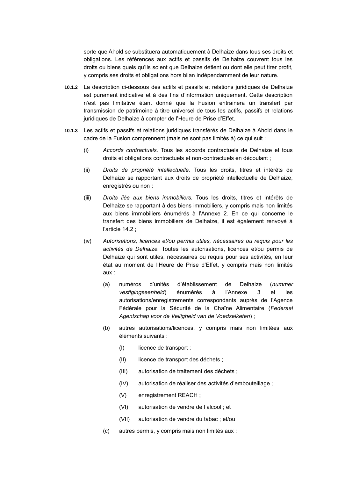sorte que Ahold se substituera automatiquement à Delhaize dans tous ses droits et obligations. Les références aux actifs et passifs de Delhaize couvrent tous les droits ou biens quels qu'ils soient que Delhaize détient ou dont elle peut tirer profit, y compris ses droits et obligations hors bilan indépendamment de leur nature.

- **10.1.2** La description ci-dessous des actifs et passifs et relations juridiques de Delhaize est purement indicative et à des fins d'information uniquement. Cette description n'est pas limitative étant donné que la Fusion entrainera un transfert par transmission de patrimoine à titre universel de tous les actifs, passifs et relations juridiques de Delhaize à compter de l'Heure de Prise d'Effet.
- **10.1.3** Les actifs et passifs et relations juridiques transférés de Delhaize à Ahold dans le cadre de la Fusion comprennent (mais ne sont pas limités à) ce qui suit :
	- (i) *Accords contractuels.* Tous les accords contractuels de Delhaize et tous droits et obligations contractuels et non-contractuels en découlant ;
	- (ii) *Droits de propriété intellectuelle.* Tous les droits, titres et intérêts de Delhaize se rapportant aux droits de propriété intellectuelle de Delhaize, enregistrés ou non ;
	- (iii) *Droits liés aux biens immobiliers.* Tous les droits, titres et intérêts de Delhaize se rapportant à des biens immobiliers, y compris mais non limités aux biens immobiliers énumérés à l'Annexe 2. En ce qui concerne le transfert des biens immobiliers de Delhaize, il est également renvoyé à l'article [14.2](#page-55-0) ;
	- (iv) *Autorisations, licences et/ou permis utiles, nécessaires ou requis pour les activités de Delhaize.* Toutes les autorisations, licences et/ou permis de Delhaize qui sont utiles, nécessaires ou requis pour ses activités, en leur état au moment de l'Heure de Prise d'Effet, y compris mais non limités aux :
		- (a) numéros d'unités d'établissement de Delhaize (*nummer vestigingseenheid*) énumérés à l'Annexe 3 et les autorisations/enregistrements correspondants auprès de l'Agence Fédérale pour la Sécurité de la Chaîne Alimentaire (*Federaal Agentschap voor de Veiligheid van de Voedselketen*) ;
		- (b) autres autorisations/licences, y compris mais non limitées aux éléments suivants :
			- (I) licence de transport ;
			- (II) licence de transport des déchets ;
			- (III) autorisation de traitement des déchets ;
			- (IV) autorisation de réaliser des activités d'embouteillage ;
			- (V) enregistrement REACH ;
			- (VI) autorisation de vendre de l'alcool ; et
			- (VII) autorisation de vendre du tabac ; et/ou
		- (c) autres permis, y compris mais non limités aux :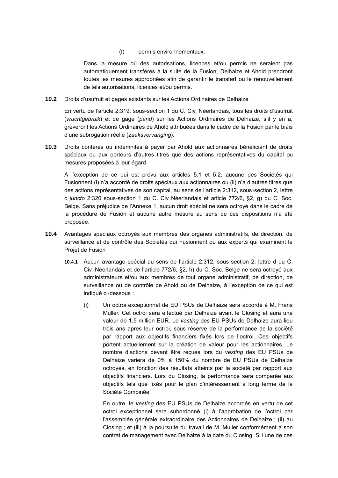(I) permis environnementaux.

Dans la mesure où des autorisations, licences et/ou permis ne seraient pas automatiquement transférés à la suite de la Fusion, Delhaize et Ahold prendront toutes les mesures appropriées afin de garantir le transfert ou le renouvellement de tels autorisations, licences et/ou permis.

**10.2** Droits d'usufruit et gages existants sur les Actions Ordinaires de Delhaize

En vertu de l'article 2:319, sous-section 1 du C. Civ. Néerlandais, tous les droits d'usufruit (*vruchtgebruik*) et de gage (*pand*) sur les Actions Ordinaires de Delhaize, s'il y en a, grèveront les Actions Ordinaires de Ahold attribuées dans le cadre de la Fusion par le biais d'une subrogation réelle (*zaaksvervanging*).

**10.3** Droits conférés ou indemnités à payer par Ahold aux actionnaires bénéficiant de droits spéciaux ou aux porteurs d'autres titres que des actions représentatives du capital ou mesures proposées à leur égard

À l'exception de ce qui est prévu aux articles [5.1](#page-39-1) et [5.2,](#page-39-2) aucune des Sociétés qui Fusionnent (i) n'a accordé de droits spéciaux aux actionnaires ou (ii) n'a d'autres titres que des actions représentatives de son capital, au sens de l'article 2:312, sous-section 2, lettre c *juncto* 2:320 sous-section 1 du C. Civ Néerlandais et article 772/6, §2, g) du C. Soc. Belge. Sans préjudice de l'Annexe 1, aucun droit spécial ne sera octroyé dans le cadre de la procédure de Fusion et aucune autre mesure au sens de ces dispositions n'a été proposée.

- **10.4** Avantages spéciaux octroyés aux membres des organes administratifs, de direction, de surveillance et de contrôle des Sociétés qui Fusionnent ou aux experts qui examinent le Projet de Fusion
	- **10.4.1** Aucun avantage spécial au sens de l'article 2:312, sous-section 2, lettre d du C. Civ. Néerlandais et de l'article 772/6, §2, h) du C. Soc. Belge ne sera octroyé aux administrateurs et/ou aux membres de tout organe administratif, de direction, de surveillance ou de contrôle de Ahold ou de Delhaize, à l'exception de ce qui est indiqué ci-dessous :
		- (i) Un octroi exceptionnel de EU PSUs de Delhaize sera accordé à M. Frans Muller. Cet octroi sera effectué par Delhaize avant le Closing et aura une valeur de 1,5 million EUR. Le *vesting* des EU PSUs de Delhaize aura lieu trois ans après leur octroi, sous réserve de la performance de la société par rapport aux objectifs financiers fixés lors de l'octroi. Ces objectifs portent actuellement sur la création de valeur pour les actionnaires. Le nombre d'actions devant être reçues lors du *vesting* des EU PSUs de Delhaize variera de 0% à 150% du nombre de EU PSUs de Delhaize octroyés, en fonction des résultats atteints par la société par rapport aux objectifs financiers. Lors du Closing, la performance sera comparée aux objectifs tels que fixés pour le plan d'intéressement à long terme de la Société Combinée.

En outre, le *vesting* des EU PSUs de Delhaize accordés en vertu de cet octroi exceptionnel sera subordonné (i) à l'approbation de l'octroi par l'assemblée générale extraordinaire des Actionnaires de Delhaize ; (ii) au Closing ; et (iii) à la poursuite du travail de M. Muller conformément à son contrat de management avec Delhaize à la date du Closing. Si l'une de ces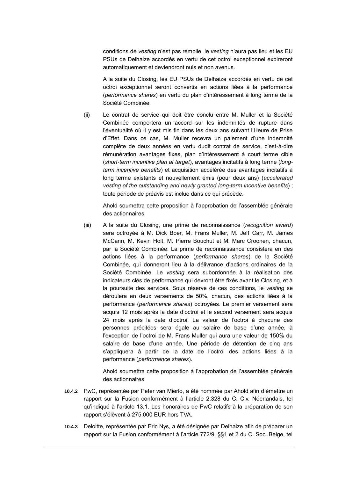conditions de *vesting* n'est pas remplie, le *vesting* n'aura pas lieu et les EU PSUs de Delhaize accordés en vertu de cet octroi exceptionnel expireront automatiquement et deviendront nuls et non avenus.

A la suite du Closing, les EU PSUs de Delhaize accordés en vertu de cet octroi exceptionnel seront convertis en actions liées à la performance (*performance shares*) en vertu du plan d'intéressement à long terme de la Société Combinée.

(ii) Le contrat de service qui doit être conclu entre M. Muller et la Société Combinée comportera un accord sur les indemnités de rupture dans l'éventualité où il y est mis fin dans les deux ans suivant l'Heure de Prise d'Effet. Dans ce cas, M. Muller recevra un paiement d'une indemnité complète de deux années en vertu dudit contrat de service, c'est-à-dire rémunération avantages fixes, plan d'intéressement à court terme cible (*short-term incentive plan at target*), avantages incitatifs à long terme (*longterm incentive benefits*) et acquisition accélérée des avantages incitatifs à long terme existants et nouvellement émis (pour deux ans) (*accelerated vesting of the outstanding and newly granted long-term incentive benefits*) ; toute période de préavis est inclue dans ce qui précède.

Ahold soumettra cette proposition à l'approbation de l'assemblée générale des actionnaires.

(iii) A la suite du Closing, une prime de reconnaissance (*recognition award*) sera octroyée à M. Dick Boer, M. Frans Muller, M. Jeff Carr, M. James McCann, M. Kevin Holt, M. Pierre Bouchut et M. Marc Croonen, chacun, par la Société Combinée. La prime de reconnaissance consistera en des actions liées à la performance (*performance shares*) de la Société Combinée, qui donneront lieu à la délivrance d'actions ordinaires de la Société Combinée. Le *vesting* sera subordonnée à la réalisation des indicateurs clés de performance qui devront être fixés avant le Closing, et à la poursuite des services. Sous réserve de ces conditions, le *vesting* se déroulera en deux versements de 50%, chacun, des actions liées à la performance (*performance shares*) octroyées. Le premier versement sera acquis 12 mois après la date d'octroi et le second versement sera acquis 24 mois après la date d'octroi. La valeur de l'octroi à chacune des personnes précitées sera égale au salaire de base d'une année, à l'exception de l'octroi de M. Frans Muller qui aura une valeur de 150% du salaire de base d'une année. Une période de détention de cinq ans s'appliquera à partir de la date de l'octroi des actions liées à la performance (*performance shares*).

Ahold soumettra cette proposition à l'approbation de l'assemblée générale des actionnaires.

- **10.4.2** PwC, représentée par Peter van Mierlo, a été nommée par Ahold afin d'émettre un rapport sur la Fusion conformément à l'article 2:328 du C. Civ. Néerlandais, tel qu'indiqué à l'article [13.1.](#page-54-1) Les honoraires de PwC relatifs à la préparation de son rapport s'élèvent à 275.000 EUR hors TVA.
- **10.4.3** Deloitte, représentée par Eric Nys, a été désignée par Delhaize afin de préparer un rapport sur la Fusion conformément à l'article 772/9, §§1 et 2 du C. Soc. Belge, tel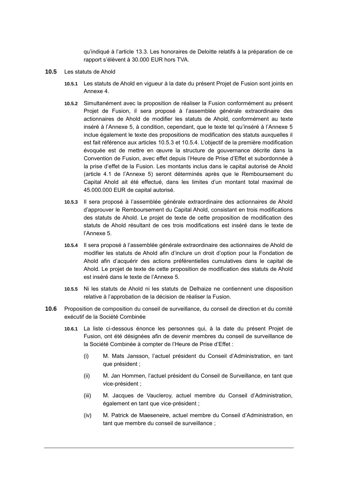qu'indiqué à l'article [13.3.](#page-54-2) Les honoraires de Deloitte relatifs à la préparation de ce rapport s'élèvent à 30.000 EUR hors TVA.

- **10.5** Les statuts de Ahold
	- **10.5.1** Les statuts de Ahold en vigueur à la date du présent Projet de Fusion sont joints en Annexe 4.
	- **10.5.2** Simultanément avec la proposition de réaliser la Fusion conformément au présent Projet de Fusion, il sera proposé à l'assemblée générale extraordinaire des actionnaires de Ahold de modifier les statuts de Ahold, conformément au texte inséré à l'Annexe 5, à condition, cependant, que le texte tel qu'inséré à l'Annexe 5 inclue également le texte des propositions de modification des statuts auxquelles il est fait référence aux articles [10.5.3](#page-48-0) et [10.5.4.](#page-48-1) L'objectif de la première modification évoquée est de mettre en œuvre la structure de gouvernance décrite dans la Convention de Fusion, avec effet depuis l'Heure de Prise d'Effet et subordonnée à la prise d'effet de la Fusion. Les montants inclus dans le capital autorisé de Ahold (article 4.1 de l'Annexe 5) seront déterminés après que le Remboursement du Capital Ahold ait été effectué, dans les limites d'un montant total maximal de 45.000.000 EUR de capital autorisé.
	- **10.5.3** Il sera proposé à l'assemblée générale extraordinaire des actionnaires de Ahold d'approuver le Remboursement du Capital Ahold, consistant en trois modifications des statuts de Ahold. Le projet de texte de cette proposition de modification des statuts de Ahold résultant de ces trois modifications est inséré dans le texte de l'Annexe 5.
	- **10.5.4** Il sera proposé à l'assemblée générale extraordinaire des actionnaires de Ahold de modifier les statuts de Ahold afin d'inclure un droit d'option pour la Fondation de Ahold afin d'acquérir des actions préférentielles cumulatives dans le capital de Ahold. Le projet de texte de cette proposition de modification des statuts de Ahold est inséré dans le texte de l'Annexe 5.
	- **10.5.5** Ni les statuts de Ahold ni les statuts de Delhaize ne contiennent une disposition relative à l'approbation de la décision de réaliser la Fusion.
- <span id="page-48-1"></span><span id="page-48-0"></span>**10.6** Proposition de composition du conseil de surveillance, du conseil de direction et du comité exécutif de la Société Combinée
	- **10.6.1** La liste ci-dessous énonce les personnes qui, à la date du présent Projet de Fusion, ont été désignées afin de devenir membres du conseil de surveillance de la Société Combinée à compter de l'Heure de Prise d'Effet :
		- (i) M. Mats Jansson, l'actuel président du Conseil d'Administration, en tant que président ;
		- (ii) M. Jan Hommen, l'actuel président du Conseil de Surveillance, en tant que vice-président ;
		- (iii) M. Jacques de Vaucleroy, actuel membre du Conseil d'Administration, également en tant que vice-président ;
		- (iv) M. Patrick de Maeseneire, actuel membre du Conseil d'Administration, en tant que membre du conseil de surveillance ;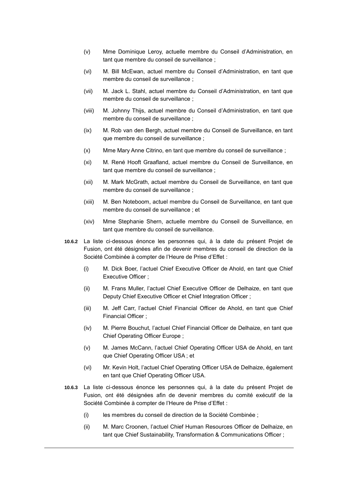- (v) Mme Dominique Leroy, actuelle membre du Conseil d'Administration, en tant que membre du conseil de surveillance ;
- (vi) M. Bill McEwan, actuel membre du Conseil d'Administration, en tant que membre du conseil de surveillance ;
- (vii) M. Jack L. Stahl, actuel membre du Conseil d'Administration, en tant que membre du conseil de surveillance ;
- (viii) M. Johnny Thijs, actuel membre du Conseil d'Administration, en tant que membre du conseil de surveillance ;
- (ix) M. Rob van den Bergh, actuel membre du Conseil de Surveillance, en tant que membre du conseil de surveillance ;
- (x) Mme Mary Anne Citrino, en tant que membre du conseil de surveillance ;
- (xi) M. René Hooft Graafland, actuel membre du Conseil de Surveillance, en tant que membre du conseil de surveillance ;
- (xii) M. Mark McGrath, actuel membre du Conseil de Surveillance, en tant que membre du conseil de surveillance ;
- (xiii) M. Ben Noteboom, actuel membre du Conseil de Surveillance, en tant que membre du conseil de surveillance ; et
- (xiv) Mme Stephanie Shern, actuelle membre du Conseil de Surveillance, en tant que membre du conseil de surveillance.
- **10.6.2** La liste ci-dessous énonce les personnes qui, à la date du présent Projet de Fusion, ont été désignées afin de devenir membres du conseil de direction de la Société Combinée à compter de l'Heure de Prise d'Effet :
	- (i) M. Dick Boer, l'actuel Chief Executive Officer de Ahold, en tant que Chief Executive Officer ;
	- (ii) M. Frans Muller, l'actuel Chief Executive Officer de Delhaize, en tant que Deputy Chief Executive Officer et Chief Integration Officer ;
	- (iii) M. Jeff Carr, l'actuel Chief Financial Officer de Ahold, en tant que Chief Financial Officer ;
	- (iv) M. Pierre Bouchut, l'actuel Chief Financial Officer de Delhaize, en tant que Chief Operating Officer Europe ;
	- (v) M. James McCann, l'actuel Chief Operating Officer USA de Ahold, en tant que Chief Operating Officer USA ; et
	- (vi) Mr. Kevin Holt, l'actuel Chief Operating Officer USA de Delhaize, également en tant que Chief Operating Officer USA.
- **10.6.3** La liste ci-dessous énonce les personnes qui, à la date du présent Projet de Fusion, ont été désignées afin de devenir membres du comité exécutif de la Société Combinée à compter de l'Heure de Prise d'Effet :
	- (i) les membres du conseil de direction de la Société Combinée ;
	- (ii) M. Marc Croonen, l'actuel Chief Human Resources Officer de Delhaize, en tant que Chief Sustainability, Transformation & Communications Officer ;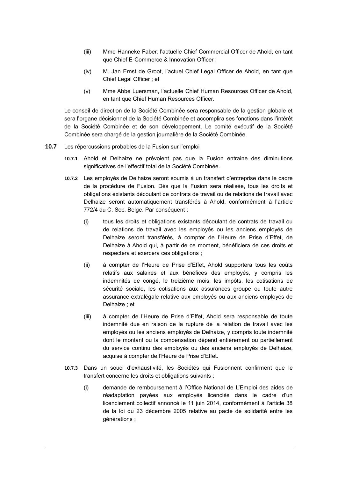- (iii) Mme Hanneke Faber, l'actuelle Chief Commercial Officer de Ahold, en tant que Chief E-Commerce & Innovation Officer ;
- (iv) M. Jan Ernst de Groot, l'actuel Chief Legal Officer de Ahold, en tant que Chief Legal Officer ; et
- (v) Mme Abbe Luersman, l'actuelle Chief Human Resources Officer de Ahold, en tant que Chief Human Resources Officer.

Le conseil de direction de la Société Combinée sera responsable de la gestion globale et sera l'organe décisionnel de la Société Combinée et accomplira ses fonctions dans l'intérêt de la Société Combinée et de son développement. Le comité exécutif de la Société Combinée sera chargé de la gestion journalière de la Société Combinée.

- **10.7** Les répercussions probables de la Fusion sur l'emploi
	- **10.7.1** Ahold et Delhaize ne prévoient pas que la Fusion entraine des diminutions significatives de l'effectif total de la Société Combinée.
	- **10.7.2** Les employés de Delhaize seront soumis à un transfert d'entreprise dans le cadre de la procédure de Fusion. Dès que la Fusion sera réalisée, tous les droits et obligations existants découlant de contrats de travail ou de relations de travail avec Delhaize seront automatiquement transférés à Ahold, conformément à l'article 772/4 du C. Soc. Belge. Par conséquent :
		- (i) tous les droits et obligations existants découlant de contrats de travail ou de relations de travail avec les employés ou les anciens employés de Delhaize seront transférés, à compter de l'Heure de Prise d'Effet, de Delhaize à Ahold qui, à partir de ce moment, bénéficiera de ces droits et respectera et exercera ces obligations ;
		- (ii) à compter de l'Heure de Prise d'Effet, Ahold supportera tous les coûts relatifs aux salaires et aux bénéfices des employés, y compris les indemnités de congé, le treizième mois, les impôts, les cotisations de sécurité sociale, les cotisations aux assurances groupe ou toute autre assurance extralégale relative aux employés ou aux anciens employés de Delhaize ; et
		- (iii) à compter de l'Heure de Prise d'Effet, Ahold sera responsable de toute indemnité due en raison de la rupture de la relation de travail avec les employés ou les anciens employés de Delhaize, y compris toute indemnité dont le montant ou la compensation dépend entièrement ou partiellement du service continu des employés ou des anciens employés de Delhaize, acquise à compter de l'Heure de Prise d'Effet.
	- **10.7.3** Dans un souci d'exhaustivité, les Sociétés qui Fusionnent confirment que le transfert concerne les droits et obligations suivants :
		- (i) demande de remboursement à l'Office National de L'Emploi des aides de réadaptation payées aux employés licenciés dans le cadre d'un licenciement collectif annoncé le 11 juin 2014, conformément à l'article 38 de la loi du 23 décembre 2005 relative au pacte de solidarité entre les générations ;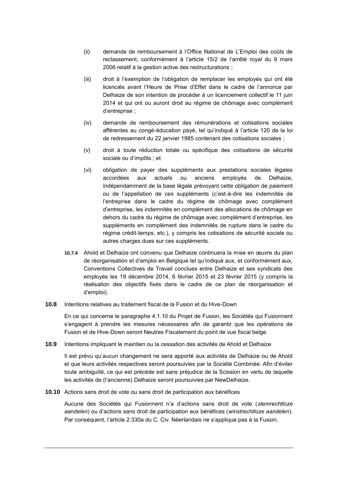- (ii) demande de remboursement à l'Office National de L'Emploi des coûts de reclassement, conformément à l'article 15/2 de l'arrêté royal du 9 mars 2006 relatif à la gestion active des restructurations ;
- (iii) droit à l'exemption de l'obligation de remplacer les employés qui ont été licenciés avant l'Heure de Prise d'Effet dans le cadre de l'annonce par Delhaize de son intention de procéder à un licenciement collectif le 11 juin 2014 et qui ont ou auront droit au régime de chômage avec complément d'entreprise ;
- (iv) demande de remboursement des rémunérations et cotisations sociales afférentes au congé-éducation payé, tel qu'indiqué à l'article 120 de la loi de redressement du 22 janvier 1985 contenant des cotisations sociales ;
- (v) droit à toute réduction totale ou spécifique des cotisations de sécurité sociale ou d'impôts ; et
- (vi) obligation de payer des suppléments aux prestations sociales légales accordées aux actuels ou anciens employés de Delhaize, indépendamment de la base légale prévoyant cette obligation de paiement ou de l'appellation de ces suppléments (c'est-à-dire les indemnités de l'entreprise dans le cadre du régime de chômage avec complément d'entreprise, les indemnités en complément des allocations de chômage en dehors du cadre du régime de chômage avec complément d'entreprise, les suppléments en complément des indemnités de rupture dans le cadre du régime crédit-temps, etc.), y compris les cotisations de sécurité sociale ou autres charges dues sur ces suppléments.
- **10.7.4** Ahold et Delhaize ont convenu que Delhaize continuera la mise en œuvre du plan de réorganisation et d'emploi en Belgique tel qu'indiqué aux, et conformément aux, Conventions Collectives de Travail conclues entre Delhaize et ses syndicats des employés les 19 décembre 2014, 6 février 2015 et 23 février 2015 (y compris la réalisation des objectifs fixés dans le cadre de ce plan de réorganisation et d'emploi).
- **10.8** Intentions relatives au traitement fiscal de la Fusion et du Hive-Down

En ce qui concerne le paragraphe 4.1.10 du Projet de Fusion, les Sociétés qui Fusionnent s'engagent à prendre les mesures nécessaires afin de garantir que les opérations de Fusion et de Hive-Down seront Neutres Fiscalement du point de vue fiscal belge.

**10.9** Intentions impliquant le maintien ou la cessation des activités de Ahold et Delhaize

Il est prévu qu'aucun changement ne sera apporté aux activités de Delhaize ou de Ahold et que leurs activités respectives seront poursuivies par la Société Combinée. Afin d'éviter toute ambiguïté, ce qui est précède est sans préjudice de la Scission en vertu de laquelle les activités de (l'ancienne) Delhaize seront poursuivies par NewDelhaize.

**10.10** Actions sans droit de vote ou sans droit de participation aux bénéfices

Aucune des Sociétés qui Fusionnent n'a d'actions sans droit de vote (*stemrechtloze aandelen*) ou d'actions sans droit de participation aux bénéfices (*winstrechtloze aandelen*). Par conséquent, l'article 2:330a du C. Civ. Néerlandais ne s'applique pas à la Fusion.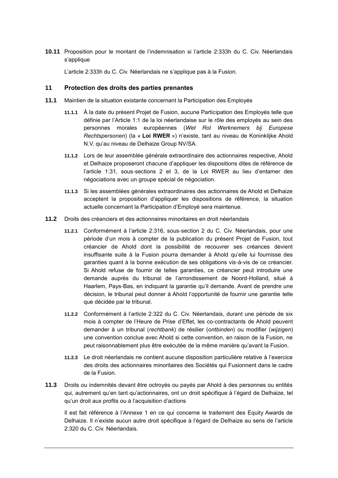### **10.11** Proposition pour le montant de l'indemnisation si l'article 2:333h du C. Civ. Néerlandais s'applique

L'article 2:333h du C. Civ. Néerlandais ne s'applique pas à la Fusion.

### **11 Protection des droits des parties prenantes**

- **11.1** Maintien de la situation existante concernant la Participation des Employés
	- **11.1.1** À la date du présent Projet de Fusion, aucune Participation des Employés telle que définie par l'Article 1:1 de la loi néerlandaise sur le rôle des employés au sein des personnes morales européennes (*Wet Rol Werknemers bij Europese Rechtspersonen*) (la « **Loi RWER** ») n'existe, tant au niveau de Koninklijke Ahold N.V. qu'au niveau de Delhaize Group NV/SA.
	- **11.1.2** Lors de leur assemblée générale extraordinaire des actionnaires respective, Ahold et Delhaize proposeront chacune d'appliquer les dispositions dites de référence de l'article 1:31, sous-sections 2 et 3, de la Loi RWER au lieu d'entamer des négociations avec un groupe spécial de négociation.
	- **11.1.3** Si les assemblées générales extraordinaires des actionnaires de Ahold et Delhaize acceptent la proposition d'appliquer les dispositions de référence, la situation actuelle concernant la Participation d'Employé sera maintenue.
- **11.2** Droits des créanciers et des actionnaires minoritaires en droit néerlandais
	- **11.2.1** Conformément à l'article 2:316, sous-section 2 du C. Civ. Néerlandais, pour une période d'un mois à compter de la publication du présent Projet de Fusion, tout créancier de Ahold dont la possibilité de recouvrer ses créances devient insuffisante suite à la Fusion pourra demander à Ahold qu'elle lui fournisse des garanties quant à la bonne exécution de ses obligations vis-à-vis de ce créancier. Si Ahold refuse de fournir de telles garanties, ce créancier peut introduire une demande auprès du tribunal de l'arrondissement de Noord-Holland, situé à Haarlem, Pays-Bas, en indiquant la garantie qu'il demande. Avant de prendre une décision, le tribunal peut donner à Ahold l'opportunité de fournir une garantie telle que décidée par le tribunal.
	- **11.2.2** Conformément à l'article 2:322 du C. Civ. Néerlandais, durant une période de six mois à compter de l'Heure de Prise d'Effet, les co-contractants de Ahold peuvent demander à un tribunal (*rechtbank*) de résilier (*ontbinden*) ou modifier (*wijzigen*) une convention conclue avec Ahold si cette convention, en raison de la Fusion, ne peut raisonnablement plus être exécutée de la même manière qu'avant la Fusion.
	- **11.2.3** Le droit néerlandais ne contient aucune disposition particulière relative à l'exercice des droits des actionnaires minoritaires des Sociétés qui Fusionnent dans le cadre de la Fusion.
- **11.3** Droits ou indemnités devant être octroyés ou payés par Ahold à des personnes ou entités qui, autrement qu'en tant qu'actionnaires, ont un droit spécifique à l'égard de Delhaize, tel qu'un droit aux profits ou à l'acquisition d'actions

Il est fait référence à l'Annexe 1 en ce qui concerne le traitement des Equity Awards de Delhaize. Il n'existe aucun autre droit spécifique à l'égard de Delhaize au sens de l'article 2:320 du C. Civ. Néerlandais.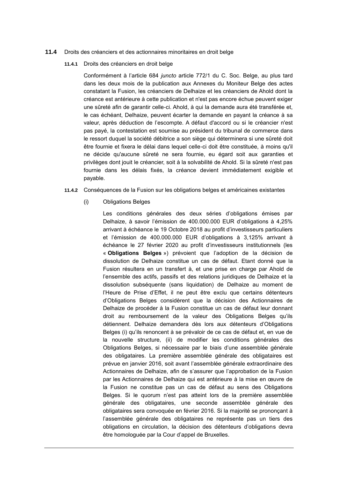#### **11.4** Droits des créanciers et des actionnaires minoritaires en droit belge

**11.4.1** Droits des créanciers en droit belge

Conformément à l'article 684 *juncto* article 772/1 du C. Soc. Belge, au plus tard dans les deux mois de la publication aux Annexes du Moniteur Belge des actes constatant la Fusion, les créanciers de Delhaize et les créanciers de Ahold dont la créance est antérieure à cette publication et n'est pas encore échue peuvent exiger une sûreté afin de garantir celle-ci. Ahold, à qui la demande aura été transférée et, le cas échéant, Delhaize, peuvent écarter la demande en payant la créance à sa valeur, après déduction de l'escompte. A défaut d'accord ou si le créancier n'est pas payé, la contestation est soumise au président du tribunal de commerce dans le ressort duquel la société débitrice a son siège qui déterminera si une sûreté doit être fournie et fixera le délai dans lequel celle-ci doit être constituée, à moins qu'il ne décide qu'aucune sûreté ne sera fournie, eu égard soit aux garanties et privilèges dont jouit le créancier, soit à la solvabilité de Ahold. Si la sûreté n'est pas fournie dans les délais fixés, la créance devient immédiatement exigible et payable.

- **11.4.2** Conséquences de la Fusion sur les obligations belges et américaines existantes
	- (i) Obligations Belges

Les conditions générales des deux séries d'obligations émises par Delhaize, à savoir l'émission de 400.000.000 EUR d'obligations à 4,25% arrivant à échéance le 19 Octobre 2018 au profit d'investisseurs particuliers et l'émission de 400.000.000 EUR d'obligations à 3,125% arrivant à échéance le 27 février 2020 au profit d'investisseurs institutionnels (les « **Obligations Belges** ») prévoient que l'adoption de la décision de dissolution de Delhaize constitue un cas de défaut. Etant donné que la Fusion résultera en un transfert à, et une prise en charge par Ahold de l'ensemble des actifs, passifs et des relations juridiques de Delhaize et la dissolution subséquente (sans liquidation) de Delhaize au moment de l'Heure de Prise d'Effet, il ne peut être exclu que certains détenteurs d'Obligations Belges considèrent que la décision des Actionnaires de Delhaize de procéder à la Fusion constitue un cas de défaut leur donnant droit au remboursement de la valeur des Obligations Belges qu'ils détiennent. Delhaize demandera dès lors aux détenteurs d'Obligations Belges (i) qu'ils renoncent à se prévaloir de ce cas de défaut et, en vue de la nouvelle structure, (ii) de modifier les conditions générales des Obligations Belges, si nécessaire par le biais d'une assemblée générale des obligataires. La première assemblée générale des obligataires est prévue en janvier 2016, soit avant l'assemblée générale extraordinaire des Actionnaires de Delhaize, afin de s'assurer que l'approbation de la Fusion par les Actionnaires de Delhaize qui est antérieure à la mise en œuvre de la Fusion ne constitue pas un cas de défaut au sens des Obligations Belges. Si le quorum n'est pas atteint lors de la première assemblée générale des obligataires, une seconde assemblée générale des obligataires sera convoquée en février 2016. Si la majorité se prononçant à l'assemblée générale des obligataires ne représente pas un tiers des obligations en circulation, la décision des détenteurs d'obligations devra être homologuée par la Cour d'appel de Bruxelles.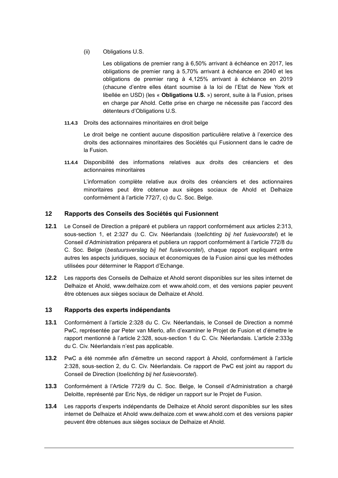(ii) Obligations U.S.

Les obligations de premier rang à 6,50% arrivant à échéance en 2017, les obligations de premier rang à 5,70% arrivant à échéance en 2040 et les obligations de premier rang à 4,125% arrivant à échéance en 2019 (chacune d'entre elles étant soumise à la loi de l'Etat de New York et libellée en USD) (les « **Obligations U.S.** ») seront, suite à la Fusion, prises en charge par Ahold. Cette prise en charge ne nécessite pas l'accord des détenteurs d'Obligations U.S.

**11.4.3** Droits des actionnaires minoritaires en droit belge

Le droit belge ne contient aucune disposition particulière relative à l'exercice des droits des actionnaires minoritaires des Sociétés qui Fusionnent dans le cadre de la Fusion.

**11.4.4** Disponibilité des informations relatives aux droits des créanciers et des actionnaires minoritaires

L'information complète relative aux droits des créanciers et des actionnaires minoritaires peut être obtenue aux sièges sociaux de Ahold et Delhaize conformément à l'article 772/7, c) du C. Soc. Belge.

### <span id="page-54-0"></span>**12 Rapports des Conseils des Sociétés qui Fusionnent**

- **12.1** Le Conseil de Direction a préparé et publiera un rapport conformément aux articles 2:313, sous-section 1, et 2:327 du C. Civ. Néerlandais (*toelichting bij het fusievoorstel*) et le Conseil d'Administration préparera et publiera un rapport conformément à l'article 772/8 du C. Soc. Belge (*bestuursverslag bij het fusievoorstel*), chaque rapport expliquant entre autres les aspects juridiques, sociaux et économiques de la Fusion ainsi que les méthodes utilisées pour déterminer le Rapport d'Echange.
- **12.2** Les rapports des Conseils de Delhaize et Ahold seront disponibles sur les sites internet de Delhaize et Ahold, [www.delhaize.com](http://www.delhaize.com[/) et www.ahold.com, et des versions papier peuvent être obtenues aux sièges sociaux de Delhaize et Ahold.

### <span id="page-54-3"></span>**13 Rapports des experts indépendants**

- <span id="page-54-1"></span>**13.1** Conformément à l'article 2:328 du C. Civ. Néerlandais, le Conseil de Direction a nommé PwC, représentée par Peter van Mierlo, afin d'examiner le Projet de Fusion et d'émettre le rapport mentionné à l'article 2:328, sous-section 1 du C. Civ. Néerlandais. L'article 2:333g du C. Civ. Néerlandais n'est pas applicable.
- **13.2** PwC a été nommée afin d'émettre un second rapport à Ahold, conformément à l'article 2:328, sous-section 2, du C. Civ. Néerlandais. Ce rapport de PwC est joint au rapport du Conseil de Direction (*toelichting bij het fusievoorstel*).
- <span id="page-54-2"></span>**13.3** Conformément à l'Article 772/9 du C. Soc. Belge, le Conseil d'Administration a chargé Deloitte, représenté par Eric Nys, de rédiger un rapport sur le Projet de Fusion.
- **13.4** Les rapports d'experts indépendants de Delhaize et Ahold seront disponibles sur les sites internet de Delhaize et Ahold [www.delhaize.com](http://www.delhaize.com[/) et www.ahold.com et des versions papier peuvent être obtenues aux sièges sociaux de Delhaize et Ahold.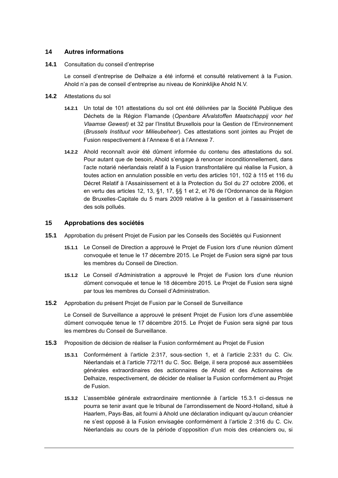### **14 Autres informations**

**14.1** Consultation du conseil d'entreprise

Le conseil d'entreprise de Delhaize a été informé et consulté relativement à la Fusion. Ahold n'a pas de conseil d'entreprise au niveau de Koninklijke Ahold N.V.

- <span id="page-55-0"></span>**14.2** Attestations du sol
	- **14.2.1** Un total de 101 attestations du sol ont été délivrées par la Société Publique des Déchets de la Région Flamande (*Openbare Afvalstoffen Maatschappij voor het Vlaamse Gewest)* et 32 par l'Institut Bruxellois pour la Gestion de l'Environnement (*Brussels Instituut voor Milieubeheer*). Ces attestations sont jointes au Projet de Fusion respectivement à l'Annexe 6 et à l'Annexe 7.
	- **14.2.2** Ahold reconnaît avoir été dûment informée du contenu des attestations du sol. Pour autant que de besoin, Ahold s'engage à renoncer inconditionnellement, dans l'acte notarié néerlandais relatif à la Fusion transfrontalière qui réalise la Fusion, à toutes action en annulation possible en vertu des articles 101, 102 à 115 et 116 du Décret Relatif à l'Assainissement et à la Protection du Sol du 27 octobre 2006, et en vertu des articles 12, 13, §1, 17, §§ 1 et 2, et 76 de l'Ordonnance de la Région de Bruxelles-Capitale du 5 mars 2009 relative à la gestion et à l'assainissement des sols pollués.

#### **15 Approbations des sociétés**

- **15.1** Approbation du présent Projet de Fusion par les Conseils des Sociétés qui Fusionnent
	- **15.1.1** Le Conseil de Direction a approuvé le Projet de Fusion lors d'une réunion dûment convoquée et tenue le 17 décembre 2015. Le Projet de Fusion sera signé par tous les membres du Conseil de Direction.
	- **15.1.2** Le Conseil d'Administration a approuvé le Projet de Fusion lors d'une réunion dûment convoquée et tenue le 18 décembre 2015. Le Projet de Fusion sera signé par tous les membres du Conseil d'Administration.
- **15.2** Approbation du présent Projet de Fusion par le Conseil de Surveillance

Le Conseil de Surveillance a approuvé le présent Projet de Fusion lors d'une assemblée dûment convoquée tenue le 17 décembre 2015. Le Projet de Fusion sera signé par tous les membres du Conseil de Surveillance.

- **15.3** Proposition de décision de réaliser la Fusion conformément au Projet de Fusion
	- **15.3.1** Conformément à l'article 2:317, sous-section 1, et à l'article 2:331 du C. Civ. Néerlandais et à l'article 772/11 du C. Soc. Belge, il sera proposé aux assemblées générales extraordinaires des actionnaires de Ahold et des Actionnaires de Delhaize, respectivement, de décider de réaliser la Fusion conformément au Projet de Fusion.
	- **15.3.2** L'assemblée générale extraordinaire mentionnée à l'article [15.3.1](#page-27-0) ci-dessus ne pourra se tenir avant que le tribunal de l'arrondissement de Noord-Holland, situé à Haarlem, Pays-Bas, ait fourni à Ahold une déclaration indiquant qu'aucun créancier ne s'est opposé à la Fusion envisagée conformément à l'article 2 :316 du C. Civ. Néerlandais au cours de la période d'opposition d'un mois des créanciers ou, si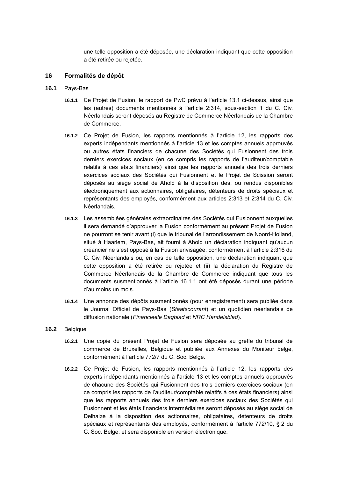une telle opposition a été déposée, une déclaration indiquant que cette opposition a été retirée ou rejetée.

#### **16 Formalités de dépôt**

#### <span id="page-56-0"></span>**16.1** Pays-Bas

- **16.1.1** Ce Projet de Fusion, le rapport de PwC prévu à l'article [13.1](#page-54-1) ci-dessus, ainsi que les (autres) documents mentionnés à l'article 2:314, sous-section 1 du C. Civ. Néerlandais seront déposés au Registre de Commerce Néerlandais de la Chambre de Commerce.
- **16.1.2** Ce Projet de Fusion, les rapports mentionnés à l'article [12,](#page-54-0) les rapports des experts indépendants mentionnés à l'article [13](#page-54-3) et les comptes annuels approuvés ou autres états financiers de chacune des Sociétés qui Fusionnent des trois derniers exercices sociaux (en ce compris les rapports de l'auditeur/comptable relatifs à ces états financiers) ainsi que les rapports annuels des trois derniers exercices sociaux des Sociétés qui Fusionnent et le Projet de Scission seront déposés au siège social de Ahold à la disposition des, ou rendus disponibles électroniquement aux actionnaires, obligataires, détenteurs de droits spéciaux et représentants des employés, conformément aux articles 2:313 et 2:314 du C. Civ. Néerlandais.
- **16.1.3** Les assemblées générales extraordinaires des Sociétés qui Fusionnent auxquelles il sera demandé d'approuver la Fusion conformément au présent Projet de Fusion ne pourront se tenir avant (i) que le tribunal de l'arrondissement de Noord-Holland, situé à Haarlem, Pays-Bas, ait fourni à Ahold un déclaration indiquant qu'aucun créancier ne s'est opposé à la Fusion envisagée, conformément à l'article 2:316 du C. Civ. Néerlandais ou, en cas de telle opposition, une déclaration indiquant que cette opposition a été retirée ou rejetée et (ii) la déclaration du Registre de Commerce Néerlandais de la Chambre de Commerce indiquant que tous les documents susmentionnés à l'article [16.1.1](#page-56-0) ont été déposés durant une période d'au moins un mois.
- **16.1.4** Une annonce des dépôts susmentionnés (pour enregistrement) sera publiée dans le Journal Officiel de Pays-Bas (*Staatscourant*) et un quotidien néerlandais de diffusion nationale (*Financieele Dagblad* et *NRC Handelsblad*).
- **16.2** Belgique
	- **16.2.1** Une copie du présent Projet de Fusion sera déposée au greffe du tribunal de commerce de Bruxelles, Belgique et publiée aux Annexes du Moniteur belge, conformément à l'article 772/7 du C. Soc. Belge.
	- **16.2.2** Ce Projet de Fusion, les rapports mentionnés à l'article [12,](#page-54-0) les rapports des experts indépendants mentionnés à l'article [13](#page-54-3) et les comptes annuels approuvés de chacune des Sociétés qui Fusionnent des trois derniers exercices sociaux (en ce compris les rapports de l'auditeur/comptable relatifs à ces états financiers) ainsi que les rapports annuels des trois derniers exercices sociaux des Sociétés qui Fusionnent et les états financiers intermédiaires seront déposés au siège social de Delhaize à la disposition des actionnaires, obligataires, détenteurs de droits spéciaux et représentants des employés, conformément à l'article 772/10, § 2 du C. Soc. Belge, et sera disponible en version électronique.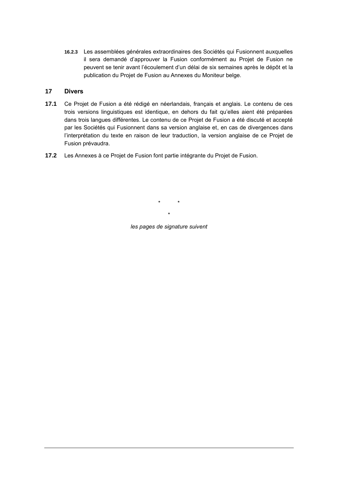**16.2.3** Les assemblées générales extraordinaires des Sociétés qui Fusionnent auxquelles il sera demandé d'approuver la Fusion conformément au Projet de Fusion ne peuvent se tenir avant l'écoulement d'un délai de six semaines après le dépôt et la publication du Projet de Fusion au Annexes du Moniteur belge.

### **17 Divers**

- **17.1** Ce Projet de Fusion a été rédigé en néerlandais, français et anglais. Le contenu de ces trois versions linguistiques est identique, en dehors du fait qu'elles aient été préparées dans trois langues différentes. Le contenu de ce Projet de Fusion a été discuté et accepté par les Sociétés qui Fusionnent dans sa version anglaise et, en cas de divergences dans l'interprétation du texte en raison de leur traduction, la version anglaise de ce Projet de Fusion prévaudra.
- **17.2** Les Annexes à ce Projet de Fusion font partie intégrante du Projet de Fusion.

\* \* \* *les pages de signature suivent*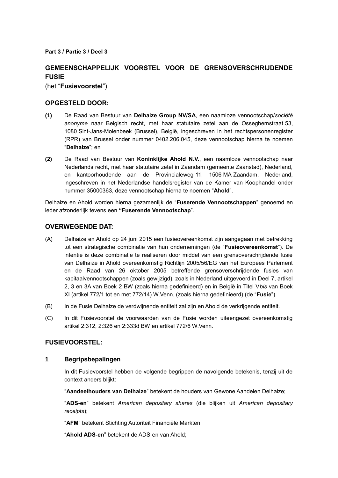**Part 3 / Partie 3 / Deel 3**

# **GEMEENSCHAPPELIJK VOORSTEL VOOR DE GRENSOVERSCHRIJDENDE FUSIE**

(het "**Fusievoorstel**")

### **OPGESTELD DOOR:**

- **(1)** De Raad van Bestuur van **Delhaize Group NV/SA**, een naamloze vennootschap/*société anonyme* naar Belgisch recht, met haar statutaire zetel aan de Osseghemstraat 53, 1080 Sint-Jans-Molenbeek (Brussel), België, ingeschreven in het rechtspersonenregister (RPR) van Brussel onder nummer 0402.206.045, deze vennootschap hierna te noemen "**Delhaize**"; en
- **(2)** De Raad van Bestuur van **Koninklijke Ahold N.V.**, een naamloze vennootschap naar Nederlands recht, met haar statutaire zetel in Zaandam (gemeente Zaanstad), Nederland, en kantoorhoudende aan de Provincialeweg 11, 1506 MA Zaandam, Nederland, ingeschreven in het Nederlandse handelsregister van de Kamer van Koophandel onder nummer 35000363, deze vennootschap hierna te noemen "**Ahold**".

Delhaize en Ahold worden hierna gezamenlijk de "**Fuserende Vennootschappen**" genoemd en ieder afzonderlijk tevens een **"Fuserende Vennootschap**".

### **OVERWEGENDE DAT:**

- (A) Delhaize en Ahold op 24 juni 2015 een fusieovereenkomst zijn aangegaan met betrekking tot een strategische combinatie van hun ondernemingen (de "**Fusieovereenkomst**"). De intentie is deze combinatie te realiseren door middel van een grensoverschrijdende fusie van Delhaize in Ahold overeenkomstig Richtlijn 2005/56/EG van het Europees Parlement en de Raad van 26 oktober 2005 betreffende grensoverschrijdende fusies van kapitaalvennootschappen (zoals gewijzigd), zoals in Nederland uitgevoerd in Deel 7, artikel 2, 3 en 3A van Boek 2 BW (zoals hierna gedefinieerd) en in België in Titel V*bis* van Boek XI (artikel 772/1 tot en met 772/14) W.Venn. (zoals hierna gedefinieerd) (de "**Fusie**").
- (B) In de Fusie Delhaize de verdwijnende entiteit zal zijn en Ahold de verkrijgende entiteit.
- (C) In dit Fusievoorstel de voorwaarden van de Fusie worden uiteengezet overeenkomstig artikel 2:312, 2:326 en 2:333d BW en artikel 772/6 W.Venn.

# **FUSIEVOORSTEL:**

### **1 Begripsbepalingen**

In dit Fusievoorstel hebben de volgende begrippen de navolgende betekenis, tenzij uit de context anders blijkt:

"**Aandeelhouders van Delhaize**" betekent de houders van Gewone Aandelen Delhaize;

"**ADS-en**" betekent *American depositary shares* (die blijken uit *American depositary receipts*);

"**AFM**" betekent Stichting Autoriteit Financiële Markten;

"**Ahold ADS-en**" betekent de ADS-en van Ahold;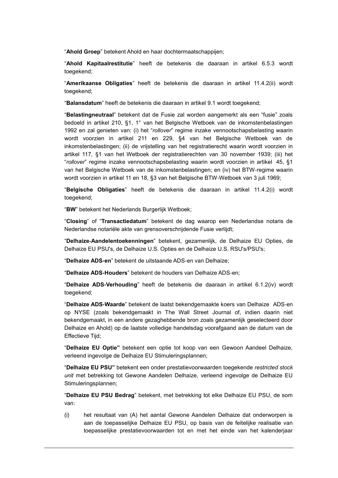"**Ahold Groep**" betekent Ahold en haar dochtermaatschappijen;

"**Ahold Kapitaalrestitutie**" heeft de betekenis die daaraan in artikel [6.5.3](#page-15-0) wordt toegekend;

"**Amerikaanse Obligaties**" heeft de betekenis die daaraan in artikel [11.4.2\(ii\)](#page-25-0) wordt toegekend;

"**Balansdatum**" heeft de betekenis die daaraan in artikel [9.1](#page-16-0) wordt toegekend;

"**Belastingneutraal**" betekent dat de Fusie zal worden aangemerkt als een "fusie" zoals bedoeld in artikel 210, §1, 1° van het Belgische Wetboek van de inkomstenbelastingen 1992 en zal genieten van: (i) het "*rollover*" regime inzake vennootschapsbelasting waarin wordt voorzien in artikel 211 en 229, §4 van het Belgische Wetboek van de inkomstenbelastingen; (ii) de vrijstelling van het registratierecht waarin wordt voorzien in artikel 117, §1 van het Wetboek der registratierechten van 30 november 1939; (iii) het "*rollover*" regime inzake vennootschapsbelasting waarin wordt voorzien in artikel 45, §1 van het Belgische Wetboek van de inkomstenbelastingen; en (iv) het BTW-regime waarin wordt voorzien in artikel 11 en 18, §3 van het Belgische BTW-Wetboek van 3 juli 1969;

"**Belgische Obligaties**" heeft de betekenis die daaraan in artikel [11.4.2\(i\)](#page-25-1) wordt toegekend;

"**BW**" betekent het Nederlands Burgerlijk Wetboek;

"**Closing**" of "**Transactiedatum**" betekent de dag waarop een Nederlandse notaris de Nederlandse notariële akte van grensoverschrijdende Fusie verlijdt;

"**Delhaize-Aandelentoekenningen**" betekent, gezamenlijk, de Delhaize EU Opties, de Delhaize EU PSU's, de Delhaize U.S. Opties en de Delhaize U.S. RSU's/PSU's;

"**Delhaize ADS-en**" betekent de uitstaande ADS-en van Delhaize;

"**Delhaize ADS-Houders**" betekent de houders van Delhaize ADS-en;

"**Delhaize ADS-Verhouding**" heeft de betekenis die daaraan in artikel [6.1.2\(iv\)](#page-13-0) wordt toegekend;

"**Delhaize ADS-Waarde**" betekent de laatst bekendgemaakte koers van Delhaize ADS-en op NYSE (zoals bekendgemaakt in The Wall Street Journal of, indien daarin niet bekendgemaakt, in een andere gezaghebbende bron zoals gezamenlijk geselecteerd door Delhaize en Ahold) op de laatste volledige handelsdag voorafgaand aan de datum van de Effectieve Tijd;

"**Delhaize EU Optie"** betekent een optie tot koop van een Gewoon Aandeel Delhaize, verleend ingevolge de Delhaize EU Stimuleringsplannen;

"**Delhaize EU PSU"** betekent een onder prestatievoorwaarden toegekende *restricted stock unit* met betrekking tot Gewone Aandelen Delhaize, verleend ingevolge de Delhaize EU Stimuleringsplannen;

"**Delhaize EU PSU Bedrag**" betekent, met betrekking tot elke Delhaize EU PSU, de som van:

(i) het resultaat van (A) het aantal Gewone Aandelen Delhaize dat onderworpen is aan de toepasselijke Delhaize EU PSU, op basis van de feitelijke realisatie van toepasselijke prestatievoorwaarden tot en met het einde van het kalenderjaar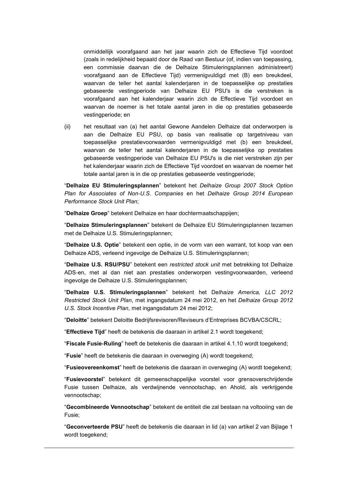onmiddellijk voorafgaand aan het jaar waarin zich de Effectieve Tijd voordoet (zoals in redelijkheid bepaald door de Raad van Bestuur (of, indien van toepassing, een commissie daarvan die de Delhaize Stimuleringsplannen administreert) voorafgaand aan de Effectieve Tijd) vermenigvuldigd met (B) een breukdeel, waarvan de teller het aantal kalenderjaren in de toepasselijke op prestaties gebaseerde vestingperiode van Delhaize EU PSU's is die verstreken is voorafgaand aan het kalenderjaar waarin zich de Effectieve Tijd voordoet en waarvan de noemer is het totale aantal jaren in die op prestaties gebaseerde vestingperiode; en

(ii) het resultaat van (a) het aantal Gewone Aandelen Delhaize dat onderworpen is aan die Delhaize EU PSU, op basis van realisatie op targetniveau van toepasselijke prestatievoorwaarden vermenigvuldigd met (b) een breukdeel, waarvan de teller het aantal kalenderjaren in de toepasselijke op prestaties gebaseerde vestingperiode van Delhaize EU PSU's is die niet verstreken zijn per het kalenderjaar waarin zich de Effectieve Tijd voordoet en waarvan de noemer het totale aantal jaren is in die op prestaties gebaseerde vestingperiode;

"**Delhaize EU Stimuleringsplannen**" betekent het *Delhaize Group 2007 Stock Option Plan for Associates of Non-U.S. Companies* en het *Delhaize Group 2014 European Performance Stock Unit Plan*;

"**Delhaize Groep**" betekent Delhaize en haar dochtermaatschappijen;

"**Delhaize Stimuleringsplannen**" betekent de Delhaize EU Stimuleringsplannen tezamen met de Delhaize U.S. Stimuleringsplannen;

"**Delhaize U.S. Optie**" betekent een optie, in de vorm van een warrant, tot koop van een Delhaize ADS, verleend ingevolge de Delhaize U.S. Stimuleringsplannen;

"**Delhaize U.S. RSU/PSU**" betekent een *restricted stock unit* met betrekking tot Delhaize ADS-en, met al dan niet aan prestaties onderworpen vestingvoorwaarden, verleend ingevolge de Delhaize U.S. Stimuleringsplannen;

"**Delhaize U.S. Stimuleringsplannen**" betekent het De*lhaize America, LLC 2012 Restricted Stock Unit Plan*, met ingangsdatum 24 mei 2012, en het *Delhaize Group 2012 U.S. Stock Incentive Plan*, met ingangsdatum 24 mei 2012;

"**Deloitte**" betekent Deloitte Bedrijfsrevisoren/Reviseurs d'Entreprises BCVBA/CSCRL;

"**Effectieve Tijd**" heeft de betekenis die daaraan in artikel [2.1](#page-7-0) wordt toegekend;

"**Fiscale Fusie-Ruling**" heeft de betekenis die daaraan in artikel [4.1.10](#page-10-1) wordt toegekend;

"**Fusie**" heeft de betekenis die daaraan in overweging [\(A\)](#page-2-0) wordt toegekend;

"**Fusieovereenkomst**" heeft de betekenis die daaraan in overweging [\(A\)](#page-2-0) wordt toegekend;

"**Fusievoorstel**" betekent dit gemeenschappelijke voorstel voor grensoverschrijdende Fusie tussen Delhaize, als verdwijnende vennootschap, en Ahold, als verkrijgende vennootschap;

"**Gecombineerde Vennootschap**" betekent de entiteit die zal bestaan na voltooiing van de Fusie;

"**Geconverteerde PSU**" heeft de betekenis die daaraan in lid (a) van artikel 2 van Bijlage 1 wordt toegekend;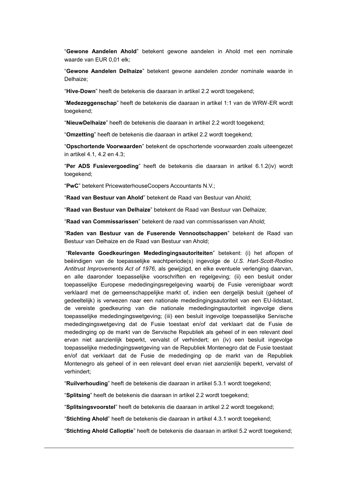"**Gewone Aandelen Ahold**" betekent gewone aandelen in Ahold met een nominale waarde van EUR 0,01 elk;

"**Gewone Aandelen Delhaize**" betekent gewone aandelen zonder nominale waarde in Delhaize;

"**Hive-Down**" heeft de betekenis die daaraan in artikel [2.2](#page-7-1) wordt toegekend;

"**Medezeggenschap**" heeft de betekenis die daaraan in artikel 1:1 van de WRW-ER wordt toegekend;

"**NieuwDelhaize**" heeft de betekenis die daaraan in artikel [2.2](#page-7-1) wordt toegekend;

"**Omzetting**" heeft de betekenis die daaraan in artikel [2.2](#page-7-1) wordt toegekend;

"**Opschortende Voorwaarden**" betekent de opschortende voorwaarden zoals uiteengezet in artikel [4.1,](#page-9-0) [4.2](#page-10-0) en [4.3;](#page-11-0)

"**Per ADS Fusievergoeding**" heeft de betekenis die daaraan in artikel [6.1.2\(iv\)](#page-13-0) wordt toegekend;

"**PwC**" betekent PricewaterhouseCoopers Accountants N.V.;

"**Raad van Bestuur van Ahold**" betekent de Raad van Bestuur van Ahold;

"**Raad van Bestuur van Delhaize**" betekent de Raad van Bestuur van Delhaize;

"**Raad van Commissarissen**" betekent de raad van commissarissen van Ahold;

"**Raden van Bestuur van de Fuserende Vennootschappen**" betekent de Raad van Bestuur van Delhaize en de Raad van Bestuur van Ahold;

"**Relevante Goedkeuringen Mededingingsautoriteiten**" betekent: (i) het aflopen of beëindigen van de toepasselijke wachtperiode(s) ingevolge de *U.S. Hart-Scott-Rodino Antitrust Improvements Act of 1976,* als gewijzigd*,* en elke eventuele verlenging daarvan, en alle daaronder toepasselijke voorschriften en regelgeving; (ii) een besluit onder toepasselijke Europese mededingingsregelgeving waarbij de Fusie verenigbaar wordt verklaard met de gemeenschappelijke markt of, indien een dergelijk besluit (geheel of gedeeltelijk) is verwezen naar een nationale mededingingsautoriteit van een EU-lidstaat, de vereiste goedkeuring van die nationale mededingingsautoriteit ingevolge diens toepasselijke mededingingswetgeving; (iii) een besluit ingevolge toepasselijke Servische mededingingswetgeving dat de Fusie toestaat en/of dat verklaart dat de Fusie de mededinging op de markt van de Servische Republiek als geheel of in een relevant deel ervan niet aanzienlijk beperkt, vervalst of verhindert; en (iv) een besluit ingevolge toepasselijke mededingingswetgeving van de Republiek Montenegro dat de Fusie toestaat en/of dat verklaart dat de Fusie de mededinging op de markt van de Republiek Montenegro als geheel of in een relevant deel ervan niet aanzienlijk beperkt, vervalst of verhindert;

"**Ruilverhouding**" heeft de betekenis die daaraan in artikel [5.3.1](#page-12-0) wordt toegekend;

"**Splitsing**" heeft de betekenis die daaraan in artikel [2.2](#page-7-1) wordt toegekend;

"**Splitsingsvoorstel**" heeft de betekenis die daaraan in artikel [2.2](#page-7-1) wordt toegekend;

"**Stichting Ahold**" heeft de betekenis die daaraan in artikel [4.3.1](#page-11-1) wordt toegekend;

"**Stichting Ahold Calloptie**" heeft de betekenis die daaraan in artikel [5.2](#page-12-1) wordt toegekend;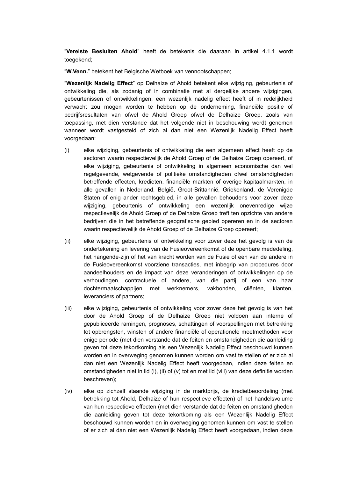"**Vereiste Besluiten Ahold**" heeft de betekenis die daaraan in artikel [4.1.1](#page-9-1) wordt toegekend;

"**W.Venn.**" betekent het Belgische Wetboek van vennootschappen;

"**Wezenlijk Nadelig Effect**" op Delhaize of Ahold betekent elke wijziging, gebeurtenis of ontwikkeling die, als zodanig of in combinatie met al dergelijke andere wijzigingen, gebeurtenissen of ontwikkelingen, een wezenlijk nadelig effect heeft of in redelijkheid verwacht zou mogen worden te hebben op de onderneming, financiële positie of bedrijfsresultaten van ofwel de Ahold Groep ofwel de Delhaize Groep, zoals van toepassing, met dien verstande dat het volgende niet in beschouwing wordt genomen wanneer wordt vastgesteld of zich al dan niet een Wezenlijk Nadelig Effect heeft voorgedaan:

- (i) elke wijziging, gebeurtenis of ontwikkeling die een algemeen effect heeft op de sectoren waarin respectievelijk de Ahold Groep of de Delhaize Groep opereert, of elke wijziging, gebeurtenis of ontwikkeling in algemeen economische dan wel regelgevende, wetgevende of politieke omstandigheden ofwel omstandigheden betreffende effecten, kredieten, financiële markten of overige kapitaalmarkten, in alle gevallen in Nederland, België, Groot-Brittannië, Griekenland, de Verenigde Staten of enig ander rechtsgebied, in alle gevallen behoudens voor zover deze wijziging, gebeurtenis of ontwikkeling een wezenlijk onevenredige wijze respectievelijk de Ahold Groep of de Delhaize Groep treft ten opzichte van andere bedrijven die in het betreffende geografische gebied opereren en in de sectoren waarin respectievelijk de Ahold Groep of de Delhaize Groep opereert;
- (ii) elke wijziging, gebeurtenis of ontwikkeling voor zover deze het gevolg is van de ondertekening en levering van de Fusieovereenkomst of de openbare mededeling, het hangende-zijn of het van kracht worden van de Fusie of een van de andere in de Fusieovereenkomst voorziene transacties, met inbegrip van procedures door aandeelhouders en de impact van deze veranderingen of ontwikkelingen op de verhoudingen, contractuele of andere, van die partij of een van haar dochtermaatschappijen met werknemers, vakbonden, cliënten, klanten, leveranciers of partners;
- (iii) elke wijziging, gebeurtenis of ontwikkeling voor zover deze het gevolg is van het door de Ahold Groep of de Delhaize Groep niet voldoen aan interne of gepubliceerde ramingen, prognoses, schattingen of voorspellingen met betrekking tot opbrengsten, winsten of andere financiële of operationele meetmethoden voor enige periode (met dien verstande dat de feiten en omstandigheden die aanleiding geven tot deze tekortkoming als een Wezenlijk Nadelig Effect beschouwd kunnen worden en in overweging genomen kunnen worden om vast te stellen of er zich al dan niet een Wezenlijk Nadelig Effect heeft voorgedaan, indien deze feiten en omstandigheden niet in lid [\(i\),](#page-5-0) [\(ii\)](#page-5-1) of [\(v\)](#page-6-0) tot en met lid [\(viii\)](#page-6-1) van deze definitie worden beschreven);
- (iv) elke op zichzelf staande wijziging in de marktprijs, de kredietbeoordeling (met betrekking tot Ahold, Delhaize of hun respectieve effecten) of het handelsvolume van hun respectieve effecten (met dien verstande dat de feiten en omstandigheden die aanleiding geven tot deze tekortkoming als een Wezenlijk Nadelig Effect beschouwd kunnen worden en in overweging genomen kunnen om vast te stellen of er zich al dan niet een Wezenlijk Nadelig Effect heeft voorgedaan, indien deze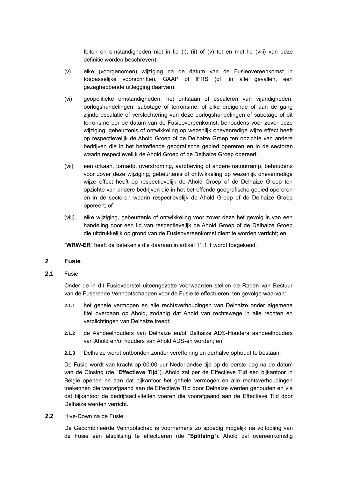feiten en omstandigheden niet in lid  $(i)$ ,  $(ii)$  of  $(v)$  tot en met lid  $(viii)$  van deze definitie worden beschreven);

- (v) elke (voorgenomen) wijziging na de datum van de Fusieovereenkomst in toepasselijke voorschriften, GAAP of IFRS (of, in alle gevallen, een gezaghebbende uitlegging daarvan);
- (vi) geopolitieke omstandigheden, het ontstaan of escaleren van vijandigheden, oorlogshandelingen, sabotage of terrorisme, of elke dreigende of aan de gang zijnde escalatie of verslechtering van deze oorlogshandelingen of sabotage of dit terrorisme per de datum van de Fusieovereenkomst, behoudens voor zover deze wijziging, gebeurtenis of ontwikkeling op wezenlijk onevenredige wijze effect heeft op respectievelijk de Ahold Groep of de Delhaize Groep ten opzichte van andere bedrijven die in het betreffende geografische gebied opereren en in de sectoren waarin respectievelijk de Ahold Groep of de Delhaize Groep opereert;
- (vii) een orkaan, tornado, overstroming, aardbeving of andere natuurramp, behoudens voor zover deze wijziging, gebeurtenis of ontwikkeling op wezenlijk onevenredige wijze effect heeft op respectievelijk de Ahold Groep of de Delhaize Groep ten opzichte van andere bedrijven die in het betreffende geografische gebied opereren en in de sectoren waarin respectievelijk de Ahold Groep of de Delhaize Groep opereert; of
- (viii) elke wijziging, gebeurtenis of ontwikkeling voor zover deze het gevolg is van een handeling door een lid van respectievelijk de Ahold Groep of de Delhaize Groep die uitdrukkelijk op grond van de Fusieovereenkomst dient te worden verricht; en

"**WRW-ER**" heeft de betekenis die daaraan in artikel [11.1.1](#page-23-0) wordt toegekend.

#### **2 Fusie**

**2.1** Fusie

Onder de in dit Fusievoorstel uiteengezette voorwaarden stellen de Raden van Bestuur van de Fuserende Vennootschappen voor de Fusie te effectueren, ten gevolge waarvan:

- **2.1.1** het gehele vermogen en alle rechtsverhoudingen van Delhaize onder algemene titel overgaan op Ahold, zodanig dat Ahold van rechtswege in alle rechten en verplichtingen van Delhaize treedt;
- **2.1.2** de Aandeelhouders van Delhaize en/of Delhaize ADS-Houders aandeelhouders van Ahold en/of houders van Ahold ADS-en worden; en
- **2.1.3** Delhaize wordt ontbonden zonder vereffening en derhalve ophoudt te bestaan.

De Fusie wordt van kracht op 00.00 uur Nederlandse tijd op de eerste dag na de datum van de Closing (de "**Effectieve Tijd**"). Ahold zal per de Effectieve Tijd een bijkantoor in België openen en aan dat bijkantoor het gehele vermogen en alle rechtsverhoudingen toekennen die voorafgaand aan de Effectieve Tijd door Delhaize werden gehouden en via dat bijkantoor de bedrijfsactiviteiten voeren die voorafgaand aan de Effectieve Tijd door Delhaize werden verricht.

**2.2** Hive-Down na de Fusie

De Gecombineerde Vennootschap is voornemens zo spoedig mogelijk na voltooiing van de Fusie een afsplitsing te effectueren (de "**Splitsing**"). Ahold zal overeenkomstig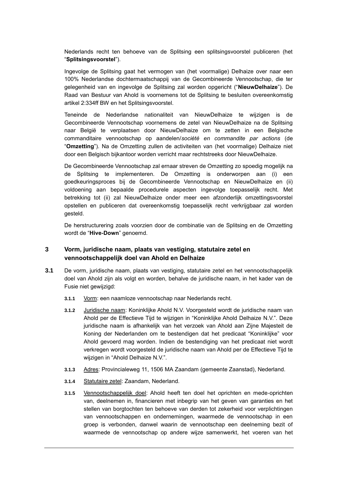Nederlands recht ten behoeve van de Splitsing een splitsingsvoorstel publiceren (het "**Splitsingsvoorstel**").

Ingevolge de Splitsing gaat het vermogen van (het voormalige) Delhaize over naar een 100% Nederlandse dochtermaatschappij van de Gecombineerde Vennootschap, die ter gelegenheid van en ingevolge de Splitsing zal worden opgericht ("**NieuwDelhaize**"). De Raad van Bestuur van Ahold is voornemens tot de Splitsing te besluiten overeenkomstig artikel 2:334ff BW en het Splitsingsvoorstel.

Teneinde de Nederlandse nationaliteit van NieuwDelhaize te wijzigen is de Gecombineerde Vennootschap voornemens de zetel van NieuwDelhaize na de Splitsing naar België te verplaatsen door NieuwDelhaize om te zetten in een Belgische commanditaire vennootschap op aandelen/*société en commandite par actions* (de "**Omzetting**"). Na de Omzetting zullen de activiteiten van (het voormalige) Delhaize niet door een Belgisch bijkantoor worden verricht maar rechtstreeks door NieuwDelhaize.

De Gecombineerde Vennootschap zal ernaar streven de Omzetting zo spoedig mogelijk na de Splitsing te implementeren. De Omzetting is onderworpen aan (i) een goedkeuringsproces bij de Gecombineerde Vennootschap en NieuwDelhaize en (ii) voldoening aan bepaalde procedurele aspecten ingevolge toepasselijk recht. Met betrekking tot (ii) zal NieuwDelhaize onder meer een afzonderlijk omzettingsvoorstel opstellen en publiceren dat overeenkomstig toepasselijk recht verkrijgbaar zal worden gesteld.

De herstructurering zoals voorzien door de combinatie van de Splitsing en de Omzetting wordt de "**Hive-Down**" genoemd.

### **3 Vorm, juridische naam, plaats van vestiging, statutaire zetel en vennootschappelijk doel van Ahold en Delhaize**

- **3.1** De vorm, juridische naam, plaats van vestiging, statutaire zetel en het vennootschappelijk doel van Ahold zijn als volgt en worden, behalve de juridische naam, in het kader van de Fusie niet gewijzigd:
	- **3.1.1** Vorm: een naamloze vennootschap naar Nederlands recht.
	- **3.1.2** Juridische naam: Koninklijke Ahold N.V. Voorgesteld wordt de juridische naam van Ahold per de Effectieve Tijd te wijzigen in "Koninklijke Ahold Delhaize N.V.". Deze juridische naam is afhankelijk van het verzoek van Ahold aan Zijne Majesteit de Koning der Nederlanden om te bestendigen dat het predicaat "Koninklijke" voor Ahold gevoerd mag worden. Indien de bestendiging van het predicaat niet wordt verkregen wordt voorgesteld de juridische naam van Ahold per de Effectieve Tijd te wijzigen in "Ahold Delhaize N.V.".
	- **3.1.3** Adres: Provincialeweg 11, 1506 MA Zaandam (gemeente Zaanstad), Nederland.
	- **3.1.4** Statutaire zetel: Zaandam, Nederland.
	- **3.1.5** Vennootschappelijk doel: Ahold heeft ten doel het oprichten en mede-oprichten van, deelnemen in, financieren met inbegrip van het geven van garanties en het stellen van borgtochten ten behoeve van derden tot zekerheid voor verplichtingen van vennootschappen en ondernemingen, waarmede de vennootschap in een groep is verbonden, danwel waarin de vennootschap een deelneming bezit of waarmede de vennootschap op andere wijze samenwerkt, het voeren van het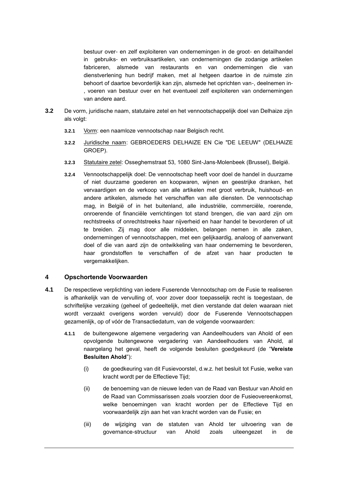bestuur over- en zelf exploiteren van ondernemingen in de groot- en detailhandel in gebruiks- en verbruiksartikelen, van ondernemingen die zodanige artikelen fabriceren, alsmede van restaurants en van ondernemingen die van dienstverlening hun bedrijf maken, met al hetgeen daartoe in de ruimste zin behoort of daartoe bevorderlijk kan zijn, alsmede het oprichten van-, deelnemen in- , voeren van bestuur over en het eventueel zelf exploiteren van ondernemingen van andere aard.

- **3.2** De vorm, juridische naam, statutaire zetel en het vennootschappelijk doel van Delhaize zijn als volgt:
	- **3.2.1** Vorm: een naamloze vennootschap naar Belgisch recht.
	- **3.2.2** Juridische naam: GEBROEDERS DELHAIZE EN Cie "DE LEEUW" (DELHAIZE GROEP).
	- **3.2.3** Statutaire zetel: Osseghemstraat 53, 1080 Sint-Jans-Molenbeek (Brussel), België.
	- **3.2.4** Vennootschappelijk doel: De vennootschap heeft voor doel de handel in duurzame of niet duurzame goederen en koopwaren, wijnen en geestrijke dranken, het vervaardigen en de verkoop van alle artikelen met groot verbruik, huishoud- en andere artikelen, alsmede het verschaffen van alle diensten. De vennootschap mag, in België of in het buitenland, alle industriële, commerciële, roerende, onroerende of financiële verrichtingen tot stand brengen, die van aard zijn om rechtstreeks of onrechtstreeks haar nijverheid en haar handel te bevorderen of uit te breiden. Zij mag door alle middelen, belangen nemen in alle zaken, ondernemingen of vennootschappen, met een gelijkaardig, analoog of aanverwant doel of die van aard zijn de ontwikkeling van haar onderneming te bevorderen, haar grondstoffen te verschaffen of de afzet van haar producten te vergemakkelijken.

#### **4 Opschortende Voorwaarden**

- **4.1** De respectieve verplichting van iedere Fuserende Vennootschap om de Fusie te realiseren is afhankelijk van de vervulling of, voor zover door toepasselijk recht is toegestaan, de schriftelijke verzaking (geheel of gedeeltelijk, met dien verstande dat delen waaraan niet wordt verzaakt overigens worden vervuld) door de Fuserende Vennootschappen gezamenlijk, op of vóór de Transactiedatum, van de volgende voorwaarden:
	- **4.1.1** de buitengewone algemene vergadering van Aandeelhouders van Ahold of een opvolgende buitengewone vergadering van Aandeelhouders van Ahold, al naargelang het geval, heeft de volgende besluiten goedgekeurd (de "**Vereiste Besluiten Ahold**"):
		- (i) de goedkeuring van dit Fusievoorstel, d.w.z. het besluit tot Fusie, welke van kracht wordt per de Effectieve Tijd;
		- (ii) de benoeming van de nieuwe leden van de Raad van Bestuur van Ahold en de Raad van Commissarissen zoals voorzien door de Fusieovereenkomst, welke benoemingen van kracht worden per de Effectieve Tijd en voorwaardelijk zijn aan het van kracht worden van de Fusie; en
		- (iii) de wijziging van de statuten van Ahold ter uitvoering van de governance-structuur van Ahold zoals uiteengezet in de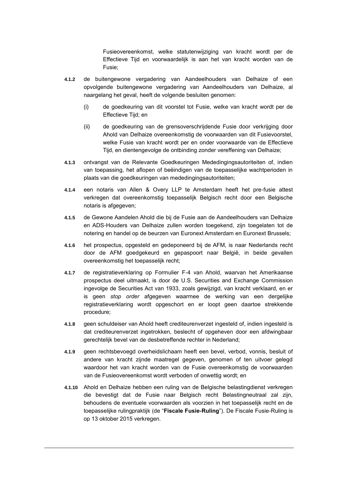Fusieovereenkomst, welke statutenwijziging van kracht wordt per de Effectieve Tijd en voorwaardelijk is aan het van kracht worden van de Fusie;

- **4.1.2** de buitengewone vergadering van Aandeelhouders van Delhaize of een opvolgende buitengewone vergadering van Aandeelhouders van Delhaize, al naargelang het geval, heeft de volgende besluiten genomen:
	- (i) de goedkeuring van dit voorstel tot Fusie, welke van kracht wordt per de Effectieve Tijd; en
	- (ii) de goedkeuring van de grensoverschrijdende Fusie door verkrijging door Ahold van Delhaize overeenkomstig de voorwaarden van dit Fusievoorstel, welke Fusie van kracht wordt per en onder voorwaarde van de Effectieve Tijd, en dientengevolge de ontbinding zonder vereffening van Delhaize;
- **4.1.3** ontvangst van de Relevante Goedkeuringen Mededingingsautoriteiten of, indien van toepassing, het aflopen of beëindigen van de toepasselijke wachtperioden in plaats van die goedkeuringen van mededingingsautoriteiten;
- **4.1.4** een notaris van Allen & Overy LLP te Amsterdam heeft het pre-fusie attest verkregen dat overeenkomstig toepasselijk Belgisch recht door een Belgische notaris is afgegeven;
- **4.1.5** de Gewone Aandelen Ahold die bij de Fusie aan de Aandeelhouders van Delhaize en ADS-Houders van Delhaize zullen worden toegekend, zijn toegelaten tot de notering en handel op de beurzen van Euronext Amsterdam en Euronext Brussels;
- **4.1.6** het prospectus, opgesteld en gedeponeerd bij de AFM, is naar Nederlands recht door de AFM goedgekeurd en gepaspoort naar België, in beide gevallen overeenkomstig het toepasselijk recht;
- **4.1.7** de registratieverklaring op Formulier F-4 van Ahold, waarvan het Amerikaanse prospectus deel uitmaakt, is door de U.S. Securities and Exchange Commission ingevolge de Securities Act van 1933, zoals gewijzigd, van kracht verklaard, en er is geen *stop order* afgegeven waarmee de werking van een dergelijke registratieverklaring wordt opgeschort en er loopt geen daartoe strekkende procedure;
- **4.1.8** geen schuldeiser van Ahold heeft crediteurenverzet ingesteld of, indien ingesteld is dat crediteurenverzet ingetrokken, beslecht of opgeheven door een afdwingbaar gerechtelijk bevel van de desbetreffende rechter in Nederland;
- **4.1.9** geen rechtsbevoegd overheidslichaam heeft een bevel, verbod, vonnis, besluit of andere van kracht zijnde maatregel gegeven, genomen of ten uitvoer gelegd waardoor het van kracht worden van de Fusie overeenkomstig de voorwaarden van de Fusieovereenkomst wordt verboden of onwettig wordt; en
- **4.1.10** Ahold en Delhaize hebben een ruling van de Belgische belastingdienst verkregen die bevestigt dat de Fusie naar Belgisch recht Belastingneutraal zal zijn, behoudens de eventuele voorwaarden als voorzien in het toepasselijk recht en de toepasselijke rulingpraktijk (de "**Fiscale Fusie-Ruling**"). De Fiscale Fusie-Ruling is op 13 oktober 2015 verkregen.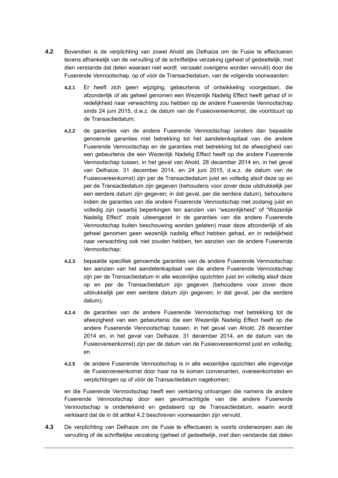- **4.2** Bovendien is de verplichting van zowel Ahold als Delhaize om de Fusie te effectueren tevens afhankelijk van de vervulling of de schriftelijke verzaking (geheel of gedeeltelijk, met dien verstande dat delen waaraan niet wordt verzaakt overigens worden vervuld) door die Fuserende Vennootschap, op of vóór de Transactiedatum, van de volgende voorwaarden:
	- **4.2.1** Er heeft zich geen wijziging, gebeurtenis of ontwikkeling voorgedaan, die afzonderlijk of als geheel genomen een Wezenlijk Nadelig Effect heeft gehad of in redelijkheid naar verwachting zou hebben op de andere Fuserende Vennootschap sinds 24 juni 2015, d.w.z. de datum van de Fusieovereenkomst, die voortduurt op de Transactiedatum;
	- **4.2.2** de garanties van de andere Fuserende Vennootschap (anders dan bepaalde genoemde garanties met betrekking tot het aandelenkapitaal van die andere Fuserende Vennootschap en de garanties met betrekking tot de afwezigheid van een gebeurtenis die een Wezenlijk Nadelig Effect heeft op die andere Fuserende Vennootschap tussen, in het geval van Ahold, 28 december 2014 en, in het geval van Delhaize, 31 december 2014, en 24 juni 2015, d.w.z. de datum van de Fusieovereenkomst) zijn per de Transactiedatum juist en volledig alsof deze op en per de Transactiedatum zijn gegeven (behoudens voor zover deze uitdrukkelijk per een eerdere datum zijn gegeven; in dat geval, per die eerdere datum), behoudens indien de garanties van die andere Fuserende Vennootschap niet zodanig juist en volledig zijn (waarbij beperkingen ten aanzien van "wezenlijkheid" of "Wezenlijk Nadelig Effect" zoals uiteengezet in de garanties van die andere Fuserende Vennootschap buiten beschouwing worden gelaten) maar deze afzonderlijk of als geheel genomen geen wezenlijk nadelig effect hebben gehad, en in redelijkheid naar verwachting ook niet zouden hebben, ten aanzien van de andere Fuserende Vennootschap;
	- **4.2.3** bepaalde specifiek genoemde garanties van de andere Fuserende Vennootschap ten aanzien van het aandelenkapitaal van die andere Fuserende Vennootschap zijn per de Transactiedatum in alle wezenlijke opzichten juist en volledig alsof deze op en per de Transactiedatum zijn gegeven (behoudens voor zover deze uitdrukkelijk per een eerdere datum zijn gegeven; in dat geval, per die eerdere datum);
	- **4.2.4** de garanties van de andere Fuserende Vennootschap met betrekking tot de afwezigheid van een gebeurtenis die een Wezenlijk Nadelig Effect heeft op die andere Fuserende Vennootschap tussen, in het geval van Ahold, 28 december 2014 en, in het geval van Delhaize, 31 december 2014, en de datum van de Fusieovereenkomst) zijn per de datum van de Fusieovereenkomst juist en volledig; en
	- **4.2.5** de andere Fuserende Vennootschap is in alle wezenlijke opzichten alle ingevolge de Fusieovereenkomst door haar na te komen convenanten, overeenkomsten en verplichtingen op of vóór de Transactiedatum nagekomen;

en die Fuserende Vennootschap heeft een verklaring ontvangen die namens de andere Fuserende Vennootschap door een gevolmachtigde van die andere Fuserende Vennootschap is ondertekend en gedateerd op de Transactiedatum, waarin wordt verklaard dat de in dit artikel [4.2](#page-10-0) beschreven voorwaarden zijn vervuld.

**4.3** De verplichting van Delhaize om de Fusie te effectueren is voorts onderworpen aan de vervulling of de schriftelijke verzaking (geheel of gedeeltelijk, met dien verstande dat delen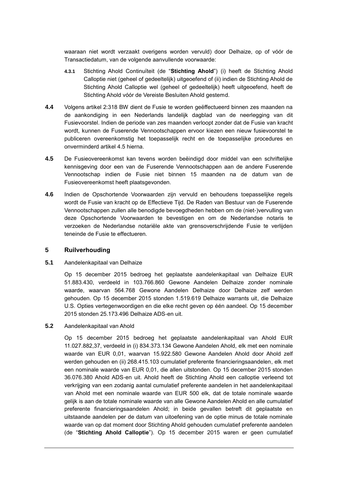waaraan niet wordt verzaakt overigens worden vervuld) door Delhaize, op of vóór de Transactiedatum, van de volgende aanvullende voorwaarde:

- **4.3.1** Stichting Ahold Continuïteit (de "**Stichting Ahold**") (i) heeft de Stichting Ahold Calloptie niet (geheel of gedeeltelijk) uitgeoefend of (ii) indien de Stichting Ahold de Stichting Ahold Calloptie wel (geheel of gedeeltelijk) heeft uitgeoefend, heeft de Stichting Ahold vóór de Vereiste Besluiten Ahold gestemd.
- **4.4** Volgens artikel 2:318 BW dient de Fusie te worden geëffectueerd binnen zes maanden na de aankondiging in een Nederlands landelijk dagblad van de neerlegging van dit Fusievoorstel. Indien de periode van zes maanden verloopt zonder dat de Fusie van kracht wordt, kunnen de Fuserende Vennootschappen ervoor kiezen een nieuw fusievoorstel te publiceren overeenkomstig het toepasselijk recht en de toepasselijke procedures en onverminderd artikel [4.5](#page-11-2) hierna.
- **4.5** De Fusieovereenkomst kan tevens worden beëindigd door middel van een schriftelijke kennisgeving door een van de Fuserende Vennootschappen aan de andere Fuserende Vennootschap indien de Fusie niet binnen 15 maanden na de datum van de Fusieovereenkomst heeft plaatsgevonden.
- **4.6** Indien de Opschortende Voorwaarden zijn vervuld en behoudens toepasselijke regels wordt de Fusie van kracht op de Effectieve Tijd. De Raden van Bestuur van de Fuserende Vennootschappen zullen alle benodigde bevoegdheden hebben om de (niet-)vervulling van deze Opschortende Voorwaarden te bevestigen en om de Nederlandse notaris te verzoeken de Nederlandse notariële akte van grensoverschrijdende Fusie te verlijden teneinde de Fusie te effectueren.

#### **5 Ruilverhouding**

#### **5.1** Aandelenkapitaal van Delhaize

Op 15 december 2015 bedroeg het geplaatste aandelenkapitaal van Delhaize EUR 51.883.430, verdeeld in 103.766.860 Gewone Aandelen Delhaize zonder nominale waarde, waarvan 564.768 Gewone Aandelen Delhaize door Delhaize zelf werden gehouden. Op 15 december 2015 stonden 1.519.619 Delhaize warrants uit, die Delhaize U.S. Opties vertegenwoordigen en die elke recht geven op één aandeel. Op 15 december 2015 stonden 25.173.496 Delhaize ADS-en uit.

#### **5.2** Aandelenkapitaal van Ahold

Op 15 december 2015 bedroeg het geplaatste aandelenkapitaal van Ahold EUR 11.027.882,37, verdeeld in (i) 834.373.134 Gewone Aandelen Ahold, elk met een nominale waarde van EUR 0,01, waarvan 15.922.580 Gewone Aandelen Ahold door Ahold zelf werden gehouden en (ii) 268.415.103 cumulatief preferente financieringsaandelen, elk met een nominale waarde van EUR 0,01, die allen uitstonden. Op 15 december 2015 stonden 36.076.380 Ahold ADS-en uit. Ahold heeft de Stichting Ahold een calloptie verleend tot verkrijging van een zodanig aantal cumulatief preferente aandelen in het aandelenkapitaal van Ahold met een nominale waarde van EUR 500 elk, dat de totale nominale waarde gelijk is aan de totale nominale waarde van alle Gewone Aandelen Ahold en alle cumulatief preferente financieringsaandelen Ahold; in beide gevallen betreft dit geplaatste en uitstaande aandelen per de datum van uitoefening van de optie minus de totale nominale waarde van op dat moment door Stichting Ahold gehouden cumulatief preferente aandelen (de "**Stichting Ahold Calloptie**"). Op 15 december 2015 waren er geen cumulatief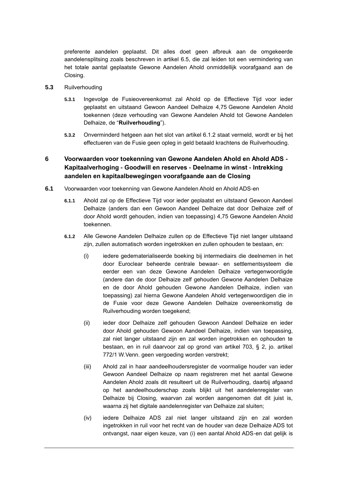preferente aandelen geplaatst. Dit alles doet geen afbreuk aan de omgekeerde aandelensplitsing zoals beschreven in artikel [6.5,](#page-15-1) die zal leiden tot een vermindering van het totale aantal geplaatste Gewone Aandelen Ahold onmiddellijk voorafgaand aan de Closing.

- **5.3** Ruilverhouding
	- **5.3.1** Ingevolge de Fusieovereenkomst zal Ahold op de Effectieve Tijd voor ieder geplaatst en uitstaand Gewoon Aandeel Delhaize 4,75 Gewone Aandelen Ahold toekennen (deze verhouding van Gewone Aandelen Ahold tot Gewone Aandelen Delhaize, de "**Ruilverhouding**").
	- **5.3.2** Onverminderd hetgeen aan het slot van artikel [6.1.2](#page-12-2) staat vermeld, wordt er bij het effectueren van de Fusie geen opleg in geld betaald krachtens de Ruilverhouding.

# **6 Voorwaarden voor toekenning van Gewone Aandelen Ahold en Ahold ADS - Kapitaalverhoging - Goodwill en reserves - Deelname in winst - Intrekking aandelen en kapitaalbewegingen voorafgaande aan de Closing**

- **6.1** Voorwaarden voor toekenning van Gewone Aandelen Ahold en Ahold ADS-en
	- **6.1.1** Ahold zal op de Effectieve Tijd voor ieder geplaatst en uitstaand Gewoon Aandeel Delhaize (anders dan een Gewoon Aandeel Delhaize dat door Delhaize zelf of door Ahold wordt gehouden, indien van toepassing) 4,75 Gewone Aandelen Ahold toekennen.
	- **6.1.2** Alle Gewone Aandelen Delhaize zullen op de Effectieve Tijd niet langer uitstaand zijn, zullen automatisch worden ingetrokken en zullen ophouden te bestaan, en:
		- (i) iedere gedematerialiseerde boeking bij intermediairs die deelnemen in het door Euroclear beheerde centrale bewaar- en settlementsysteem die eerder een van deze Gewone Aandelen Delhaize vertegenwoordigde (andere dan de door Delhaize zelf gehouden Gewone Aandelen Delhaize en de door Ahold gehouden Gewone Aandelen Delhaize, indien van toepassing) zal hierna Gewone Aandelen Ahold vertegenwoordigen die in de Fusie voor deze Gewone Aandelen Delhaize overeenkomstig de Ruilverhouding worden toegekend;
		- (ii) ieder door Delhaize zelf gehouden Gewoon Aandeel Delhaize en ieder door Ahold gehouden Gewoon Aandeel Delhaize, indien van toepassing, zal niet langer uitstaand zijn en zal worden ingetrokken en ophouden te bestaan, en in ruil daarvoor zal op grond van artikel 703, § 2, jo. artikel 772/1 W.Venn. geen vergoeding worden verstrekt;
		- (iii) Ahold zal in haar aandeelhoudersregister de voormalige houder van ieder Gewoon Aandeel Delhaize op naam registreren met het aantal Gewone Aandelen Ahold zoals dit resulteert uit de Ruilverhouding, daarbij afgaand op het aandeelhouderschap zoals blijkt uit het aandelenregister van Delhaize bij Closing, waarvan zal worden aangenomen dat dit juist is, waarna zij het digitale aandelenregister van Delhaize zal sluiten;
		- (iv) iedere Delhaize ADS zal niet langer uitstaand zijn en zal worden ingetrokken in ruil voor het recht van de houder van deze Delhaize ADS tot ontvangst, naar eigen keuze, van (i) een aantal Ahold ADS-en dat gelijk is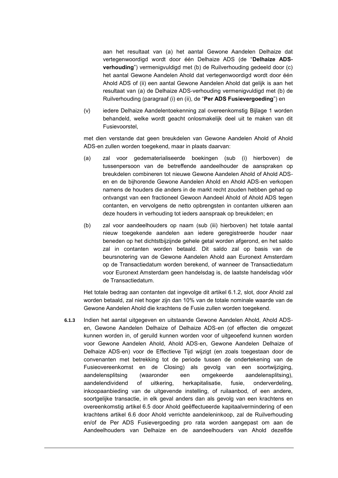aan het resultaat van (a) het aantal Gewone Aandelen Delhaize dat vertegenwoordigd wordt door één Delhaize ADS (de "**Delhaize ADSverhouding**") vermenigvuldigd met (b) de Ruilverhouding gedeeld door (c) het aantal Gewone Aandelen Ahold dat vertegenwoordigd wordt door één Ahold ADS of (ii) een aantal Gewone Aandelen Ahold dat gelijk is aan het resultaat van (a) de Delhaize ADS-verhouding vermenigvuldigd met (b) de Ruilverhouding (paragraaf (i) en (ii), de "**Per ADS Fusievergoeding**") en

(v) iedere Delhaize Aandelentoekenning zal overeenkomstig Bijlage 1 worden behandeld, welke wordt geacht onlosmakelijk deel uit te maken van dit Fusievoorstel,

met dien verstande dat geen breukdelen van Gewone Aandelen Ahold of Ahold ADS-en zullen worden toegekend, maar in plaats daarvan:

- (a) zal voor gedematerialiseerde boekingen (sub (i) hierboven) de tussenpersoon van de betreffende aandeelhouder de aanspraken op breukdelen combineren tot nieuwe Gewone Aandelen Ahold of Ahold ADSen en de bijhorende Gewone Aandelen Ahold en Ahold ADS-en verkopen namens de houders die anders in de markt recht zouden hebben gehad op ontvangst van een fractioneel Gewoon Aandeel Ahold of Ahold ADS tegen contanten, en vervolgens de netto opbrengsten in contanten uitkeren aan deze houders in verhouding tot ieders aanspraak op breukdelen; en
- (b) zal voor aandeelhouders op naam (sub (iii) hierboven) het totale aantal nieuw toegekende aandelen aan iedere geregistreerde houder naar beneden op het dichtstbijzijnde gehele getal worden afgerond, en het saldo zal in contanten worden betaald. Dit saldo zal op basis van de beursnotering van de Gewone Aandelen Ahold aan Euronext Amsterdam op de Transactiedatum worden berekend, of wanneer de Transactiedatum voor Euronext Amsterdam geen handelsdag is, de laatste handelsdag vóór de Transactiedatum.

Het totale bedrag aan contanten dat ingevolge dit artikel [6.1.2,](#page-12-2) slot, door Ahold zal worden betaald, zal niet hoger zijn dan 10% van de totale nominale waarde van de Gewone Aandelen Ahold die krachtens de Fusie zullen worden toegekend.

**6.1.3** Indien het aantal uitgegeven en uitstaande Gewone Aandelen Ahold, Ahold ADSen, Gewone Aandelen Delhaize of Delhaize ADS-en (of effecten die omgezet kunnen worden in, of geruild kunnen worden voor of uitgeoefend kunnen worden voor Gewone Aandelen Ahold, Ahold ADS-en, Gewone Aandelen Delhaize of Delhaize ADS-en) voor de Effectieve Tijd wijzigt (en zoals toegestaan door de convenanten met betrekking tot de periode tussen de ondertekening van de Fusieovereenkomst en de Closing) als gevolg van een soortwijziging, aandelensplitsing (waaronder een omgekeerde aandelensplitsing), aandelendividend of uitkering, herkapitalisatie, fusie, onderverdeling, inkoopaanbieding van de uitgevende instelling, of ruilaanbod, of een andere, soortgelijke transactie, in elk geval anders dan als gevolg van een krachtens en overeenkomstig artikel [6.5](#page-15-1) door Ahold geëffectueerde kapitaalvermindering of een krachtens artikel 6.6 door Ahold verrichte aandeleninkoop, zal de Ruilverhouding en/of de Per ADS Fusievergoeding pro rata worden aangepast om aan de Aandeelhouders van Delhaize en de aandeelhouders van Ahold dezelfde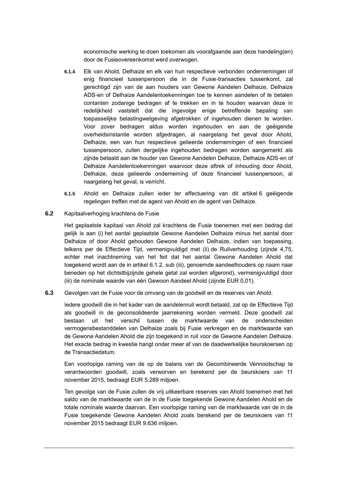economische werking te doen toekomen als voorafgaande aan deze handeling(en) door de Fusieovereenkomst werd overwogen.

- **6.1.4** Elk van Ahold, Delhaize en elk van hun respectieve verbonden ondernemingen of enig financieel tussenpersoon die in de Fusie-transacties tussenkomt, zal gerechtigd zijn van de aan houders van Gewone Aandelen Delhaize, Delhaize ADS-en of Delhaize Aandelentoekenningen toe te kennen aandelen of te betalen contanten zodanige bedragen af te trekken en in te houden waarvan deze in redelijkheid vaststelt dat die ingevolge enige betreffende bepaling van toepasselijke belastingwetgeving afgetrokken of ingehouden dienen te worden. Voor zover bedragen aldus worden ingehouden en aan de geëigende overheidsinstantie worden afgedragen, al naargelang het geval door Ahold, Delhaize, een van hun respectieve gelieerde ondernemingen of een financieel tussenpersoon, zullen dergelijke ingehouden bedragen worden aangemerkt als zijnde betaald aan de houder van Gewone Aandelen Delhaize, Delhaize ADS-en of Delhaize Aandelentoekenningen waarvoor deze aftrek of inhouding door Ahold, Delhaize, deze gelieerde onderneming of deze financieel tussenpersoon, al naargelang het geval, is verricht.
- **6.1.5** Ahold en Delhaize zullen ieder ter effectuering van dit artikel [6](#page-12-3) geëigende regelingen treffen met de agent van Ahold en de agent van Delhaize.
- **6.2** Kapitaalverhoging krachtens de Fusie

Het geplaatste kapitaal van Ahold zal krachtens de Fusie toenemen met een bedrag dat gelijk is aan (i) het aantal geplaatste Gewone Aandelen Delhaize minus het aantal door Delhaize of door Ahold gehouden Gewone Aandelen Delhaize, indien van toepassing, telkens per de Effectieve Tijd, vermenigvuldigd met (ii) de Ruilverhouding (zijnde 4,75, echter met inachtneming van het feit dat het aantal Gewone Aandelen Ahold dat toegekend wordt aan de in artikel [6.1.2,](#page-12-2) sub (iii), genoemde aandeelhouders op naam naar beneden op het dichtstbijzijnde gehele getal zal worden afgerond), vermenigvuldigd door (iii) de nominale waarde van één Gewoon Aandeel Ahold (zijnde EUR 0,01).

**6.3** Gevolgen van de Fusie voor de omvang van de goodwill en de reserves van Ahold.

Iedere goodwill die in het kader van de aandelenruil wordt betaald, zal op de Effectieve Tijd als goodwill in de geconsolideerde jaarrekening worden vermeld. Deze goodwill zal bestaan uit het verschil tussen de marktwaarde van de onderscheiden vermogensbestanddelen van Delhaize zoals bij Fusie verkregen en de marktwaarde van de Gewone Aandelen Ahold die zijn toegekend in ruil voor de Gewone Aandelen Delhaize. Het exacte bedrag in kwestie hangt onder meer af van de daadwerkelijke beurskoersen op de Transactiedatum.

Een voorlopige raming van de op de balans van de Gecombineerde Vennootschap te verantwoorden goodwill, zoals verworven en berekend per de beurskoers van 11 november 2015, bedraagt EUR 5.289 miljoen.

Ten gevolge van de Fusie zullen de vrij uitkeerbare reserves van Ahold toenemen met het saldo van de marktwaarde van de in de Fusie toegekende Gewone Aandelen Ahold en de totale nominale waarde daarvan. Een voorlopige raming van de marktwaarde van de in de Fusie toegekende Gewone Aandelen Ahold zoals berekend per de beurskoers van 11 november 2015 bedraagt EUR 9.636 miljoen.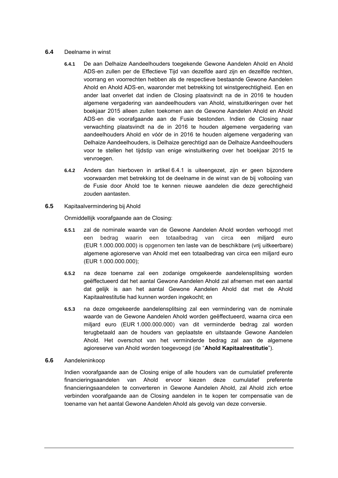#### **6.4** Deelname in winst

- **6.4.1** De aan Delhaize Aandeelhouders toegekende Gewone Aandelen Ahold en Ahold ADS-en zullen per de Effectieve Tijd van dezelfde aard zijn en dezelfde rechten, voorrang en voorrechten hebben als de respectieve bestaande Gewone Aandelen Ahold en Ahold ADS-en, waaronder met betrekking tot winstgerechtigheid. Een en ander laat onverlet dat indien de Closing plaatsvindt na de in 2016 te houden algemene vergadering van aandeelhouders van Ahold, winstuitkeringen over het boekjaar 2015 alleen zullen toekomen aan de Gewone Aandelen Ahold en Ahold ADS-en die voorafgaande aan de Fusie bestonden. Indien de Closing naar verwachting plaatsvindt na de in 2016 te houden algemene vergadering van aandeelhouders Ahold en vóór de in 2016 te houden algemene vergadering van Delhaize Aandeelhouders, is Delhaize gerechtigd aan de Delhaize Aandeelhouders voor te stellen het tijdstip van enige winstuitkering over het boekjaar 2015 te vervroegen.
- **6.4.2** Anders dan hierboven in artikel [6.4.1](#page-15-0) is uiteengezet, zijn er geen bijzondere voorwaarden met betrekking tot de deelname in de winst van de bij voltooiing van de Fusie door Ahold toe te kennen nieuwe aandelen die deze gerechtigheid zouden aantasten.
- **6.5** Kapitaalvermindering bij Ahold

Onmiddellijk voorafgaande aan de Closing:

- **6.5.1** zal de nominale waarde van de Gewone Aandelen Ahold worden verhoogd met een bedrag waarin een totaalbedrag van circa een miljard euro (EUR 1.000.000.000) is opgenomen ten laste van de beschikbare (vrij uitkeerbare) algemene agioreserve van Ahold met een totaalbedrag van circa een miljard euro (EUR 1.000.000.000);
- **6.5.2** na deze toename zal een zodanige omgekeerde aandelensplitsing worden geëffectueerd dat het aantal Gewone Aandelen Ahold zal afnemen met een aantal dat gelijk is aan het aantal Gewone Aandelen Ahold dat met de Ahold Kapitaalrestitutie had kunnen worden ingekocht; en
- **6.5.3** na deze omgekeerde aandelensplitsing zal een vermindering van de nominale waarde van de Gewone Aandelen Ahold worden geëffectueerd, waarna circa een miljard euro (EUR 1.000.000.000) van dit verminderde bedrag zal worden terugbetaald aan de houders van geplaatste en uitstaande Gewone Aandelen Ahold. Het overschot van het verminderde bedrag zal aan de algemene agioreserve van Ahold worden toegevoegd (de "**Ahold Kapitaalrestitutie**").

#### **6.6** Aandeleninkoop

Indien voorafgaande aan de Closing enige of alle houders van de cumulatief preferente financieringsaandelen van Ahold ervoor kiezen deze cumulatief preferente financieringsaandelen te converteren in Gewone Aandelen Ahold, zal Ahold zich ertoe verbinden voorafgaande aan de Closing aandelen in te kopen ter compensatie van de toename van het aantal Gewone Aandelen Ahold als gevolg van deze conversie.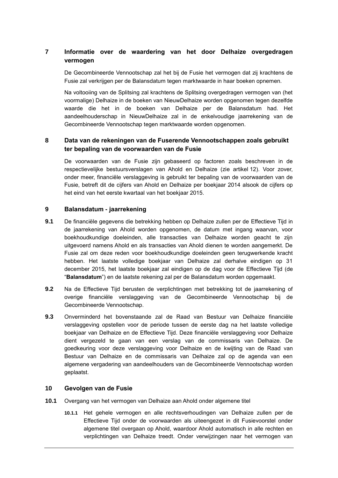# **7 Informatie over de waardering van het door Delhaize overgedragen vermogen**

De Gecombineerde Vennootschap zal het bij de Fusie het vermogen dat zij krachtens de Fusie zal verkrijgen per de Balansdatum tegen marktwaarde in haar boeken opnemen.

Na voltooiing van de Splitsing zal krachtens de Splitsing overgedragen vermogen van (het voormalige) Delhaize in de boeken van NieuwDelhaize worden opgenomen tegen dezelfde waarde die het in de boeken van Delhaize per de Balansdatum had. Het aandeelhouderschap in NieuwDelhaize zal in de enkelvoudige jaarrekening van de Gecombineerde Vennootschap tegen marktwaarde worden opgenomen.

# **8 Data van de rekeningen van de Fuserende Vennootschappen zoals gebruikt ter bepaling van de voorwaarden van de Fusie**

De voorwaarden van de Fusie zijn gebaseerd op factoren zoals beschreven in de respectievelijke bestuursverslagen van Ahold en Delhaize (zie artikel [12\)](#page-26-0). Voor zover, onder meer, financiële verslaggeving is gebruikt ter bepaling van de voorwaarden van de Fusie, betreft dit de cijfers van Ahold en Delhaize per boekjaar 2014 alsook de cijfers op het eind van het eerste kwartaal van het boekjaar 2015.

#### **9 Balansdatum - jaarrekening**

- **9.1** De financiële gegevens die betrekking hebben op Delhaize zullen per de Effectieve Tijd in de jaarrekening van Ahold worden opgenomen, de datum met ingang waarvan, voor boekhoudkundige doeleinden, alle transacties van Delhaize worden geacht te zijn uitgevoerd namens Ahold en als transacties van Ahold dienen te worden aangemerkt. De Fusie zal om deze reden voor boekhoudkundige doeleinden geen terugwerkende kracht hebben. Het laatste volledige boekjaar van Delhaize zal derhalve eindigen op 31 december 2015, het laatste boekjaar zal eindigen op de dag voor de Effectieve Tijd (de "**Balansdatum**") en de laatste rekening zal per de Balansdatum worden opgemaakt.
- **9.2** Na de Effectieve Tijd berusten de verplichtingen met betrekking tot de jaarrekening of overige financiële verslaggeving van de Gecombineerde Vennootschap bij de Gecombineerde Vennootschap.
- **9.3** Onverminderd het bovenstaande zal de Raad van Bestuur van Delhaize financiële verslaggeving opstellen voor de periode tussen de eerste dag na het laatste volledige boekjaar van Delhaize en de Effectieve Tijd. Deze financiële verslaggeving voor Delhaize dient vergezeld te gaan van een verslag van de commissaris van Delhaize. De goedkeuring voor deze verslaggeving voor Delhaize en de kwijting van de Raad van Bestuur van Delhaize en de commissaris van Delhaize zal op de agenda van een algemene vergadering van aandeelhouders van de Gecombineerde Vennootschap worden geplaatst.

# **10 Gevolgen van de Fusie**

- **10.1** Overgang van het vermogen van Delhaize aan Ahold onder algemene titel
	- **10.1.1** Het gehele vermogen en alle rechtsverhoudingen van Delhaize zullen per de Effectieve Tijd onder de voorwaarden als uiteengezet in dit Fusievoorstel onder algemene titel overgaan op Ahold, waardoor Ahold automatisch in alle rechten en verplichtingen van Delhaize treedt. Onder verwijzingen naar het vermogen van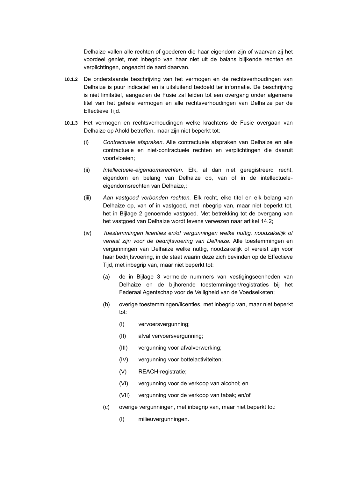Delhaize vallen alle rechten of goederen die haar eigendom zijn of waarvan zij het voordeel geniet, met inbegrip van haar niet uit de balans blijkende rechten en verplichtingen, ongeacht de aard daarvan.

- **10.1.2** De onderstaande beschrijving van het vermogen en de rechtsverhoudingen van Delhaize is puur indicatief en is uitsluitend bedoeld ter informatie. De beschrijving is niet limitatief, aangezien de Fusie zal leiden tot een overgang onder algemene titel van het gehele vermogen en alle rechtsverhoudingen van Delhaize per de Effectieve Tijd.
- **10.1.3** Het vermogen en rechtsverhoudingen welke krachtens de Fusie overgaan van Delhaize op Ahold betreffen, maar zijn niet beperkt tot:
	- (i) *Contractuele afspraken*. Alle contractuele afspraken van Delhaize en alle contractuele en niet-contractuele rechten en verplichtingen die daaruit voortvloeien;
	- (ii) *Intellectuele-eigendomsrechten.* Elk, al dan niet geregistreerd recht, eigendom en belang van Delhaize op, van of in de intellectueleeigendomsrechten van Delhaize,;
	- (iii) *Aan vastgoed verbonden rechten.* Elk recht, elke titel en elk belang van Delhaize op, van of in vastgoed, met inbegrip van, maar niet beperkt tot, het in Bijlage 2 genoemde vastgoed. Met betrekking tot de overgang van het vastgoed van Delhaize wordt tevens verwezen naar artikel [14.2;](#page-26-1)
	- (iv) *Toestemmingen licenties en/of vergunningen welke nuttig, noodzakelijk of vereist zijn voor de bedrijfsvoering van Delhaize.* Alle toestemmingen en vergunningen van Delhaize welke nuttig, noodzakelijk of vereist zijn voor haar bedrijfsvoering, in de staat waarin deze zich bevinden op de Effectieve Tijd, met inbegrip van, maar niet beperkt tot:
		- (a) de in Bijlage 3 vermelde nummers van vestigingseenheden van Delhaize en de bijhorende toestemmingen/registraties bij het Federaal Agentschap voor de Veiligheid van de Voedselketen;
		- (b) overige toestemmingen/licenties, met inbegrip van, maar niet beperkt tot:
			- (I) vervoersvergunning;
			- (II) afval vervoersvergunning;
			- (III) vergunning voor afvalverwerking;
			- (IV) vergunning voor bottelactiviteiten;
			- (V) REACH-registratie;
			- (VI) vergunning voor de verkoop van alcohol; en
			- (VII) vergunning voor de verkoop van tabak; en/of
		- (c) overige vergunningen, met inbegrip van, maar niet beperkt tot:
			- (I) milieuvergunningen.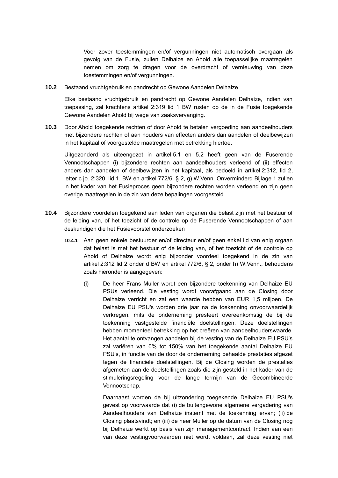Voor zover toestemmingen en/of vergunningen niet automatisch overgaan als gevolg van de Fusie, zullen Delhaize en Ahold alle toepasselijke maatregelen nemen om zorg te dragen voor de overdracht of vernieuwing van deze toestemmingen en/of vergunningen.

**10.2** Bestaand vruchtgebruik en pandrecht op Gewone Aandelen Delhaize

Elke bestaand vruchtgebruik en pandrecht op Gewone Aandelen Delhaize, indien van toepassing, zal krachtens artikel 2:319 lid 1 BW rusten op de in de Fusie toegekende Gewone Aandelen Ahold bij wege van zaaksvervanging.

**10.3** Door Ahold toegekende rechten of door Ahold te betalen vergoeding aan aandeelhouders met bijzondere rechten of aan houders van effecten anders dan aandelen of deelbewijzen in het kapitaal of voorgestelde maatregelen met betrekking hiertoe.

Uitgezonderd als uiteengezet in artikel [5.1](#page-11-0) en [5.2](#page-12-0) heeft geen van de Fuserende Vennootschappen (i) bijzondere rechten aan aandeelhouders verleend of (ii) effecten anders dan aandelen of deelbewijzen in het kapitaal, als bedoeld in artikel 2:312, lid 2, letter c jo. 2:320, lid 1, BW en artikel 772/6, § 2, g) W.Venn. Onverminderd Bijlage 1 zullen in het kader van het Fusieproces geen bijzondere rechten worden verleend en zijn geen overige maatregelen in de zin van deze bepalingen voorgesteld.

- **10.4** Bijzondere voordelen toegekend aan leden van organen die belast zijn met het bestuur of de leiding van, of het toezicht of de controle op de Fuserende Vennootschappen of aan deskundigen die het Fusievoorstel onderzoeken
	- **10.4.1** Aan geen enkele bestuurder en/of directeur en/of geen enkel lid van enig orgaan dat belast is met het bestuur of de leiding van, of het toezicht of de controle op Ahold of Delhaize wordt enig bijzonder voordeel toegekend in de zin van artikel 2:312 lid 2 onder d BW en artikel 772/6, § 2, onder h) W.Venn., behoudens zoals hieronder is aangegeven:
		- (i) De heer Frans Muller wordt een bijzondere toekenning van Delhaize EU PSUs verleend. Die vesting wordt voorafgaand aan de Closing door Delhaize verricht en zal een waarde hebben van EUR 1,5 miljoen. De Delhaize EU PSU's worden drie jaar na de toekenning onvoorwaardelijk verkregen, mits de onderneming presteert overeenkomstig de bij de toekenning vastgestelde financiële doelstellingen. Deze doelstellingen hebben momenteel betrekking op het creëren van aandeelhouderswaarde. Het aantal te ontvangen aandelen bij de vesting van de Delhaize EU PSU's zal variëren van 0% tot 150% van het toegekende aantal Delhaize EU PSU's, in functie van de door de onderneming behaalde prestaties afgezet tegen de financiële doelstellingen. Bij de Closing worden de prestaties afgemeten aan de doelstellingen zoals die zijn gesteld in het kader van de stimuleringsregeling voor de lange termijn van de Gecombineerde Vennootschap.

Daarnaast worden de bij uitzondering toegekende Delhaize EU PSU's gevest op voorwaarde dat (i) de buitengewone algemene vergadering van Aandeelhouders van Delhaize instemt met de toekenning ervan; (ii) de Closing plaatsvindt; en (iii) de heer Muller op de datum van de Closing nog bij Delhaize werkt op basis van zijn managementcontract. Indien aan een van deze vestingvoorwaarden niet wordt voldaan, zal deze vesting niet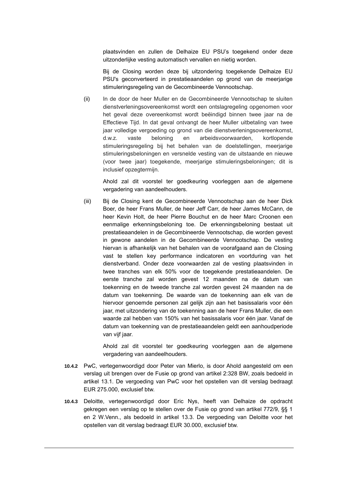plaatsvinden en zullen de Delhaize EU PSU's toegekend onder deze uitzonderlijke vesting automatisch vervallen en nietig worden.

Bij de Closing worden deze bij uitzondering toegekende Delhaize EU PSU's geconverteerd in prestatieaandelen op grond van de meerjarige stimuleringsregeling van de Gecombineerde Vennootschap.

(ii) In de door de heer Muller en de Gecombineerde Vennootschap te sluiten dienstverleningsovereenkomst wordt een ontslagregeling opgenomen voor het geval deze overeenkomst wordt beëindigd binnen twee jaar na de Effectieve Tijd. In dat geval ontvangt de heer Muller uitbetaling van twee jaar volledige vergoeding op grond van die dienstverleningsovereenkomst, d.w.z. vaste beloning en arbeidsvoorwaarden, kortlopende stimuleringsregeling bij het behalen van de doelstellingen, meerjarige stimuleringsbeloningen en versnelde vesting van de uitstaande en nieuwe (voor twee jaar) toegekende, meerjarige stimuleringsbeloningen; dit is inclusief opzegtermijn.

Ahold zal dit voorstel ter goedkeuring voorleggen aan de algemene vergadering van aandeelhouders.

(iii) Bij de Closing kent de Gecombineerde Vennootschap aan de heer Dick Boer, de heer Frans Muller, de heer Jeff Carr, de heer James McCann, de heer Kevin Holt, de heer Pierre Bouchut en de heer Marc Croonen een eenmalige erkenningsbeloning toe. De erkenningsbeloning bestaat uit prestatieaandelen in de Gecombineerde Vennootschap, die worden gevest in gewone aandelen in de Gecombineerde Vennootschap. De vesting hiervan is afhankelijk van het behalen van de voorafgaand aan de Closing vast te stellen key performance indicatoren en voortduring van het dienstverband. Onder deze voorwaarden zal de vesting plaatsvinden in twee tranches van elk 50% voor de toegekende prestatieaandelen. De eerste tranche zal worden gevest 12 maanden na de datum van toekenning en de tweede tranche zal worden gevest 24 maanden na de datum van toekenning. De waarde van de toekenning aan elk van de hiervoor genoemde personen zal gelijk zijn aan het basissalaris voor één jaar, met uitzondering van de toekenning aan de heer Frans Muller, die een waarde zal hebben van 150% van het basissalaris voor één jaar. Vanaf de datum van toekenning van de prestatieaandelen geldt een aanhoudperiode van vijf jaar.

Ahold zal dit voorstel ter goedkeuring voorleggen aan de algemene vergadering van aandeelhouders.

- **10.4.2** PwC, vertegenwoordigd door Peter van Mierlo, is door Ahold aangesteld om een verslag uit brengen over de Fusie op grond van artikel 2:328 BW, zoals bedoeld in artikel [13.1.](#page-26-2) De vergoeding van PwC voor het opstellen van dit verslag bedraagt EUR 275.000, exclusief btw.
- **10.4.3** Deloitte, vertegenwoordigd door Eric Nys, heeft van Delhaize de opdracht gekregen een verslag op te stellen over de Fusie op grond van artikel 772/9, §§ 1 en 2 W.Venn., als bedoeld in artikel [13.3.](#page-84-0) De vergoeding van Deloitte voor het opstellen van dit verslag bedraagt EUR 30.000, exclusief btw.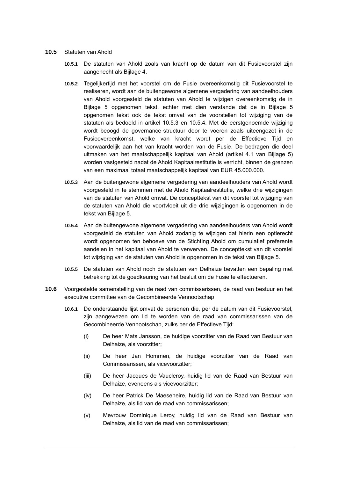#### **10.5** Statuten van Ahold

- **10.5.1** De statuten van Ahold zoals van kracht op de datum van dit Fusievoorstel zijn aangehecht als Bijlage 4.
- **10.5.2** Tegelijkertijd met het voorstel om de Fusie overeenkomstig dit Fusievoorstel te realiseren, wordt aan de buitengewone algemene vergadering van aandeelhouders van Ahold voorgesteld de statuten van Ahold te wijzigen overeenkomstig de in Bijlage 5 opgenomen tekst, echter met dien verstande dat de in Bijlage 5 opgenomen tekst ook de tekst omvat van de voorstellen tot wijziging van de statuten als bedoeld in artikel [10.5.3](#page-20-0) en [10.5.4.](#page-20-1) Met de eerstgenoemde wijziging wordt beoogd de governance-structuur door te voeren zoals uiteengezet in de Fusieovereenkomst, welke van kracht wordt per de Effectieve Tijd en voorwaardelijk aan het van kracht worden van de Fusie. De bedragen die deel uitmaken van het maatschappelijk kapitaal van Ahold (artikel 4.1 van Bijlage 5) worden vastgesteld nadat de Ahold Kapitaalrestitutie is verricht, binnen de grenzen van een maximaal totaal maatschappelijk kapitaal van EUR 45.000.000.
- **10.5.3** Aan de buitengewone algemene vergadering van aandeelhouders van Ahold wordt voorgesteld in te stemmen met de Ahold Kapitaalrestitutie, welke drie wijzigingen van de statuten van Ahold omvat. De concepttekst van dit voorstel tot wijziging van de statuten van Ahold die voortvloeit uit die drie wijzigingen is opgenomen in de tekst van Bijlage 5.
- **10.5.4** Aan de buitengewone algemene vergadering van aandeelhouders van Ahold wordt voorgesteld de statuten van Ahold zodanig te wijzigen dat hierin een optierecht wordt opgenomen ten behoeve van de Stichting Ahold om cumulatief preferente aandelen in het kapitaal van Ahold te verwerven. De concepttekst van dit voorstel tot wijziging van de statuten van Ahold is opgenomen in de tekst van Bijlage 5.
- **10.5.5** De statuten van Ahold noch de statuten van Delhaize bevatten een bepaling met betrekking tot de goedkeuring van het besluit om de Fusie te effectueren.
- **10.6** Voorgestelde samenstelling van de raad van commissarissen, de raad van bestuur en het executive committee van de Gecombineerde Vennootschap
	- **10.6.1** De onderstaande lijst omvat de personen die, per de datum van dit Fusievoorstel, zijn aangewezen om lid te worden van de raad van commissarissen van de Gecombineerde Vennootschap, zulks per de Effectieve Tijd:
		- (i) De heer Mats Jansson, de huidige voorzitter van de Raad van Bestuur van Delhaize, als voorzitter;
		- (ii) De heer Jan Hommen, de huidige voorzitter van de Raad van Commissarissen, als vicevoorzitter;
		- (iii) De heer Jacques de Vaucleroy, huidig lid van de Raad van Bestuur van Delhaize, eveneens als vicevoorzitter;
		- (iv) De heer Patrick De Maeseneire, huidig lid van de Raad van Bestuur van Delhaize, als lid van de raad van commissarissen;
		- (v) Mevrouw Dominique Leroy, huidig lid van de Raad van Bestuur van Delhaize, als lid van de raad van commissarissen;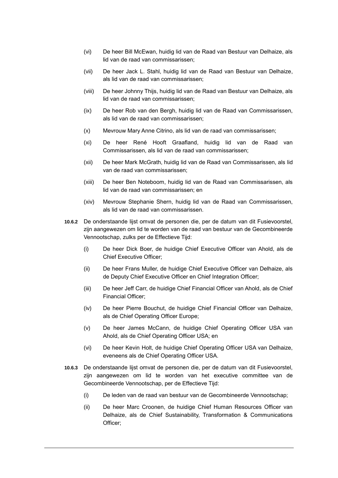- (vi) De heer Bill McEwan, huidig lid van de Raad van Bestuur van Delhaize, als lid van de raad van commissarissen;
- (vii) De heer Jack L. Stahl, huidig lid van de Raad van Bestuur van Delhaize, als lid van de raad van commissarissen;
- (viii) De heer Johnny Thijs, huidig lid van de Raad van Bestuur van Delhaize, als lid van de raad van commissarissen;
- (ix) De heer Rob van den Bergh, huidig lid van de Raad van Commissarissen, als lid van de raad van commissarissen;
- (x) Mevrouw Mary Anne Citrino, als lid van de raad van commissarissen;
- (xi) De heer René Hooft Graafland, huidig lid van de Raad van Commissarissen, als lid van de raad van commissarissen;
- (xii) De heer Mark McGrath, huidig lid van de Raad van Commissarissen, als lid van de raad van commissarissen;
- (xiii) De heer Ben Noteboom, huidig lid van de Raad van Commissarissen, als lid van de raad van commissarissen; en
- (xiv) Mevrouw Stephanie Shern, huidig lid van de Raad van Commissarissen, als lid van de raad van commissarissen.
- **10.6.2** De onderstaande lijst omvat de personen die, per de datum van dit Fusievoorstel, zijn aangewezen om lid te worden van de raad van bestuur van de Gecombineerde Vennootschap, zulks per de Effectieve Tijd:
	- (i) De heer Dick Boer, de huidige Chief Executive Officer van Ahold, als de Chief Executive Officer;
	- (ii) De heer Frans Muller, de huidige Chief Executive Officer van Delhaize, als de Deputy Chief Executive Officer en Chief Integration Officer;
	- (iii) De heer Jeff Carr, de huidige Chief Financial Officer van Ahold, als de Chief Financial Officer;
	- (iv) De heer Pierre Bouchut, de huidige Chief Financial Officer van Delhaize, als de Chief Operating Officer Europe;
	- (v) De heer James McCann, de huidige Chief Operating Officer USA van Ahold, als de Chief Operating Officer USA; en
	- (vi) De heer Kevin Holt, de huidige Chief Operating Officer USA van Delhaize, eveneens als de Chief Operating Officer USA.
- **10.6.3** De onderstaande lijst omvat de personen die, per de datum van dit Fusievoorstel, zijn aangewezen om lid te worden van het executive committee van de Gecombineerde Vennootschap, per de Effectieve Tijd:
	- (i) De leden van de raad van bestuur van de Gecombineerde Vennootschap;
	- (ii) De heer Marc Croonen, de huidige Chief Human Resources Officer van Delhaize, als de Chief Sustainability, Transformation & Communications Officer;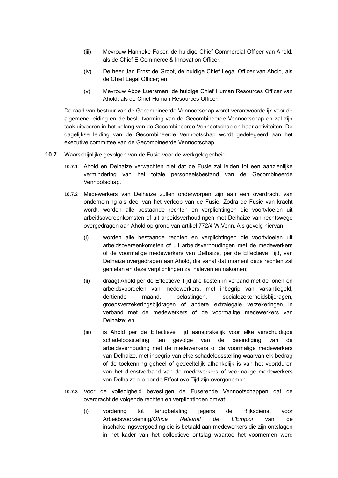- (iii) Mevrouw Hanneke Faber, de huidige Chief Commercial Officer van Ahold, als de Chief E-Commerce & Innovation Officer;
- (iv) De heer Jan Ernst de Groot, de huidige Chief Legal Officer van Ahold, als de Chief Legal Officer; en
- (v) Mevrouw Abbe Luersman, de huidige Chief Human Resources Officer van Ahold, als de Chief Human Resources Officer.

De raad van bestuur van de Gecombineerde Vennootschap wordt verantwoordelijk voor de algemene leiding en de besluitvorming van de Gecombineerde Vennootschap en zal zijn taak uitvoeren in het belang van de Gecombineerde Vennootschap en haar activiteiten. De dagelijkse leiding van de Gecombineerde Vennootschap wordt gedelegeerd aan het executive committee van de Gecombineerde Vennootschap.

- **10.7** Waarschijnlijke gevolgen van de Fusie voor de werkgelegenheid
	- **10.7.1** Ahold en Delhaize verwachten niet dat de Fusie zal leiden tot een aanzienlijke vermindering van het totale personeelsbestand van de Gecombineerde Vennootschap.
	- **10.7.2** Medewerkers van Delhaize zullen onderworpen zijn aan een overdracht van onderneming als deel van het verloop van de Fusie. Zodra de Fusie van kracht wordt, worden alle bestaande rechten en verplichtingen die voortvloeien uit arbeidsovereenkomsten of uit arbeidsverhoudingen met Delhaize van rechtswege overgedragen aan Ahold op grond van artikel 772/4 W.Venn. Als gevolg hiervan:
		- (i) worden alle bestaande rechten en verplichtingen die voortvloeien uit arbeidsovereenkomsten of uit arbeidsverhoudingen met de medewerkers of de voormalige medewerkers van Delhaize, per de Effectieve Tijd, van Delhaize overgedragen aan Ahold, die vanaf dat moment deze rechten zal genieten en deze verplichtingen zal naleven en nakomen;
		- (ii) draagt Ahold per de Effectieve Tijd alle kosten in verband met de lonen en arbeidsvoordelen van medewerkers, met inbegrip van vakantiegeld, dertiende maand, belastingen, socialezekerheidsbijdragen, groepsverzekeringsbijdragen of andere extralegale verzekeringen in verband met de medewerkers of de voormalige medewerkers van Delhaize; en
		- (iii) is Ahold per de Effectieve Tijd aansprakelijk voor elke verschuldigde schadeloosstelling ten gevolge van de beëindiging van de arbeidsverhouding met de medewerkers of de voormalige medewerkers van Delhaize, met inbegrip van elke schadeloosstelling waarvan elk bedrag of de toekenning geheel of gedeeltelijk afhankelijk is van het voortduren van het dienstverband van de medewerkers of voormalige medewerkers van Delhaize die per de Effectieve Tijd zijn overgenomen.
	- **10.7.3** Voor de volledigheid bevestigen de Fuserende Vennootschappen dat de overdracht de volgende rechten en verplichtingen omvat:
		- (i) vordering tot terugbetaling jegens de Rijksdienst voor Arbeidsvoorziening/*Office National de L'Emploi* van de inschakelingsvergoeding die is betaald aan medewerkers die zijn ontslagen in het kader van het collectieve ontslag waartoe het voornemen werd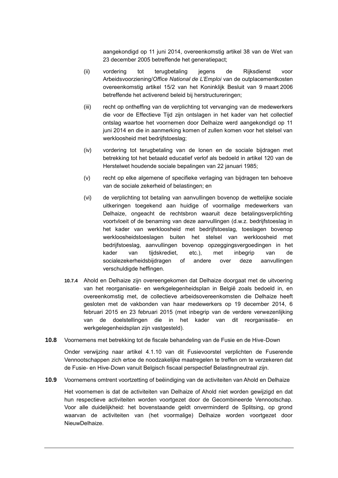aangekondigd op 11 juni 2014, overeenkomstig artikel 38 van de Wet van 23 december 2005 betreffende het generatiepact;

- (ii) vordering tot terugbetaling jegens de Rijksdienst voor Arbeidsvoorziening/*Office National de L'Emploi* van de outplacementkosten overeenkomstig artikel 15/2 van het Koninklijk Besluit van 9 maart 2006 betreffende het activerend beleid bij herstructureringen;
- (iii) recht op ontheffing van de verplichting tot vervanging van de medewerkers die voor de Effectieve Tijd zijn ontslagen in het kader van het collectief ontslag waartoe het voornemen door Delhaize werd aangekondigd op 11 juni 2014 en die in aanmerking komen of zullen komen voor het stelsel van werkloosheid met bedrijfstoeslag;
- (iv) vordering tot terugbetaling van de lonen en de sociale bijdragen met betrekking tot het betaald educatief verlof als bedoeld in artikel 120 van de Herstelwet houdende sociale bepalingen van 22 januari 1985;
- (v) recht op elke algemene of specifieke verlaging van bijdragen ten behoeve van de sociale zekerheid of belastingen; en
- (vi) de verplichting tot betaling van aanvullingen bovenop de wettelijke sociale uitkeringen toegekend aan huidige of voormalige medewerkers van Delhaize, ongeacht de rechtsbron waaruit deze betalingsverplichting voortvloeit of de benaming van deze aanvullingen (d.w.z. bedrijfstoeslag in het kader van werkloosheid met bedrijfstoeslag, toeslagen bovenop werkloosheidstoeslagen buiten het stelsel van werkloosheid met bedrijfstoeslag, aanvullingen bovenop opzeggingsvergoedingen in het kader van tijdskrediet, etc.), met inbegrip van de socialezekerheidsbijdragen of andere over deze aanvullingen verschuldigde heffingen.
- **10.7.4** Ahold en Delhaize zijn overeengekomen dat Delhaize doorgaat met de uitvoering van het reorganisatie- en werkgelegenheidsplan in België zoals bedoeld in, en overeenkomstig met, de collectieve arbeidsovereenkomsten die Delhaize heeft gesloten met de vakbonden van haar medewerkers op 19 december 2014, 6 februari 2015 en 23 februari 2015 (met inbegrip van de verdere verwezenlijking van de doelstellingen die in het kader van dit reorganisatie- en werkgelegenheidsplan zijn vastgesteld).
- **10.8** Voornemens met betrekking tot de fiscale behandeling van de Fusie en de Hive-Down

Onder verwijzing naar artikel [4.1.10](#page-10-0) van dit Fusievoorstel verplichten de Fuserende Vennootschappen zich ertoe de noodzakelijke maatregelen te treffen om te verzekeren dat de Fusie- en Hive-Down vanuit Belgisch fiscaal perspectief Belastingneutraal zijn.

**10.9** Voornemens omtrent voortzetting of beëindiging van de activiteiten van Ahold en Delhaize

Het voornemen is dat de activiteiten van Delhaize of Ahold niet worden gewijzigd en dat hun respectieve activiteiten worden voortgezet door de Gecombineerde Vennootschap. Voor alle duidelijkheid: het bovenstaande geldt onverminderd de Splitsing, op grond waarvan de activiteiten van (het voormalige) Delhaize worden voortgezet door NieuwDelhaize.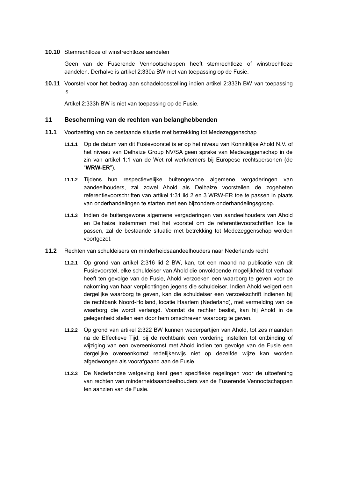**10.10** Stemrechtloze of winstrechtloze aandelen

Geen van de Fuserende Vennootschappen heeft stemrechtloze of winstrechtloze aandelen. Derhalve is artikel 2:330a BW niet van toepassing op de Fusie.

**10.11** Voorstel voor het bedrag aan schadeloosstelling indien artikel 2:333h BW van toepassing is

Artikel 2:333h BW is niet van toepassing op de Fusie.

#### **11 Bescherming van de rechten van belanghebbenden**

- **11.1** Voortzetting van de bestaande situatie met betrekking tot Medezeggenschap
	- **11.1.1** Op de datum van dit Fusievoorstel is er op het niveau van Koninklijke Ahold N.V. of het niveau van Delhaize Group NV/SA geen sprake van Medezeggenschap in de zin van artikel 1:1 van de Wet rol werknemers bij Europese rechtspersonen (de "**WRW-ER**").
	- **11.1.2** Tijdens hun respectievelijke buitengewone algemene vergaderingen van aandeelhouders, zal zowel Ahold als Delhaize voorstellen de zogeheten referentievoorschriften van artikel 1:31 lid 2 en 3 WRW-ER toe te passen in plaats van onderhandelingen te starten met een bijzondere onderhandelingsgroep.
	- **11.1.3** Indien de buitengewone algemene vergaderingen van aandeelhouders van Ahold en Delhaize instemmen met het voorstel om de referentievoorschriften toe te passen, zal de bestaande situatie met betrekking tot Medezeggenschap worden voortgezet.
- **11.2** Rechten van schuldeisers en minderheidsaandeelhouders naar Nederlands recht
	- **11.2.1** Op grond van artikel 2:316 lid 2 BW, kan, tot een maand na publicatie van dit Fusievoorstel, elke schuldeiser van Ahold die onvoldoende mogelijkheid tot verhaal heeft ten gevolge van de Fusie, Ahold verzoeken een waarborg te geven voor de nakoming van haar verplichtingen jegens die schuldeiser. Indien Ahold weigert een dergelijke waarborg te geven, kan die schuldeiser een verzoekschrift indienen bij de rechtbank Noord-Holland, locatie Haarlem (Nederland), met vermelding van de waarborg die wordt verlangd. Voordat de rechter beslist, kan hij Ahold in de gelegenheid stellen een door hem omschreven waarborg te geven.
	- **11.2.2** Op grond van artikel 2:322 BW kunnen wederpartijen van Ahold, tot zes maanden na de Effectieve Tijd, bij de rechtbank een vordering instellen tot ontbinding of wijziging van een overeenkomst met Ahold indien ten gevolge van de Fusie een dergelijke overeenkomst redelijkerwijs niet op dezelfde wijze kan worden afgedwongen als voorafgaand aan de Fusie.
	- **11.2.3** De Nederlandse wetgeving kent geen specifieke regelingen voor de uitoefening van rechten van minderheidsaandeelhouders van de Fuserende Vennootschappen ten aanzien van de Fusie.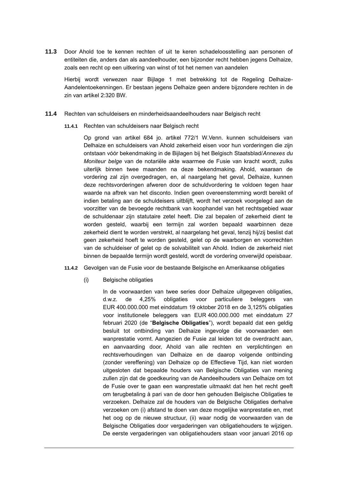**11.3** Door Ahold toe te kennen rechten of uit te keren schadeloosstelling aan personen of entiteiten die, anders dan als aandeelhouder, een bijzonder recht hebben jegens Delhaize, zoals een recht op een uitkering van winst of tot het nemen van aandelen

Hierbij wordt verwezen naar Bijlage 1 met betrekking tot de Regeling Delhaize-Aandelentoekenningen. Er bestaan jegens Delhaize geen andere bijzondere rechten in de zin van artikel 2:320 BW.

#### **11.4** Rechten van schuldeisers en minderheidsaandeelhouders naar Belgisch recht

**11.4.1** Rechten van schuldeisers naar Belgisch recht

Op grond van artikel 684 jo. artikel 772/1 W.Venn. kunnen schuldeisers van Delhaize en schuldeisers van Ahold zekerheid eisen voor hun vorderingen die zijn ontstaan vóór bekendmaking in de Bijlagen bij het Belgisch Staatsblad/*Annexes du Moniteur belge* van de notariële akte waarmee de Fusie van kracht wordt, zulks uiterlijk binnen twee maanden na deze bekendmaking. Ahold, waaraan de vordering zal zijn overgedragen, en, al naargelang het geval, Delhaize, kunnen deze rechtsvorderingen afweren door de schuldvordering te voldoen tegen haar waarde na aftrek van het disconto. Indien geen overeenstemming wordt bereikt of indien betaling aan de schuldeisers uitblijft, wordt het verzoek voorgelegd aan de voorzitter van de bevoegde rechtbank van koophandel van het rechtsgebied waar de schuldenaar zijn statutaire zetel heeft. Die zal bepalen of zekerheid dient te worden gesteld, waarbij een termijn zal worden bepaald waarbinnen deze zekerheid dient te worden verstrekt, al naargelang het geval, tenzij hij/zij beslist dat geen zekerheid hoeft te worden gesteld, gelet op de waarborgen en voorrechten van de schuldeiser of gelet op de solvabiliteit van Ahold. Indien de zekerheid niet binnen de bepaalde termijn wordt gesteld, wordt de vordering onverwijld opeisbaar.

#### **11.4.2** Gevolgen van de Fusie voor de bestaande Belgische en Amerikaanse obligaties

(i) Belgische obligaties

In de voorwaarden van twee series door Delhaize uitgegeven obligaties, d.w.z. de 4,25% obligaties voor particuliere beleggers van EUR 400.000.000 met einddatum 19 oktober 2018 en de 3,125% obligaties voor institutionele beleggers van EUR 400.000.000 met einddatum 27 februari 2020 (de "**Belgische Obligaties**"), wordt bepaald dat een geldig besluit tot ontbinding van Delhaize ingevolge die voorwaarden een wanprestatie vormt. Aangezien de Fusie zal leiden tot de overdracht aan, en aanvaarding door, Ahold van alle rechten en verplichtingen en rechtsverhoudingen van Delhaize en de daarop volgende ontbinding (zonder vereffening) van Delhaize op de Effectieve Tijd, kan niet worden uitgesloten dat bepaalde houders van Belgische Obligaties van mening zullen zijn dat de goedkeuring van de Aandeelhouders van Delhaize om tot de Fusie over te gaan een wanprestatie uitmaakt dat hen het recht geeft om terugbetaling à pari van de door hen gehouden Belgische Obligaties te verzoeken. Delhaize zal de houders van de Belgische Obligaties derhalve verzoeken om (i) afstand te doen van deze mogelijke wanprestatie en, met het oog op de nieuwe structuur, (ii) waar nodig de voorwaarden van de Belgische Obligaties door vergaderingen van obligatiehouders te wijzigen. De eerste vergaderingen van obligatiehouders staan voor januari 2016 op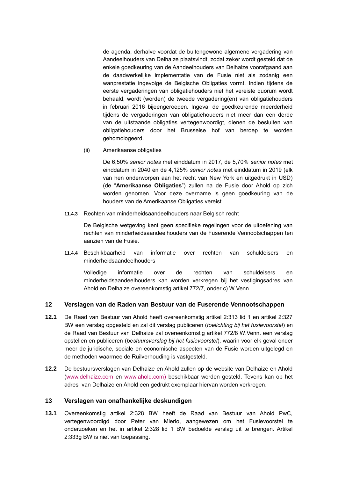de agenda, derhalve voordat de buitengewone algemene vergadering van Aandeelhouders van Delhaize plaatsvindt, zodat zeker wordt gesteld dat de enkele goedkeuring van de Aandeelhouders van Delhaize voorafgaand aan de daadwerkelijke implementatie van de Fusie niet als zodanig een wanprestatie ingevolge de Belgische Obligaties vormt. Indien tijdens de eerste vergaderingen van obligatiehouders niet het vereiste quorum wordt behaald, wordt (worden) de tweede vergadering(en) van obligatiehouders in februari 2016 bijeengeroepen. Ingeval de goedkeurende meerderheid tijdens de vergaderingen van obligatiehouders niet meer dan een derde van de uitstaande obligaties vertegenwoordigt, dienen de besluiten van obligatiehouders door het Brusselse hof van beroep te worden gehomologeerd.

(ii) Amerikaanse obligaties

De 6,50% *senior notes* met einddatum in 2017, de 5,70% *senior notes* met einddatum in 2040 en de 4,125% *senior notes* met einddatum in 2019 (elk van hen onderworpen aan het recht van New York en uitgedrukt in USD) (de "**Amerikaanse Obligaties**") zullen na de Fusie door Ahold op zich worden genomen. Voor deze overname is geen goedkeuring van de houders van de Amerikaanse Obligaties vereist.

**11.4.3** Rechten van minderheidsaandeelhouders naar Belgisch recht

De Belgische wetgeving kent geen specifieke regelingen voor de uitoefening van rechten van minderheidsaandeelhouders van de Fuserende Vennootschappen ten aanzien van de Fusie.

**11.4.4** Beschikbaarheid van informatie over rechten van schuldeisers en minderheidsaandeelhouders

Volledige informatie over de rechten van schuldeisers en minderheidsaandeelhouders kan worden verkregen bij het vestigingsadres van Ahold en Delhaize overeenkomstig artikel 772/7, onder c) W.Venn.

#### **12 Verslagen van de Raden van Bestuur van de Fuserende Vennootschappen**

- **12.1** De Raad van Bestuur van Ahold heeft overeenkomstig artikel 2:313 lid 1 en artikel 2:327 BW een verslag opgesteld en zal dit verslag publiceren (*toelichting bij het fusievoorstel*) en de Raad van Bestuur van Delhaize zal overeenkomstig artikel 772/8 W.Venn. een verslag opstellen en publiceren (*bestuursverslag bij het fusievoorstel*), waarin voor elk geval onder meer de juridische, sociale en economische aspecten van de Fusie worden uitgelegd en de methoden waarmee de Ruilverhouding is vastgesteld.
- **12.2** De bestuursverslagen van Delhaize en Ahold zullen op de website van Delhaize en Ahold [\(www.delhaize.com](http://www.delhaize.com/) en [www.ahold.com\)](http://www.ahold.com/) beschikbaar worden gesteld. Tevens kan op het adres van Delhaize en Ahold een gedrukt exemplaar hiervan worden verkregen.

# **13 Verslagen van onafhankelijke deskundigen**

**13.1** Overeenkomstig artikel 2:328 BW heeft de Raad van Bestuur van Ahold PwC, vertegenwoordigd door Peter van Mierlo, aangewezen om het Fusievoorstel te onderzoeken en het in artikel 2:328 lid 1 BW bedoelde verslag uit te brengen. Artikel 2:333g BW is niet van toepassing.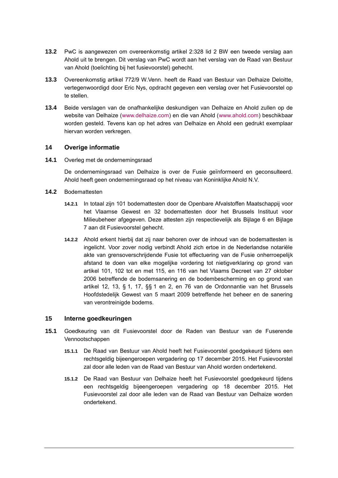- **13.2** PwC is aangewezen om overeenkomstig artikel 2:328 lid 2 BW een tweede verslag aan Ahold uit te brengen. Dit verslag van PwC wordt aan het verslag van de Raad van Bestuur van Ahold (toelichting bij het fusievoorstel) gehecht.
- <span id="page-84-0"></span>**13.3** Overeenkomstig artikel 772/9 W.Venn. heeft de Raad van Bestuur van Delhaize Deloitte, vertegenwoordigd door Eric Nys, opdracht gegeven een verslag over het Fusievoorstel op te stellen.
- **13.4** Beide verslagen van de onafhankelijke deskundigen van Delhaize en Ahold zullen op de website van Delhaize [\(www.delhaize.com\)](http://www.delhaize.com/) en die van Ahold [\(www.ahold.com\)](http://www.ahold.com/) beschikbaar worden gesteld. Tevens kan op het adres van Delhaize en Ahold een gedrukt exemplaar hiervan worden verkregen.

## **14 Overige informatie**

**14.1** Overleg met de ondernemingsraad

De ondernemingsraad van Delhaize is over de Fusie geïnformeerd en geconsulteerd. Ahold heeft geen ondernemingsraad op het niveau van Koninklijke Ahold N.V.

- **14.2** Bodemattesten
	- **14.2.1** In totaal zijn 101 bodemattesten door de Openbare Afvalstoffen Maatschappij voor het Vlaamse Gewest en 32 bodemattesten door het Brussels Instituut voor Milieubeheer afgegeven. Deze attesten zijn respectievelijk als Bijlage 6 en Bijlage 7 aan dit Fusievoorstel gehecht.
	- **14.2.2** Ahold erkent hierbij dat zij naar behoren over de inhoud van de bodemattesten is ingelicht. Voor zover nodig verbindt Ahold zich ertoe in de Nederlandse notariële akte van grensoverschrijdende Fusie tot effectuering van de Fusie onherroepelijk afstand te doen van elke mogelijke vordering tot nietigverklaring op grond van artikel 101, 102 tot en met 115, en 116 van het Vlaams Decreet van 27 oktober 2006 betreffende de bodemsanering en de bodembescherming en op grond van artikel 12, 13, § 1, 17, §§ 1 en 2, en 76 van de Ordonnantie van het Brussels Hoofdstedelijk Gewest van 5 maart 2009 betreffende het beheer en de sanering van verontreinigde bodems.

#### **15 Interne goedkeuringen**

- **15.1** Goedkeuring van dit Fusievoorstel door de Raden van Bestuur van de Fuserende Vennootschappen
	- **15.1.1** De Raad van Bestuur van Ahold heeft het Fusievoorstel goedgekeurd tijdens een rechtsgeldig bijeengeroepen vergadering op 17 december 2015. Het Fusievoorstel zal door alle leden van de Raad van Bestuur van Ahold worden ondertekend.
	- **15.1.2** De Raad van Bestuur van Delhaize heeft het Fusievoorstel goedgekeurd tijdens een rechtsgeldig bijeengeroepen vergadering op 18 december 2015. Het Fusievoorstel zal door alle leden van de Raad van Bestuur van Delhaize worden ondertekend.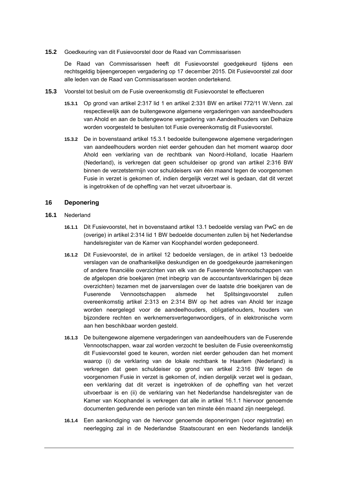**15.2** Goedkeuring van dit Fusievoorstel door de Raad van Commissarissen

De Raad van Commissarissen heeft dit Fusievoorstel goedgekeurd tijdens een rechtsgeldig bijeengeroepen vergadering op 17 december 2015. Dit Fusievoorstel zal door alle leden van de Raad van Commissarissen worden ondertekend.

- **15.3** Voorstel tot besluit om de Fusie overeenkomstig dit Fusievoorstel te effectueren
	- **15.3.1** Op grond van artikel 2:317 lid 1 en artikel 2:331 BW en artikel 772/11 W.Venn. zal respectievelijk aan de buitengewone algemene vergaderingen van aandeelhouders van Ahold en aan de buitengewone vergadering van Aandeelhouders van Delhaize worden voorgesteld te besluiten tot Fusie overeenkomstig dit Fusievoorstel.
	- **15.3.2** De in bovenstaand artikel [15.3.1](#page-27-0) bedoelde buitengewone algemene vergaderingen van aandeelhouders worden niet eerder gehouden dan het moment waarop door Ahold een verklaring van de rechtbank van Noord-Holland, locatie Haarlem (Nederland), is verkregen dat geen schuldeiser op grond van artikel 2:316 BW binnen de verzetstermijn voor schuldeisers van één maand tegen de voorgenomen Fusie in verzet is gekomen of, indien dergelijk verzet wel is gedaan, dat dit verzet is ingetrokken of de opheffing van het verzet uitvoerbaar is.

## **16 Deponering**

- <span id="page-85-0"></span>**16.1** Nederland
	- **16.1.1** Dit Fusievoorstel, het in bovenstaand artikel 13.1 bedoelde verslag van PwC en de (overige) in artikel 2:314 lid 1 BW bedoelde documenten zullen bij het Nederlandse handelsregister van de Kamer van Koophandel worden gedeponeerd.
	- **16.1.2** Dit Fusievoorstel, de in artikel [12](#page-26-0) bedoelde verslagen, de in artikel [13](#page-26-3) bedoelde verslagen van de onafhankelijke deskundigen en de goedgekeurde jaarrekeningen of andere financiële overzichten van elk van de Fuserende Vennootschappen van de afgelopen drie boekjaren (met inbegrip van de accountantsverklaringen bij deze overzichten) tezamen met de jaarverslagen over de laatste drie boekjaren van de Fuserende Vennootschappen alsmede het Splitsingsvoorstel zullen overeenkomstig artikel 2:313 en 2:314 BW op het adres van Ahold ter inzage worden neergelegd voor de aandeelhouders, obligatiehouders, houders van bijzondere rechten en werknemersvertegenwoordigers, of in elektronische vorm aan hen beschikbaar worden gesteld.
	- **16.1.3** De buitengewone algemene vergaderingen van aandeelhouders van de Fuserende Vennootschappen, waar zal worden verzocht te besluiten de Fusie overeenkomstig dit Fusievoorstel goed te keuren, worden niet eerder gehouden dan het moment waarop (i) de verklaring van de lokale rechtbank te Haarlem (Nederland) is verkregen dat geen schuldeiser op grond van artikel 2:316 BW tegen de voorgenomen Fusie in verzet is gekomen of, indien dergelijk verzet wel is gedaan, een verklaring dat dit verzet is ingetrokken of de opheffing van het verzet uitvoerbaar is en (ii) de verklaring van het Nederlandse handelsregister van de Kamer van Koophandel is verkregen dat alle in artikel [16.1.1](#page-85-0) hiervoor genoemde documenten gedurende een periode van ten minste één maand zijn neergelegd.
	- **16.1.4** Een aankondiging van de hiervoor genoemde deponeringen (voor registratie) en neerlegging zal in de Nederlandse Staatscourant en een Nederlands landelijk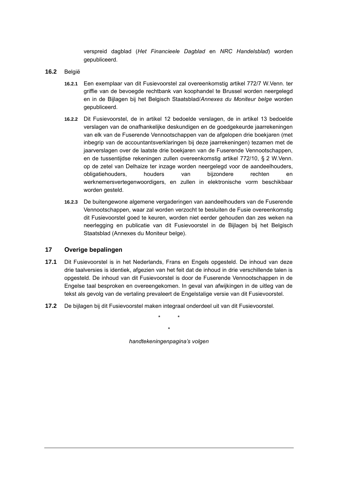verspreid dagblad (*Het Financieele Dagblad* en *NRC Handelsblad*) worden gepubliceerd.

- **16.2** België
	- **16.2.1** Een exemplaar van dit Fusievoorstel zal overeenkomstig artikel 772/7 W.Venn. ter griffie van de bevoegde rechtbank van koophandel te Brussel worden neergelegd en in de Bijlagen bij het Belgisch Staatsblad/*Annexes du Moniteur belge* worden gepubliceerd.
	- **16.2.2** Dit Fusievoorstel, de in artikel [12](#page-26-0) bedoelde verslagen, de in artikel [13](#page-26-3) bedoelde verslagen van de onafhankelijke deskundigen en de goedgekeurde jaarrekeningen van elk van de Fuserende Vennootschappen van de afgelopen drie boekjaren (met inbegrip van de accountantsverklaringen bij deze jaarrekeningen) tezamen met de jaarverslagen over de laatste drie boekjaren van de Fuserende Vennootschappen, en de tussentijdse rekeningen zullen overeenkomstig artikel 772/10, § 2 W.Venn. op de zetel van Delhaize ter inzage worden neergelegd voor de aandeelhouders, obligatiehouders, houders van bijzondere rechten en werknemersvertegenwoordigers, en zullen in elektronische vorm beschikbaar worden gesteld.
	- **16.2.3** De buitengewone algemene vergaderingen van aandeelhouders van de Fuserende Vennootschappen, waar zal worden verzocht te besluiten de Fusie overeenkomstig dit Fusievoorstel goed te keuren, worden niet eerder gehouden dan zes weken na neerlegging en publicatie van dit Fusievoorstel in de Bijlagen bij het Belgisch Staatsblad (Annexes du Moniteur belge).

#### **17 Overige bepalingen**

- **17.1** Dit Fusievoorstel is in het Nederlands, Frans en Engels opgesteld. De inhoud van deze drie taalversies is identiek, afgezien van het feit dat de inhoud in drie verschillende talen is opgesteld. De inhoud van dit Fusievoorstel is door de Fuserende Vennootschappen in de Engelse taal besproken en overeengekomen. In geval van afwijkingen in de uitleg van de tekst als gevolg van de vertaling prevaleert de Engelstalige versie van dit Fusievoorstel.
- **17.2** De bijlagen bij dit Fusievoorstel maken integraal onderdeel uit van dit Fusievoorstel.

\* \*

\*

*handtekeningenpagina's volgen*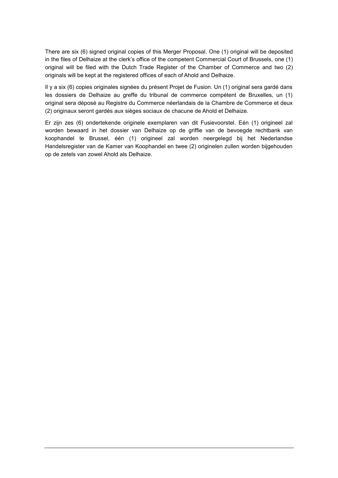There are six (6) signed original copies of this Merger Proposal. One (1) original will be deposited in the files of Delhaize at the clerk's office of the competent Commercial Court of Brussels, one (1) original will be filed with the Dutch Trade Register of the Chamber of Commerce and two (2) originals will be kept at the registered offices of each of Ahold and Delhaize.

Il y a six (6) copies originales signées du présent Projet de Fusion. Un (1) original sera gardé dans les dossiers de Delhaize au greffe du tribunal de commerce compétent de Bruxelles, un (1) original sera déposé au Registre du Commerce néerlandais de la Chambre de Commerce et deux (2) originaux seront gardés aux sièges sociaux de chacune de Ahold et Delhaize.

Er zijn zes (6) ondertekende originele exemplaren van dit Fusievoorstel. Eén (1) origineel zal worden bewaard in het dossier van Delhaize op de griffie van de bevoegde rechtbank van koophandel te Brussel, één (1) origineel zal worden neergelegd bij het Nederlandse Handelsregister van de Kamer van Koophandel en twee (2) originelen zullen worden bijgehouden op de zetels van zowel Ahold als Delhaize.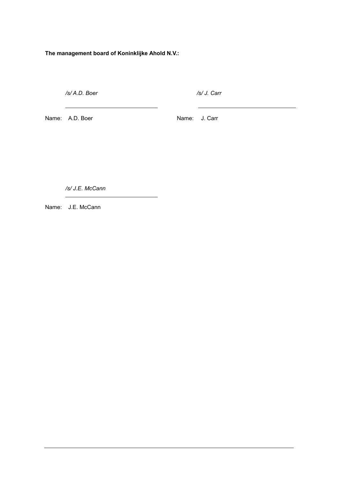**The management board of Koninklijke Ahold N.V.:**

<u> 2000 - John Stone, Amerikaans en Stone (</u>

 */s/ A.D. Boer /s/ J. Carr*

<u> 1989 - Johann Barn, mars ann an t-Amhain an t-Amhain an t-Amhain an t-Amhain an t-Amhain an t-Amhain an t-Amh</u>

Name: A.D. Boer Name: J. Carr

 $\sim$ 

 */s/ J.E. McCann*

Name: J.E. McCann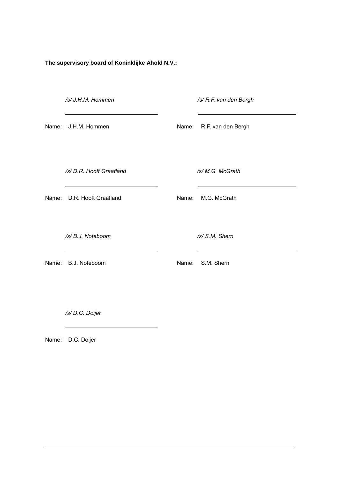**The supervisory board of Koninklijke Ahold N.V.:**

*/s/ J.H.M. Hommen /s/ R.F. van den Bergh*

Name: J.H.M. Hommen Name: R.F. van den Bergh

*/s/ D.R. Hooft Graafland /s/ M.G. McGrath*

Name: D.R. Hooft Graafland Name: M.G. McGrath

*/s/ B.J. Noteboom /s/ S.M. Shern*

Name: B.J. Noteboom Name: S.M. Shern

 */s/ D.C. Doijer*

Name: D.C. Doijer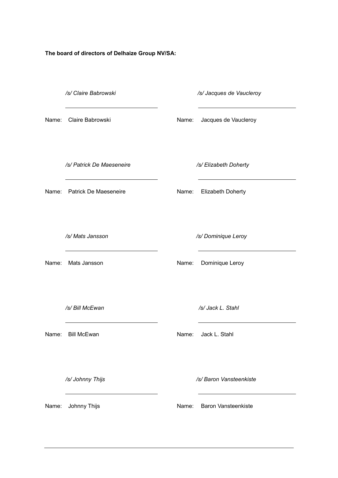**The board of directors of Delhaize Group NV/SA:**

|       | /s/ Claire Babrowski        |       | /s/ Jacques de Vaucleroy |
|-------|-----------------------------|-------|--------------------------|
|       | Name: Claire Babrowski      | Name: | Jacques de Vaucleroy     |
|       | /s/ Patrick De Maeseneire   |       | /s/ Elizabeth Doherty    |
|       | Name: Patrick De Maeseneire | Name: | <b>Elizabeth Doherty</b> |
|       | /s/ Mats Jansson            |       |                          |
|       |                             |       | /s/ Dominique Leroy      |
|       | Name: Mats Jansson          | Name: | Dominique Leroy          |
|       |                             |       |                          |
|       | /s/ Bill McEwan             |       | /s/ Jack L. Stahl        |
|       | Name: Bill McEwan           | Name: | Jack L. Stahl            |
|       |                             |       |                          |
|       | /s/ Johnny Thijs            |       | /s/ Baron Vansteenkiste  |
| Name: | Johnny Thijs                | Name: | Baron Vansteenkiste      |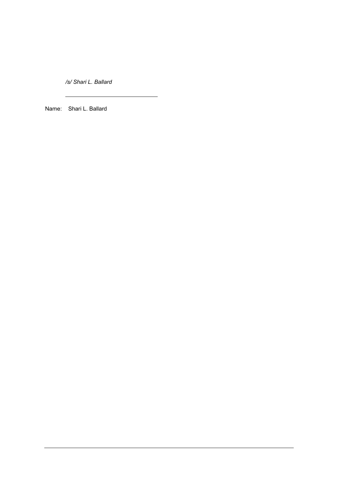*/s/ Shari L. Ballard*

Name: Shari L. Ballard

 $\overline{a}$